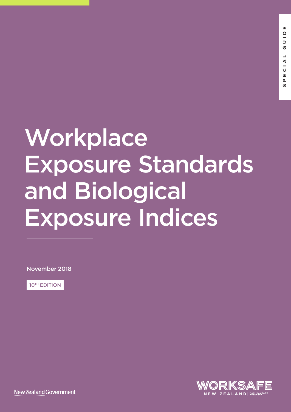# **Workplace** Exposure Standards and Biological Exposure Indices

November 2018

**10TH EDITION** 



New Zealand Government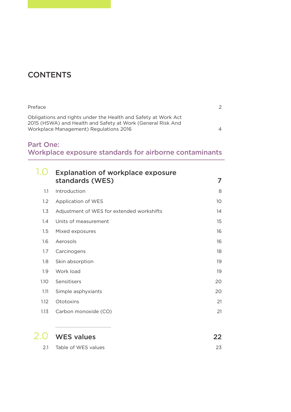## **CONTENTS**

| Preface                                                                                                                                                                 | 2        |
|-------------------------------------------------------------------------------------------------------------------------------------------------------------------------|----------|
| Obligations and rights under the Health and Safety at Work Act<br>2015 (HSWA) and Health and Safety at Work (General Risk And<br>Workplace Management) Regulations 2016 | $\Delta$ |

### Part One: Workplace exposure standards for airborne contaminants

|      | <b>Explanation of workplace exposure</b><br>standards (WES) | 7               |
|------|-------------------------------------------------------------|-----------------|
| 1.1  | Introduction                                                | 8               |
| 1.2  | Application of WES                                          | 10 <sup>°</sup> |
| 1.3  | Adjustment of WES for extended workshifts                   | 14              |
| 1.4  | Units of measurement                                        | 15              |
| 1.5  | Mixed exposures                                             | 16              |
| 1.6  | Aerosols                                                    | 16              |
| 1.7  | Carcinogens                                                 | 18              |
| 1.8  | Skin absorption                                             | 19              |
| 1.9  | Work load                                                   | 19              |
| 1.10 | Sensitisers                                                 | 20              |
| 1.11 | Simple asphyxiants                                          | 20              |
| 1.12 | Ototoxins                                                   | 21              |
| 1.13 | Carbon monoxide (CO)                                        | 21              |
|      |                                                             |                 |
|      | <b>WES values</b>                                           | 22              |

| 2.1 | Table of WES values |  |
|-----|---------------------|--|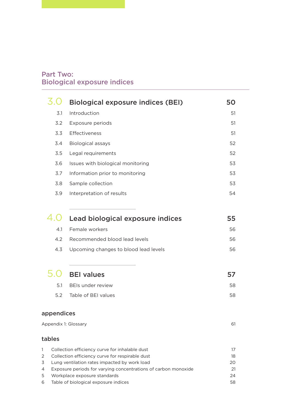### Part Two: Biological exposure indices

|        |                                    | <b>Biological exposure indices (BEI)</b>                                                        | 50       |  |  |
|--------|------------------------------------|-------------------------------------------------------------------------------------------------|----------|--|--|
|        | 3.1                                | Introduction                                                                                    | 51       |  |  |
|        | 3.2                                | Exposure periods                                                                                | 51       |  |  |
|        | 3.3                                | Effectiveness                                                                                   | 51       |  |  |
|        | 3.4                                | <b>Biological assays</b>                                                                        | 52       |  |  |
|        | 3.5                                | Legal requirements                                                                              | 52       |  |  |
|        | 3.6                                | Issues with biological monitoring                                                               | 53       |  |  |
|        | 3.7                                | Information prior to monitoring                                                                 | 53       |  |  |
|        | 3.8                                | Sample collection                                                                               | 53       |  |  |
|        | 3.9                                | Interpretation of results                                                                       | 54       |  |  |
|        |                                    |                                                                                                 |          |  |  |
|        | 4.O                                | Lead biological exposure indices                                                                | 55       |  |  |
|        | 4.1                                | Female workers                                                                                  | 56       |  |  |
|        | 4.2                                | Recommended blood lead levels                                                                   | 56       |  |  |
|        | 4.3                                | Upcoming changes to blood lead levels                                                           | 56       |  |  |
|        | 5.0                                |                                                                                                 |          |  |  |
|        |                                    | <b>BEI values</b>                                                                               | 57       |  |  |
|        | 5.1                                | <b>BEIs under review</b>                                                                        | 58       |  |  |
|        | 5.2                                | Table of BEI values                                                                             | 58       |  |  |
|        | appendices                         |                                                                                                 |          |  |  |
|        |                                    | Appendix 1: Glossary                                                                            | 61       |  |  |
|        | tables                             |                                                                                                 |          |  |  |
| 1      |                                    | Collection efficiency curve for inhalable dust                                                  | 17       |  |  |
| 2<br>3 |                                    | Collection efficiency curve for respirable dust<br>Lung ventilation rates impacted by work load | 18<br>20 |  |  |
| 4      |                                    | Exposure periods for varying concentrations of carbon monoxide                                  | 21       |  |  |
| 5      | Workplace exposure standards<br>24 |                                                                                                 |          |  |  |

6 Table of biological exposure indices 58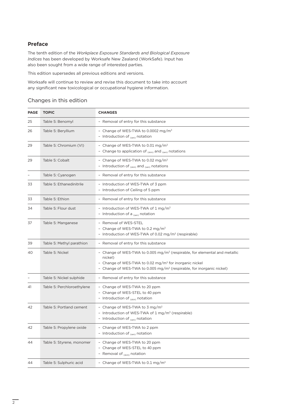#### **Preface**

The tenth edition of the *Workplace Exposure Standards and Biological Exposure Indices* has been developed by Worksafe New Zealand (WorkSafe). Input has also been sought from a wide range of interested parties.

This edition supersedes all previous editions and versions.

Worksafe will continue to review and revise this document to take into account any significant new toxicological or occupational hygiene information.

#### Changes in this edition

| <b>PAGE</b> | <b>TOPIC</b>               | <b>CHANGES</b>                                                                                                                                                                                                                                               |
|-------------|----------------------------|--------------------------------------------------------------------------------------------------------------------------------------------------------------------------------------------------------------------------------------------------------------|
| 25          | Table 5: Benomyl           | - Removal of entry for this substance                                                                                                                                                                                                                        |
| 26          | Table 5: Beryllium         | - Change of WES-TWA to 0.0002 mg/m <sup>3</sup><br>- Introduction of $_{(sen)}$ notation                                                                                                                                                                     |
| 29          | Table 5: Chromium (VI)     | - Change of WES-TWA to 0.01 mg/m <sup>3</sup><br>- Change to application of $_{\text{(skin)}}$ and $_{\text{(sen)}}$ notations                                                                                                                               |
| 29          | Table 5: Cobalt            | - Change of WES-TWA to 0.02 mg/m <sup>3</sup><br>- Introduction of (skin) and (sen) notations                                                                                                                                                                |
|             | Table 5: Cyanogen          | - Removal of entry for this substance                                                                                                                                                                                                                        |
| 33          | Table 5: Ethanedinitrile   | - Introduction of WES-TWA of 3 ppm<br>- Introduction of Ceiling of 5 ppm                                                                                                                                                                                     |
| 33          | Table 5: Ethion            | - Removal of entry for this substance                                                                                                                                                                                                                        |
| 34          | Table 5: Flour dust        | - Introduction of WES-TWA of $1 \text{ mg/m}^3$<br>- Introduction of a $_{\text{(\text{sen})}}$ notation                                                                                                                                                     |
| 37          | Table 5: Manganese         | - Removal of WES-STEL<br>- Change of WES-TWA to 0.2 mg/m <sup>3</sup><br>- Introduction of WES-TWA of 0.02 mg/m <sup>3</sup> (respirable)                                                                                                                    |
| 39          | Table 5: Methyl parathion  | - Removal of entry for this substance                                                                                                                                                                                                                        |
| 40          | Table 5: Nickel            | - Change of WES-TWA to 0.005 mg/m <sup>3</sup> (respirable, for elemental and metallic<br>nickel)<br>- Change of WES-TWA to 0.02 mg/m <sup>3</sup> for inorganic nickel<br>- Change of WES-TWA to 0.005 mg/m <sup>3</sup> (respirable, for inorganic nickel) |
|             | Table 5: Nickel sulphide   | - Removal of entry for this substance                                                                                                                                                                                                                        |
| 41          | Table 5: Perchloroethylene | - Change of WES-TWA to 20 ppm<br>- Change of WES-STEL to 40 ppm<br>- Introduction of $_{\text{(skin)}}$ notation                                                                                                                                             |
| 42          | Table 5: Portland cement   | - Change of WES-TWA to 3 mg/m <sup>3</sup><br>- Introduction of WES-TWA of $1 \text{ mg/m}^3$ (respirable)<br>- Introduction of (sen) notation                                                                                                               |
| 42          | Table 5: Propylene oxide   | Change of WES-TWA to 2 ppm<br>- Introduction of $_{(sen)}$ notation                                                                                                                                                                                          |
| 44          | Table 5: Styrene, monomer  | - Change of WES-TWA to 20 ppm<br>- Change of WES-STEL to 40 ppm<br>- Removal of $_{(skin)}$ notation                                                                                                                                                         |
| 44          | Table 5: Sulphuric acid    | - Change of WES-TWA to 0.1 mg/m <sup>3</sup>                                                                                                                                                                                                                 |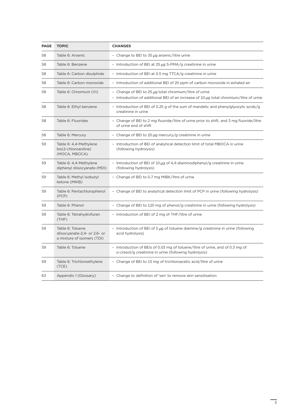| <b>PAGE</b> | <b>TOPIC</b>                                                                   | <b>CHANGES</b>                                                                                                                                   |
|-------------|--------------------------------------------------------------------------------|--------------------------------------------------------------------------------------------------------------------------------------------------|
| 58          | Table 6: Arsenic                                                               | - Change to BEI to 35 µg arsenic/litre urine                                                                                                     |
| 58          | Table 6: Benzene                                                               | - Introduction of BEI at 25 µg S-PMA/g creatinine in urine                                                                                       |
| 58          | Table 6: Carbon disulphide                                                     | - Introduction of BEI at 0.5 mg TTCA/g creatinine in urine                                                                                       |
| 58          | Table 6: Carbon monoxide                                                       | - Introduction of additional BEI of 20 ppm of carbon monoxide in exhaled air                                                                     |
| 58          | Table 6: Chromium (VI)                                                         | - Change of BEI to 25 µg total chromium/litre of urine<br>- Introduction of additional BEI of an increase of 10 µg total chromium/litre of urine |
| 58          | Table 6: Ethyl benzene                                                         | - Introduction of BEI of 0.25 g of the sum of mandelic and phenylglyoxylic acids/g<br>creatinine in urine                                        |
| 58          | Table 6: Fluorides                                                             | - Change of BEI to 2 mg fluoride/litre of urine prior to shift, and 3 mg fluoride/litre<br>of urine end of shift                                 |
| 58          | Table 6: Mercury                                                               | - Change of BEI to 20 $\mu$ g mercury/g creatinine in urine                                                                                      |
| 59          | Table 6: 4,4-Methylene<br>bis(2-chloroaniline)<br>(MOCA, MBOCA)                | - Introduction of BEI of analytical detection limit of total MBOCA in urine<br>(following hydrolysis)                                            |
| 59          | Table 6: 4,4-Methylene<br>diphenyl diisocyanate (MDI)                          | - Introduction of BEI of 10 µg of 4,4-diaminodiphenyl/g creatinine in urine<br>(following hydrolysis)                                            |
| 59          | Table 6: Methyl isobutyl<br>ketone (MIKB)                                      | - Change of BEI to 0.7 mg MIBK/litre of urine                                                                                                    |
| 59          | Table 6: Pentachlorophenol<br>(PCP)                                            | - Change of BEI to analytical detection limit of PCP in urine (following hydrolysis)                                                             |
| 59          | Table 6: Phenol                                                                | - Change of BEI to 120 mg of phenol/g creatinine in urine (following hydrolysis)                                                                 |
| 59          | Table 6: Tetrahydrofuran<br>(THF)                                              | - Introduction of BEI of 2 mg of THF/litre of urine                                                                                              |
| 59          | Table 6: Toluene<br>diisocyanate-2,4- or 2,6- or<br>a mixture of isomers (TDI) | - Introduction of BEI of 5 µg of toluene diamine/g creatinine in urine (following<br>acid hydrolysis)                                            |
| 59          | Table 6: Toluene                                                               | - Introduction of BEIs of 0.03 mg of toluene/litre of urine, and of 0.3 mg of<br>o-cresol/g creatinine in urine (following hydrolysis)           |
| 59          | Table 6: Trichloroethylene<br>(TCE)                                            | - Change of BEI to 15 mg of trichloroacetic acid/litre of urine                                                                                  |
| 63          | Appendix 1 (Glossary)                                                          | - Change to definition of 'sen' to remove skin sensitisation                                                                                     |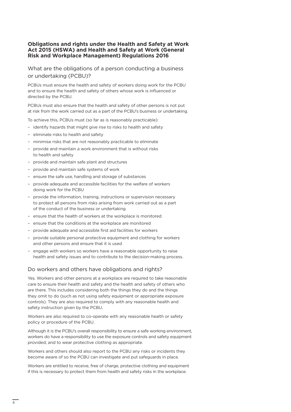#### **Obligations and rights under the Health and Safety at Work Act 2015 (HSWA) and Health and Safety at Work (General Risk and Workplace Management) Regulations 2016**

What are the obligations of a person conducting a business or undertaking (PCBU)?

PCBUs must ensure the health and safety of workers doing work for the PCBU and to ensure the health and safety of others whose work is influenced or directed by the PCBU.

PCBUs must also ensure that the health and safety of other persons is not put at risk from the work carried out as a part of the PCBU's business or undertaking.

To achieve this, PCBUs must (so far as is reasonably practicable):

- identify hazards that might give rise to risks to health and safety
- eliminate risks to health and safety
- minimise risks that are not reasonably practicable to eliminate
- provide and maintain a work environment that is without risks to health and safety
- provide and maintain safe plant and structures
- provide and maintain safe systems of work
- ensure the safe use, handling and storage of substances
- provide adequate and accessible facilities for the welfare of workers doing work for the PCBU
- provide the information, training, instructions or supervision necessary to protect all persons from risks arising from work carried out as a part of the conduct of the business or undertaking
- ensure that the health of workers at the workplace is monitored
- ensure that the conditions at the workplace are monitored
- provide adequate and accessible first aid facilities for workers
- provide suitable personal protective equipment and clothing for workers and other persons and ensure that it is used
- engage with workers so workers have a reasonable opportunity to raise health and safety issues and to contribute to the decision-making process.

#### Do workers and others have obligations and rights?

Yes. Workers and other persons at a workplace are required to take reasonable care to ensure their health and safety and the health and safety of others who are there. This includes considering both the things they do and the things they omit to do (such as not using safety equipment or appropriate exposure controls). They are also required to comply with any reasonable health and safety instruction given by the PCBU.

Workers are also required to co-operate with any reasonable health or safety policy or procedure of the PCBU.

Although it is the PCBU's overall responsibility to ensure a safe working environment, workers do have a responsibility to use the exposure controls and safety equipment provided, and to wear protective clothing as appropriate.

Workers and others should also report to the PCBU any risks or incidents they become aware of so the PCBU can investigate and put safeguards in place.

Workers are entitled to receive, free of charge, protective clothing and equipment if this is necessary to protect them from health and safety risks in the workplace.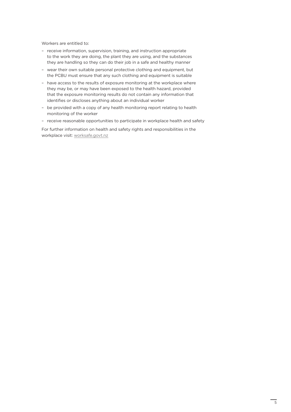Workers are entitled to:

- receive information, supervision, training, and instruction appropriate to the work they are doing, the plant they are using, and the substances they are handling so they can do their job in a safe and healthy manner
- wear their own suitable personal protective clothing and equipment, but the PCBU must ensure that any such clothing and equipment is suitable
- have access to the results of exposure monitoring at the workplace where they may be, or may have been exposed to the health hazard, provided that the exposure monitoring results do not contain any information that identifies or discloses anything about an individual worker
- be provided with a copy of any health monitoring report relating to health monitoring of the worker
- receive reasonable opportunities to participate in workplace health and safety

For further information on health and safety rights and responsibilities in the workplace visit: [worksafe.govt.nz](http://www.worksafe.govt.nz)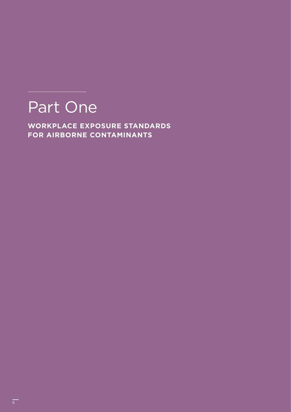## Part One

**WORKPLACE EXPOSURE STANDARDS FOR AIRBORNE CONTAMINANTS**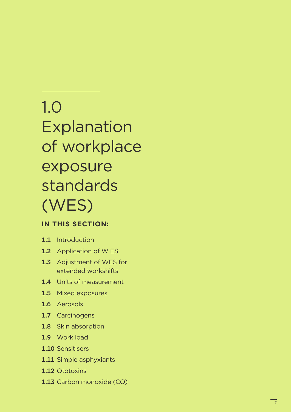## 1.0 Explanation of workplace exposure standards (WES)

### **IN THIS SECTION:**

- 1.1 Introduction
- 1.2 Application of W ES
- 1.3 Adjustment of WES for extended workshifts
- 1.4 Units of measurement
- 1.5 Mixed exposures
- 1.6 Aerosols
- 1.7 Carcinogens
- 1.8 Skin absorption
- 1.9 Work load
- 1.10 Sensitisers
- 1.11 Simple asphyxiants
- 1.12 Ototoxins
- 1.13 Carbon monoxide (CO)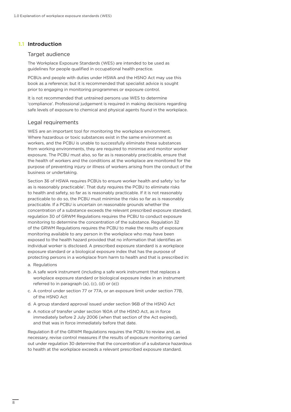#### **1.1** Introduction

#### Target audience

The Workplace Exposure Standards (WES) are intended to be used as guidelines for people qualified in occupational health practice.

PCBUs and people with duties under HSWA and the HSNO Act may use this book as a reference; but it is recommended that specialist advice is sought prior to engaging in monitoring programmes or exposure control.

It is not recommended that untrained persons use WES to determine 'compliance'. Professional judgement is required in making decisions regarding safe levels of exposure to chemical and physical agents found in the workplace.

#### Legal requirements

WES are an important tool for monitoring the workplace environment. Where hazardous or toxic substances exist in the same environment as workers, and the PCBU is unable to successfully eliminate these substances from working environments, they are required to minimise and monitor worker exposure. The PCBU must also, so far as is reasonably practicable, ensure that the health of workers and the conditions at the workplace are monitored for the purpose of preventing injury or illness of workers arising from the conduct of the business or undertaking.

Section 36 of HSWA requires PCBUs to ensure worker health and safety 'so far as is reasonably practicable'. That duty requires the PCBU to eliminate risks to health and safety, so far as is reasonably practicable. If it is not reasonably practicable to do so, the PCBU must minimise the risks so far as is reasonably practicable. If a PCBU is uncertain on reasonable grounds whether the concentration of a substance exceeds the relevant prescribed exposure standard, regulation 30 of GRWM Regulations requires the PCBU to conduct exposure monitoring to determine the concentration of the substance. Regulation 32 of the GRWM Regulations requires the PCBU to make the results of exposure monitoring available to any person in the workplace who may have been exposed to the health hazard provided that no information that identifies an individual worker is disclosed. A prescribed exposure standard is a workplace exposure standard or a biological exposure index that has the purpose of protecting persons in a workplace from harm to health and that is prescribed in:

- a. Regulations
- b. A safe work instrument (including a safe work instrument that replaces a workplace exposure standard or biological exposure index in an instrument referred to in paragraph (a), (c), (d) or (e))
- c. A control under section 77 or 77A, or an exposure limit under section 77B, of the HSNO Act
- d. A group standard approval issued under section 96B of the HSNO Act
- e. A notice of transfer under section 160A of the HSNO Act, as in force immediately before 2 July 2006 (when that section of the Act expired), and that was in force immediately before that date.

Regulation 8 of the GRWM Regulations requires the PCBU to review and, as necessary, revise control measures if the results of exposure monitoring carried out under regulation 30 determine that the concentration of a substance hazardous to health at the workplace exceeds a relevant prescribed exposure standard.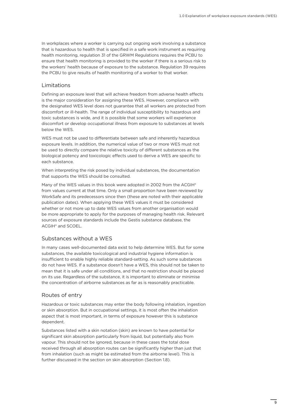In workplaces where a worker is carrying out ongoing work involving a substance that is hazardous to health that is specified in a safe work instrument as requiring health monitoring, regulation 31 of the GRWM Regulations requires the PCBU to ensure that health monitoring is provided to the worker if there is a serious risk to the workers' health because of exposure to the substance. Regulation 39 requires the PCBU to give results of health monitoring of a worker to that worker.

#### Limitations

Defining an exposure level that will achieve freedom from adverse health effects is the major consideration for assigning these WES. However, compliance with the designated WES level does not guarantee that all workers are protected from discomfort or ill-health. The range of individual susceptibility to hazardous and toxic substances is wide, and it is possible that some workers will experience discomfort or develop occupational illness from exposure to substances at levels below the WES.

WES must not be used to differentiate between safe and inherently hazardous exposure levels. In addition, the numerical value of two or more WES must not be used to directly compare the relative toxicity of different substances as the biological potency and toxicologic effects used to derive a WES are specific to each substance.

When interpreting the risk posed by individual substances, the documentation that supports the WES should be consulted.

Many of the WES values in this book were adopted in 2002 from the ACGIH® from values current at that time. Only a small proportion have been reviewed by WorkSafe and its predecessors since then (these are noted with their applicable publication dates). When applying these WES values it must be considered whether or not more up to date WES values from another organisation would be more appropriate to apply for the purposes of managing health risk. Relevant sources of exposure standards include the Gestis substance database, the ACGIH® and SCOEL.

#### Substances without a WES

In many cases well-documented data exist to help determine WES. But for some substances, the available toxicological and industrial hygiene information is insufficient to enable highly reliable standard-setting. As such some substances do not have WES. If a substance doesn't have a WES, this should not be taken to mean that it is safe under all conditions, and that no restriction should be placed on its use. Regardless of the substance, it is important to eliminate or minimise the concentration of airborne substances as far as is reasonably practicable.

#### Routes of entry

Hazardous or toxic substances may enter the body following inhalation, ingestion or skin absorption. But in occupational settings, it is most often the inhalation aspect that is most important, in terms of exposure however this is substance dependent.

Substances listed with a skin notation (skin) are known to have potential for significant skin absorption particularly from liquid, but potentially also from vapour. This should not be ignored, because in these cases the total dose received through all absorption routes can be significantly higher than just that from inhalation (such as might be estimated from the airborne level). This is further discussed in the section on skin absorption (Section 1.8).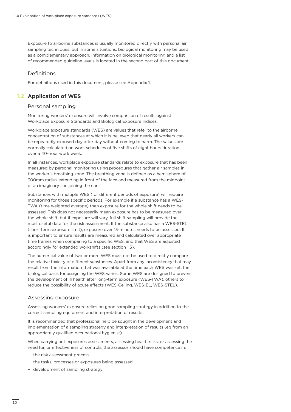Exposure to airborne substances is usually monitored directly with personal air sampling techniques, but in some situations, biological monitoring may be used as a complementary approach. Information on biological monitoring and a list of recommended guideline levels is located in the second part of this document.

#### **Definitions**

For definitions used in this document, please see Appendix 1.

#### **Application of WES 1.2**

#### Personal sampling

Monitoring workers' exposure will involve comparison of results against Workplace Exposure Standards and Biological Exposure Indices.

Workplace exposure standards (WES) are values that refer to the airborne concentration of substances at which it is believed that nearly all workers can be repeatedly exposed day after day without coming to harm. The values are normally calculated on work schedules of five shifts of eight hours duration over a 40-hour work week.

In all instances, workplace exposure standards relate to exposure that has been measured by personal monitoring using procedures that gather air samples in the worker's breathing zone. The breathing zone is defined as a hemisphere of 300mm radius extending in front of the face and measured from the midpoint of an imaginary line joining the ears.

Substances with multiple WES (for different periods of exposure) will require monitoring for those specific periods. For example if a substance has a WES-TWA (time weighted average) then exposure for the whole shift needs to be assessed. This does not necessarily mean exposure has to be measured over the whole shift, but if exposure will vary, full shift sampling will provide the most useful data for the risk assessment. If the substance also has a WES-STEL (short term exposure limit), exposure over 15-minutes needs to be assessed. It is important to ensure results are measured and calculated over appropriate time frames when comparing to a specific WES, and that WES are adjusted accordingly for extended workshifts (see section 1.3).

The numerical value of two or more WES must not be used to directly compare the relative toxicity of different substances. Apart from any inconsistency that may result from the information that was available at the time each WES was set, the biological basis for assigning the WES varies. Some WES are designed to prevent the development of ill health after long-term exposure (WES-TWA), others to reduce the possibility of acute effects (WES-Ceiling, WES-EL, WES-STEL).

#### Assessing exposure

Assessing workers' exposure relies on good sampling strategy in addition to the correct sampling equipment and interpretation of results.

It is recommended that professional help be sought in the development and implementation of a sampling strategy and interpretation of results (eg from an appropriately qualified occupational hygienist).

When carrying out exposures assessments, assessing health risks, or assessing the need for, or effectiveness of controls, the assessor should have competence in:

- the risk assessment process
- the tasks, processes or exposures being assessed
- development of sampling strategy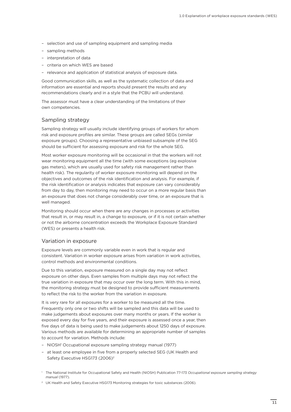- selection and use of sampling equipment and sampling media
- sampling methods
- interpretation of data
- criteria on which WES are based
- relevance and application of statistical analysis of exposure data.

Good communication skills, as well as the systematic collection of data and information are essential and reports should present the results and any recommendations clearly and in a style that the PCBU will understand.

The assessor must have a clear understanding of the limitations of their own competencies.

#### Sampling strategy

Sampling strategy will usually include identifying groups of workers for whom risk and exposure profiles are similar. These groups are called SEGs (similar exposure groups). Choosing a representative unbiased subsample of the SEG should be sufficient for assessing exposure and risk for the whole SEG.

Most worker exposure monitoring will be occasional in that the workers will not wear monitoring equipment all the time (with some exceptions (eg explosive gas meters), which are usually used for safety risk management rather than health risk). The regularity of worker exposure monitoring will depend on the objectives and outcomes of the risk identification and analysis. For example, if the risk identification or analysis indicates that exposure can vary considerably from day to day, then monitoring may need to occur on a more regular basis than an exposure that does not change considerably over time, or an exposure that is well managed.

Monitoring should occur when there are any changes in processes or activities that result in, or may result in, a change to exposure, or if it is not certain whether or not the airborne concentration exceeds the Workplace Exposure Standard (WES) or presents a health risk.

#### Variation in exposure

Exposure levels are commonly variable even in work that is regular and consistent. Variation in worker exposure arises from variation in work activities, control methods and environmental conditions.

Due to this variation, exposure measured on a single day may not reflect exposure on other days. Even samples from multiple days may not reflect the true variation in exposure that may occur over the long term. With this in mind, the monitoring strategy must be designed to provide sufficient measurements to reflect the risk to the worker from the variation in exposure.

It is very rare for all exposures for a worker to be measured all the time. Frequently only one or two shifts will be sampled and this data will be used to make judgements about exposures over many months or years. If the worker is exposed every day for five years, and their exposure is assessed once a year, then five days of data is being used to make judgements about 1250 days of exposure. Various methods are available for determining an appropriate number of samples to account for variation. Methods include:

- NIOSH<sup>1</sup> Occupational exposure sampling strategy manual (1977)
- at least one employee in five from a properly selected SEG (UK Health and Safety Executive HSG173 (2006)<sup>2</sup>

<sup>2</sup> UK Health and Safety Executive HSG173 Monitoring strategies for toxic substances (2006).

<sup>1</sup> The National Institute for Occupational Safety and Health (NIOSH) Publication 77-173 *Occupational exposure sampling strategy manual* (1977).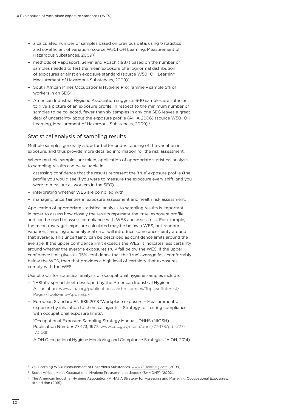- a calculated number of samples based on previous data, using t-statistics and co-efficient of variation (source W501 OH Learning, Measurement of Hazardous Substances, 2009)<sup>3</sup>
- methods of Rappaport, Selvin and Roach (1987) based on the number of samples needed to test the mean exposure of a lognormal distribution of exposures against an exposure standard (source W501 OH Learning, Measurement of Hazardous Substances, 2009)<sup>3</sup>
- South African Mines Occupational Hygiene Programme sample 5% of workers in an SEG4
- American Industrial Hygiene Association suggests 6-10 samples are sufficient to give a picture of an exposure profile. In respect to the minimum number of samples to be collected, fewer than six samples in any one SEG leaves a great deal of uncertainty about the exposure profile (AIHA 2006) (source W501 OH Learning, Measurement of Hazardous Substances, 2009).<sup>5</sup>

#### Statistical analysis of sampling results

Multiple samples generally allow for better understanding of the variation in exposure, and thus provide more detailed information for the risk assessment.

Where multiple samples are taken, application of appropriate statistical analysis to sampling results can be valuable in:

- assessing confidence that the results represent the 'true' exposure profile (the profile you would see if you were to measure the exposure every shift, and you were to measure all workers in the SEG)
- interpreting whether WES are complied with
- managing uncertainties in exposure assessment and health risk assessment.

Application of appropriate statistical analysis to sampling results is important in order to assess how closely the results represent the 'true' exposure profile and can be used to assess compliance with WES and assess risk. For example, the mean (average) exposure calculated may be below a WES, but random variation, sampling and analytical error will introduce some uncertainty around that average. This uncertainty can be described as confidence limits around the average. If the upper confidence limit exceeds the WES, it indicates less certainty around whether the average exposures truly fall below the WES. If the upper confidence limit gives us 95% confidence that the 'true' average falls comfortably below the WES, then that provides a high level of certainty that exposures comply with the WES.

Useful tools for statistical analysis of occupational hygiene samples include:

- 'IHStats' spreadsheet developed by the American Industrial Hygiene Association: [www.aiha.org/publications-and-resources/TopicsofInterest/](http://www.aiha.org/publications-and-resources/TopicsofInterest/Pages/Tools-and-Apps.aspx) [Pages/Tools-and-Apps.aspx](http://www.aiha.org/publications-and-resources/TopicsofInterest/Pages/Tools-and-Apps.aspx)
- European Standard EN 689:2018 'Workplace exposure Measurement of exposure by inhalation to chemical agents – Strategy for testing compliance with occupational exposure limits'.
- 'Occupational Exposure Sampling Strategy Manual', DHHS (NIOSH) Publication Number 77-173, 1977: [www.cdc.gov/niosh/docs/77-173/pdfs/77-](http://www.cdc.gov/niosh/docs/77-173/pdfs/77-173.pdf) [173.pdf](http://www.cdc.gov/niosh/docs/77-173/pdfs/77-173.pdf)
- AIOH Occupational Hygiene Monitoring and Compliance Strategies (AIOH, 2014).

- <sup>4</sup> South African Mines Occupational Hygiene Programme codebook (SAMOHP) (2002).
- <sup>5</sup> The American Industrial Hygiene Association (AIHA) A Strategy for Assessing and Managing Occupational Exposures, 4th edition (2015).

<sup>&</sup>lt;sup>3</sup> OH Learning W501 Measurement of Hazardous Substances. [www.OHlearning.com](http://www.OHlearning.com) (2009).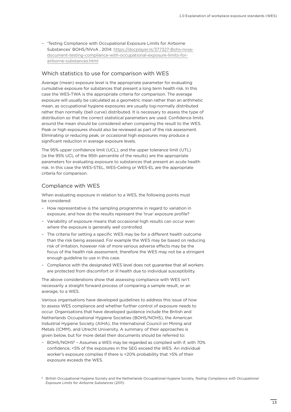– 'Testing Compliance with Occupational Exposure Limits for Airborne Substances' BOHS/NVvA , 2014: [https://docplayer.nl/377327-Bohs-nvva](https://docplayer.nl/377327-Bohs-nvva-document-testing-compliance-with-occupational-exposure-limits-for-airborne-substances.html)[document-testing-compliance-with-occupational-exposure-limits-for](https://docplayer.nl/377327-Bohs-nvva-document-testing-compliance-with-occupational-exposure-limits-for-airborne-substances.html)[airborne-substances.html](https://docplayer.nl/377327-Bohs-nvva-document-testing-compliance-with-occupational-exposure-limits-for-airborne-substances.html)

#### Which statistics to use for comparison with WES

Average (mean) exposure level is the appropriate parameter for evaluating cumulative exposure for substances that present a long term health risk. In this case the WES-TWA is the appropriate criteria for comparison. The average exposure will usually be calculated as a geometric mean rather than an arithmetic mean, as occupational hygiene exposures are usually log-normally distributed rather than normally (bell curve) distributed. It is necessary to assess the type of distribution so that the correct statistical parameters are used. Confidence limits around the mean should be considered when comparing the result to the WES. Peak or high exposures should also be reviewed as part of the risk assessment. Eliminating or reducing peak, or occasional high exposures may produce a significant reduction in average exposure levels.

The 95% upper confidence limit (UCL), and the upper tolerance limit (UTL) (ie the 95% UCL of the 95th percentile of the results) are the appropriate parameters for evaluating exposure to substances that present an acute health risk. In this case the WES-STEL, WES-Ceiling or WES-EL are the appropriate criteria for comparison.

#### Compliance with WES

When evaluating exposure in relation to a WES, the following points must be considered:

- How representative is the sampling programme in regard to variation in exposure, and how do the results represent the 'true' exposure profile?
- Variability of exposure means that occasional high results can occur even where the exposure is generally well controlled.
- The criteria for setting a specific WES may be for a different health outcome than the risk being assessed. For example the WES may be based on reducing risk of irritation, however risk of more serious adverse effects may be the focus of the health risk assessment, therefore the WES may not be a stringent enough guideline to use in this case.
- Compliance with the designated WES level does not guarantee that all workers are protected from discomfort or ill health due to individual susceptibility.

The above considerations show that assessing compliance with WES isn't necessarily a straight forward process of comparing a sample result, or an average, to a WES.

Various organisations have developed guidelines to address this issue of how to assess WES compliance and whether further control of exposure needs to occur. Organisations that have developed guidance include the British and Netherlands Occupational Hygiene Societies (BOHS/NOHS), the American Industrial Hygiene Society (AIHA), the International Council on Mining and Metals (ICMM), and Utrecht University. A summary of their approaches is given below, but for more detail their documents should be referred to:

- BOHS/NOHS<sup>6</sup> - Assumes a WES may be regarded as complied with if, with 70% confidence, <5% of the exposures in the SEG exceed the WES. An individual worker's exposure complies if there is <20% probability that >5% of their exposure exceeds the WES.

<sup>6</sup> British Occupational Hygiene Society and the Netherlands Occupational Hygiene Society, *Testing Compliance with Occupational Exposure Limits for Airborne Substances* (2011).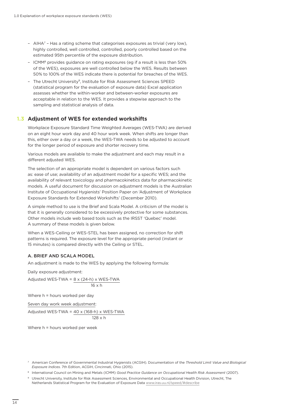- AIHA7 Has a rating scheme that categorises exposures as trivial (very low), highly controlled, well controlled, controlled, poorly controlled based on the estimated 95th percentile of the exposure distribution.
- ICMM8 provides guidance on rating exposures (eg if a result is less than 50% of the WES), exposures are well controlled below the WES. Results between 50% to 100% of the WES indicate there is potential for breaches of the WES.
- The Utrecht University9, Institute for Risk Assessment Sciences SPEED (statistical program for the evaluation of exposure data) Excel application assesses whether the within-worker and between-worker exposures are acceptable in relation to the WES. It provides a stepwise approach to the sampling and statistical analysis of data.

#### **Adjustment of WES for extended workshifts 1.3**

Workplace Exposure Standard Time Weighted Averages (WES-TWA) are derived on an eight hour work day and 40 hour work week. When shifts are longer than this, either over a day or a week, the WES-TWA needs to be adjusted to account for the longer period of exposure and shorter recovery time.

Various models are available to make the adjustment and each may result in a different adjusted WES.

The selection of an appropriate model is dependent on various factors such as: ease of use; availability of an adjustment model for a specific WES; and the availability of relevant toxicology and pharmacokinetics data for pharmacokinetic models. A useful document for discussion on adjustment models is the Australian Institute of Occupational Hygienists' Position Paper on 'Adjustment of Workplace Exposure Standards for Extended Workshifts' (December 2010).

A simple method to use is the Brief and Scala Model. A criticism of the model is that it is generally considered to be excessively protective for some substances. Other models include web based tools such as the IRSST 'Quebec' model. A summary of these models is given below.

When a WES-Ceiling or WES-STEL has been assigned, no correction for shift patterns is required. The exposure level for the appropriate period (instant or 15 minutes) is compared directly with the Ceiling or STEL.

#### A. BRIEF AND SCALA MODEL

An adjustment is made to the WES by applying the following formula:

Daily exposure adjustment:

Adjusted WES-TWA = 8 x (24-h) x WES-TWA 16 x h

Where h = hours worked per day

Seven day work week adjustment:

Adjusted WES-TWA = 40 x (168-h) x WES-TWA  $128 \times h$ 

Where h = hours worked per week

<sup>7</sup> American Conference of Governmental Industrial Hygienists (ACGIH). Documentation of the *Threshold Limit Value and Biological Exposure Indices*. 7th Edition, ACGIH, Cincinnati, Ohio (2015).

<sup>8</sup> International Council on Mining and Metals (ICMM) *Good Practice Guidance on Occupational Health Risk Assessment* (2007).

<sup>9</sup> Utrecht University, Institute for Risk Assessment Sciences, Environmental and Occupational Health Division, Utrecht, The Netherlands Statistical Program for the Evaluation of Exposure Data [www.iras.uu.nl/speed/#describe](http://www.iras.uu.nl/speed/#describe)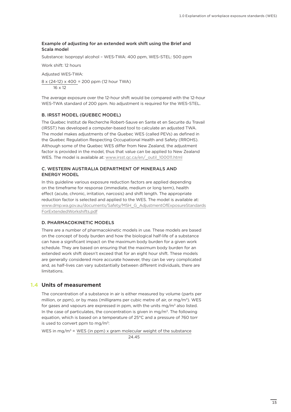#### Example of adjusting for an extended work shift using the Brief and Scala model

Substance: Isopropyl alcohol – WES-TWA: 400 ppm, WES-STEL: 500 ppm

Work shift: 12 hours

Adjusted WES-TWA:

8 x (24-12) x 400 = 200 ppm (12 hour TWA) 16 x 12

The average exposure over the 12-hour shift would be compared with the 12-hour WES-TWA standard of 200 ppm. No adjustment is required for the WES-STEL.

#### B. IRSST MODEL (QUEBEC MODEL)

The Quebec Institut de Recherche Robert-Sauve en Sante et en Securite du Travail (IRSST) has developed a computer-based tool to calculate an adjusted TWA. The model makes adjustments of the Quebec WES (called PEVs) as defined in the Quebec Regulation Respecting Occupational Health and Safety (RROHS). Although some of the Quebec WES differ from New Zealand, the adjustment factor is provided in the model, thus that value can be applied to New Zealand WES. The model is available at: [www.irsst.qc.ca/en/\\_outil\\_100011.html](http://www.irsst.qc.ca/en/_outil_100011.html)

#### C. WESTERN AUSTRALIA DEPARTMENT OF MINERALS AND ENERGY MODEL

In this guideline various exposure reduction factors are applied depending on the timeframe for response (immediate, medium or long term), health effect (acute, chronic, irritation, narcosis) and shift length. The appropriate reduction factor is selected and applied to the WES. The model is available at: [www.dmp.wa.gov.au/documents/Safety/MSH\\_G\\_AdjustmentOfExposureStandards](http://www.dmp.wa.gov.au/documents/Safety/MSH_G_AdjustmentOfExposureStandards ForExtendedWorkshifts.pdf)  [ForExtendedWorkshifts.pdf](http://www.dmp.wa.gov.au/documents/Safety/MSH_G_AdjustmentOfExposureStandards ForExtendedWorkshifts.pdf)

#### D. PHARMACOKINETIC MODELS

There are a number of pharmacokinetic models in use. These models are based on the concept of body burden and how the biological half-life of a substance can have a significant impact on the maximum body burden for a given work schedule. They are based on ensuring that the maximum body burden for an extended work shift doesn't exceed that for an eight hour shift. These models are generally considered more accurate however, they can be very complicated and, as half-lives can vary substantially between different individuals, there are limitations.

#### **Units of measurement 1.4**

The concentration of a substance in air is either measured by volume (parts per million, or ppm), or by mass (milligrams per cubic metre of air, or mg/m<sup>3</sup>). WES for gases and vapours are expressed in ppm, with the units mg/ $m<sup>3</sup>$  also listed. In the case of particulates, the concentration is given in mg/ $m<sup>3</sup>$ . The following equation, which is based on a temperature of 25°C and a pressure of 760 torr is used to convert ppm to mg/ $m^3$ :

WES in mg/m<sup>3</sup> = WES (in ppm) x gram molecular weight of the substance

24.45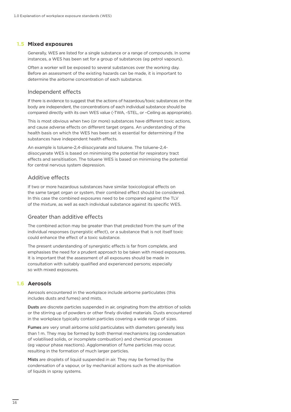#### **Mixed exposures 1.5**

Generally, WES are listed for a single substance or a range of compounds. In some instances, a WES has been set for a group of substances (eg petrol vapours).

Often a worker will be exposed to several substances over the working day. Before an assessment of the existing hazards can be made, it is important to determine the airborne concentration of each substance.

#### Independent effects

If there is evidence to suggest that the actions of hazardous/toxic substances on the body are independent, the concentrations of each individual substance should be compared directly with its own WES value (-TWA, -STEL, or –Ceiling as appropriate).

This is most obvious when two (or more) substances have different toxic actions, and cause adverse effects on different target organs. An understanding of the health basis on which the WES has been set is essential for determining if the substances have independent health effects.

An example is toluene-2,4-diisocyanate and toluene. The toluene-2,4 diisocyanate WES is based on minimising the potential for respiratory tract effects and sensitisation. The toluene WES is based on minimising the potential for central nervous system depression.

#### Additive effects

If two or more hazardous substances have similar toxicological effects on the same target organ or system, their combined effect should be considered. In this case the combined exposures need to be compared against the TLV of the mixture, as well as each individual substance against its specific WES.

#### Greater than additive effects

The combined action may be greater than that predicted from the sum of the individual responses (synergistic effect), or a substance that is not itself toxic could enhance the effect of a toxic substance.

The present understanding of synergistic effects is far from complete, and emphasises the need for a prudent approach to be taken with mixed exposures. It is important that the assessment of all exposures should be made in consultation with suitably qualified and experienced persons; especially so with mixed exposures.

#### **Aerosols 1.6**

Aerosols encountered in the workplace include airborne particulates (this includes dusts and fumes) and mists.

Dusts are discrete particles suspended in air, originating from the attrition of solids or the stirring up of powders or other finely divided materials. Dusts encountered in the workplace typically contain particles covering a wide range of sizes.

Fumes are very small airborne solid particulates with diameters generally less than 1 m. They may be formed by both thermal mechanisms (eg condensation of volatilised solids, or incomplete combustion) and chemical processes (eg vapour phase reactions). Agglomeration of fume particles may occur, resulting in the formation of much larger particles.

Mists are droplets of liquid suspended in air. They may be formed by the condensation of a vapour, or by mechanical actions such as the atomisation of liquids in spray systems.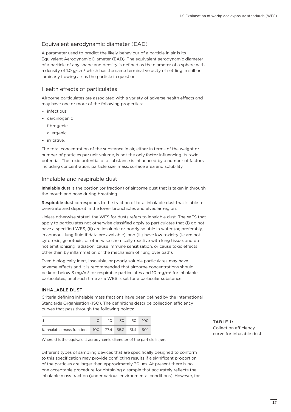#### Equivalent aerodynamic diameter (EAD)

A parameter used to predict the likely behaviour of a particle in air is its Equivalent Aerodynamic Diameter (EAD). The equivalent aerodynamic diameter of a particle of any shape and density is defined as the diameter of a sphere with a density of 1.0  $g/cm<sup>3</sup>$  which has the same terminal velocity of settling in still or laminarly flowing air as the particle in question.

#### Health effects of particulates

Airborne particulates are associated with a variety of adverse health effects and may have one or more of the following properties:

- infectious
- carcinogenic
- fibrogenic
- allergenic
- irritative.

The total concentration of the substance in air, either in terms of the weight or number of particles per unit volume, is not the only factor influencing its toxic potential. The toxic potential of a substance is influenced by a number of factors including concentration, particle size, mass, surface area and solubility.

#### Inhalable and respirable dust

Inhalable dust is the portion (or fraction) of airborne dust that is taken in through the mouth and nose during breathing.

Respirable dust corresponds to the fraction of total inhalable dust that is able to penetrate and deposit in the lower bronchioles and alveolar region.

Unless otherwise stated, the WES for dusts refers to inhalable dust. The WES that apply to particulates not otherwise classified apply to particulates that (i) do not have a specified WES, (ii) are insoluble or poorly soluble in water (or, preferably, in aqueous lung fluid if data are available), and (iii) have low toxicity (ie are not cytotoxic, genotoxic, or otherwise chemically reactive with lung tissue, and do not emit ionising radiation, cause immune sensitisation, or cause toxic effects other than by inflammation or the mechanism of 'lung overload').

Even biologically inert, insoluble, or poorly soluble particulates may have adverse effects and it is recommended that airborne concentrations should be kept below 3 mg/m<sup>3</sup> for respirable particulates and 10 mg/m<sup>3</sup> for inhalable particulates, until such time as a WES is set for a particular substance.

#### INHALABLE DUST

Criteria defining inhalable mass fractions have been defined by the International Standards Organisation (ISO). The definitions describe collection efficiency curves that pass through the following points:

| d                                                | $1 \cap$ | 30 I | 60 I | 100  |
|--------------------------------------------------|----------|------|------|------|
| % inhalable mass fraction  100  77.4  58.3  51.4 |          |      |      | 50.1 |

Where d is the equivalent aerodynamic diameter of the particle in  $\mu$ m.

Different types of sampling devices that are specifically designed to conform to this specification may provide conflicting results if a significant proportion of the particles are larger than approximately 30 µm. At present there is no one acceptable procedure for obtaining a sample that accurately reflects the inhalable mass fraction (under various environmental conditions). However, for

#### **TABLE 1:**  Collection efficiency curve for inhalable dust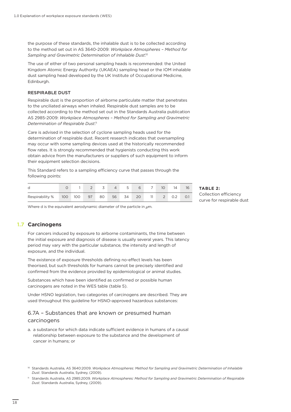the purpose of these standards, the inhalable dust is to be collected according to the method set out in AS 3640-2009: *Workplace Atmospheres – Method for Sampling and Gravimetric Determination of Inhalable Dust*. 10

The use of either of two personal sampling heads is recommended: the United Kingdom Atomic Energy Authority (UKAEA) sampling head or the IOM inhalable dust sampling head developed by the UK Institute of Occupational Medicine, Edinburgh.

#### RESPIRABLE DUST

Respirable dust is the proportion of airborne particulate matter that penetrates to the unciliated airways when inhaled. Respirable dust samples are to be collected according to the method set out in the Standards Australia publication AS 2985-2009: *Workplace Atmospheres – Method for Sampling and Gravimetric Determination of Respirable Dust*. 11

Care is advised in the selection of cyclone sampling heads used for the determination of respirable dust. Recent research indicates that oversampling may occur with some sampling devices used at the historically recommended flow rates. It is strongly recommended that hygienists conducting this work obtain advice from the manufacturers or suppliers of such equipment to inform their equipment selection decisions.

This Standard refers to a sampling efficiency curve that passes through the following points:

| d                                                   |  | $1 \quad 2 \quad 3$ | $\overline{4}$ | $-5$ $-1$ |  | 6 7 10 | 14 |  |
|-----------------------------------------------------|--|---------------------|----------------|-----------|--|--------|----|--|
| Respirability % 100 100 97 80 56 34 20 11 2 0.2 0.1 |  |                     |                |           |  |        |    |  |

**TABLE 2:**  Collection efficiency curve for respirable dust

Where d is the equivalent aerodynamic diameter of the particle in  $\mu$ m.

#### **Carcinogens 1.7**

For cancers induced by exposure to airborne contaminants, the time between the initial exposure and diagnosis of disease is usually several years. This latency period may vary with the particular substance, the intensity and length of exposure, and the individual.

The existence of exposure thresholds defining no-effect levels has been theorised, but such thresholds for humans cannot be precisely identified and confirmed from the evidence provided by epidemiological or animal studies.

Substances which have been identified as confirmed or possible human carcinogens are noted in the WES table (table 5).

Under HSNO legislation, two categories of carcinogens are described. They are used throughout this guideline for HSNO-approved hazardous substances:

#### 6.7A – Substances that are known or presumed human carcinogens

- a. a substance for which data indicate sufficient evidence in humans of a causal relationship between exposure to the substance and the development of cancer in humans; or
- <sup>10</sup> Standards Australia, AS 3640:2009. *Workplace Atmospheres: Method for Sampling and Gravimetric Determination of Inhalable Dust*. Standards Australia, Sydney, (2009).
- <sup>11</sup> Standards Australia, AS 2985:2009. *Workplace Atmospheres: Method for Sampling and Gravimetric Determination of Respirable Dust*. Standards Australia, Sydney, (2009).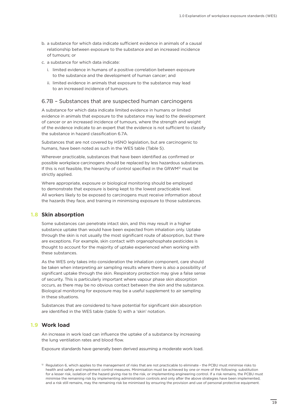- b. a substance for which data indicate sufficient evidence in animals of a causal relationship between exposure to the substance and an increased incidence of tumours; or
- c. a substance for which data indicate:
	- i. limited evidence in humans of a positive correlation between exposure to the substance and the development of human cancer; and
	- ii. limited evidence in animals that exposure to the substance may lead to an increased incidence of tumours.

#### 6.7B – Substances that are suspected human carcinogens

A substance for which data indicate limited evidence in humans or limited evidence in animals that exposure to the substance may lead to the development of cancer or an increased incidence of tumours, where the strength and weight of the evidence indicate to an expert that the evidence is not sufficient to classify the substance in hazard classification 6.7A.

Substances that are not covered by HSNO legislation, but are carcinogenic to humans, have been noted as such in the WES table (Table 5).

Wherever practicable, substances that have been identified as confirmed or possible workplace carcinogens should be replaced by less hazardous substances. If this is not feasible, the hierarchy of control specified in the GRWM<sup>12</sup> must be strictly applied.

Where appropriate, exposure or biological monitoring should be employed to demonstrate that exposure is being kept to the lowest practicable level. All workers likely to be exposed to carcinogens must receive information about the hazards they face, and training in minimising exposure to those substances.

#### **Skin absorption 1.8**

Some substances can penetrate intact skin, and this may result in a higher substance uptake than would have been expected from inhalation only. Uptake through the skin is not usually the most significant route of absorption, but there are exceptions. For example, skin contact with organophosphate pesticides is thought to account for the majority of uptake experienced when working with these substances.

As the WES only takes into consideration the inhalation component, care should be taken when interpreting air sampling results where there is also a possibility of significant uptake through the skin. Respiratory protection may give a false sense of security. This is particularly important where vapour phase skin absorption occurs, as there may be no obvious contact between the skin and the substance. Biological monitoring for exposure may be a useful supplement to air sampling in these situations.

Substances that are considered to have potential for significant skin absorption are identified in the WES table (table 5) with a 'skin' notation.

#### **Work load 1.9**

An increase in work load can influence the uptake of a substance by increasing the lung ventilation rates and blood flow.

Exposure standards have generally been derived assuming a moderate work load.

 $12$  Regulation 6, which applies to the management of risks that are not practicable to eliminate - the PCBU must minimise risks to health and safety and implement control measures. Minimisation must be achieved by one or more of the following: substitution for a lesser risk, isolation of the hazard giving rise to the risk, or implementing engineering control. If a risk remains, the PCBU must minimise the remaining risk by implementing administration controls and only after the above strategies have been implemented, and a risk still remains, may the remaining risk be minimised by ensuring the provision and use of personal protective equipment.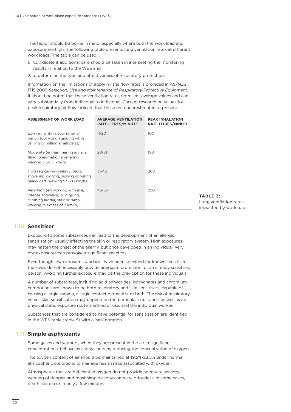This factor should be borne in mind, especially where both the work load and exposure are high. The following table presents lung ventilation rates at different work loads. The table can be used:

- 1. to indicate if additional care should be taken in interpreting the monitoring results in relation to the WES and
- 2. to determine the type and effectiveness of respiratory protection.

Information on the limitations of applying the flow rates is provided in AS/NZS 1715:2009 *Selection, Use and Maintenance of Respiratory Protective Equipment*. It should be noted that these ventilation rates represent average values and can vary substantially from individual to individual. Current research on values for peak inspiratory air flow indicate that these are underestimated at present.

| <b>ASSESSMENT OF WORK LOAD</b>                                                                                                       | <b>AVERAGE VENTILATION</b><br><b>RATE LITRES/MINUTE</b> | <b>PEAK INHALATION</b><br><b>RATE LITRES/MINUTE</b> |
|--------------------------------------------------------------------------------------------------------------------------------------|---------------------------------------------------------|-----------------------------------------------------|
| Low (eg writing, typing, small<br>bench tool work, standing while<br>drilling or milling small parts)                                | $11 - 20$                                               | 100                                                 |
| Moderate (eg hammering in nails,<br>filing, pneumatic hammering,<br>walking 3.5-5.5 km/h)                                            | $20 - 31$                                               | 150                                                 |
| High (eg carrying heavy loads,<br>shovelling, digging, pushing or pulling<br>heavy cart, walking 5.5-7.0 km/h)                       | $31 - 43$                                               | 200                                                 |
| Very high (eg working with axe,<br>intense shovelling or digging,<br>climbing ladder, stair or ramp,<br>walking in excess of 7 km/h) | 43-56                                                   | 250                                                 |

#### **TABLE 3:**  Lung ventilation rates impacted by workload

#### **1.10 Sensitiser**

Exposure to some substances can lead to the development of an allergic sensitisation, usually affecting the skin or respiratory system. High exposures may hasten the onset of the allergy, but once developed in an individual, very low exposures can provoke a significant reaction.

Even though low exposure standards have been specified for known sensitisers, the levels do not necessarily provide adequate protection for an already sensitised person. Avoiding further exposure may be the only option for these individuals.

A number of substances, including acid anhydrides, isocyanates and chromium compounds are known to be both respiratory and skin sensitisers, capable of causing allergic asthma, allergic contact dermatitis, or both. The risk of respiratory versus skin sensitisation may depend on the particular substance, as well as its physical state, exposure route, method of use, and the individual worker.

Substances that are considered to have potential for sensitisation are identified in the WES table (table 5) with a 'sen' notation.

#### **1.11 Simple asphyxiants**

Some gases and vapours, when they are present in the air in significant concentrations, behave as asphyxiants by reducing the concentration of oxygen.

The oxygen content of air should be maintained at 19.5%-23.5% under normal atmospheric conditions to manage health risks associated with oxygen.

Atmospheres that are deficient in oxygen do not provide adequate sensory warning of danger, and most simple asphyxiants are odourless. In some cases, death can occur in only a few minutes.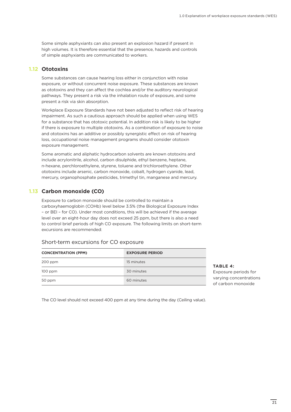Some simple asphyxiants can also present an explosion hazard if present in high volumes. It is therefore essential that the presence, hazards and controls of simple asphyxiants are communicated to workers.

#### **Ototoxins 1.12**

Some substances can cause hearing loss either in conjunction with noise exposure, or without concurrent noise exposure. These substances are known as ototoxins and they can affect the cochlea and/or the auditory neurological pathways. They present a risk via the inhalation route of exposure, and some present a risk via skin absorption.

Workplace Exposure Standards have not been adjusted to reflect risk of hearing impairment. As such a cautious approach should be applied when using WES for a substance that has ototoxic potential. In addition risk is likely to be higher if there is exposure to multiple ototoxins. As a combination of exposure to noise and ototoxins has an additive or possibly synergistic effect on risk of hearing loss, occupational noise management programs should consider ototoxin exposure management.

Some aromatic and aliphatic hydrocarbon solvents are known ototoxins and include acrylonitrile, alcohol, carbon disulphide, ethyl benzene, heptane, n-hexane, perchloroethylene, styrene, toluene and trichloroethylene. Other ototoxins include arsenic, carbon monoxide, cobalt, hydrogen cyanide, lead, mercury, organophosphate pesticides, trimethyl tin, manganese and mercury.

#### **Carbon monoxide (CO) 1.13**

Exposure to carbon monoxide should be controlled to maintain a carboxyhaemoglobin (COHb) level below 3.5% (the Biological Exposure Index – or BEI – for CO). Under most conditions, this will be achieved if the average level over an eight-hour day does not exceed 25 ppm, but there is also a need to control brief periods of high CO exposure. The following limits on short-term excursions are recommended:

| <b>CONCENTRATION (PPM)</b> | <b>EXPOSURE PERIOD</b> |
|----------------------------|------------------------|
| 200 ppm                    | 15 minutes             |
| $100$ ppm                  | 30 minutes             |
| 50 ppm                     | 60 minutes             |

#### Short-term excursions for CO exposure

**TABLE 4:**  Exposure periods for varying concentrations of carbon monoxide

The CO level should not exceed 400 ppm at any time during the day (Ceiling value).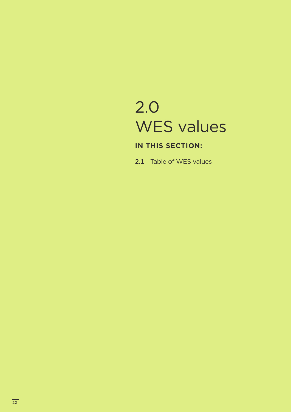## 2.0 WES values

### **IN THIS SECTION:**

2.1 Table of WES values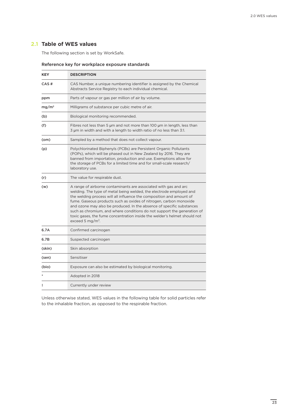#### **Table of WES values 2.1**

The following section is set by WorkSafe.

#### Reference key for workplace exposure standards

| <b>KEY</b>        | <b>DESCRIPTION</b>                                                                                                                                                                                                                                                                                                                                                                                                                                                                                                                                     |  |  |  |  |  |  |
|-------------------|--------------------------------------------------------------------------------------------------------------------------------------------------------------------------------------------------------------------------------------------------------------------------------------------------------------------------------------------------------------------------------------------------------------------------------------------------------------------------------------------------------------------------------------------------------|--|--|--|--|--|--|
| CAS#              | CAS Number, a unique numbering identifier is assigned by the Chemical<br>Abstracts Service Registry to each individual chemical.                                                                                                                                                                                                                                                                                                                                                                                                                       |  |  |  |  |  |  |
| ppm               | Parts of vapour or gas per million of air by volume.                                                                                                                                                                                                                                                                                                                                                                                                                                                                                                   |  |  |  |  |  |  |
| mg/m <sup>3</sup> | Milligrams of substance per cubic metre of air.                                                                                                                                                                                                                                                                                                                                                                                                                                                                                                        |  |  |  |  |  |  |
| (b)               | Biological monitoring recommended.                                                                                                                                                                                                                                                                                                                                                                                                                                                                                                                     |  |  |  |  |  |  |
| (f)               | Fibres not less than 5 µm and not more than 100 µm in length, less than<br>3 um in width and with a length to width ratio of no less than 3:1.                                                                                                                                                                                                                                                                                                                                                                                                         |  |  |  |  |  |  |
| (om)              | Sampled by a method that does not collect vapour.                                                                                                                                                                                                                                                                                                                                                                                                                                                                                                      |  |  |  |  |  |  |
| (p)               | Polychlorinated Biphenyls (PCBs) are Persistent Organic Pollutants<br>(POPs), which will be phased out in New Zealand by 2016. They are<br>banned from importation, production and use. Exemptions allow for<br>the storage of PCBs for a limited time and for small-scale research/<br>laboratory use.                                                                                                                                                                                                                                                |  |  |  |  |  |  |
| (r)               | The value for respirable dust.                                                                                                                                                                                                                                                                                                                                                                                                                                                                                                                         |  |  |  |  |  |  |
| (w)               | A range of airborne contaminants are associated with gas and arc<br>welding. The type of metal being welded, the electrode employed and<br>the welding process will all influence the composition and amount of<br>fume. Gaseous products such as oxides of nitrogen, carbon monoxide<br>and ozone may also be produced. In the absence of specific substances<br>such as chromium, and where conditions do not support the generation of<br>toxic gases, the fume concentration inside the welder's helmet should not<br>exceed 5 mg/m <sup>3</sup> . |  |  |  |  |  |  |
| 6.7A              | Confirmed carcinogen                                                                                                                                                                                                                                                                                                                                                                                                                                                                                                                                   |  |  |  |  |  |  |
| 6.7B              | Suspected carcinogen                                                                                                                                                                                                                                                                                                                                                                                                                                                                                                                                   |  |  |  |  |  |  |
| (skin)            | Skin absorption                                                                                                                                                                                                                                                                                                                                                                                                                                                                                                                                        |  |  |  |  |  |  |
| (sen)             | Sensitiser                                                                                                                                                                                                                                                                                                                                                                                                                                                                                                                                             |  |  |  |  |  |  |
| (bio)             | Exposure can also be estimated by biological monitoring.                                                                                                                                                                                                                                                                                                                                                                                                                                                                                               |  |  |  |  |  |  |
|                   | Adopted in 2018                                                                                                                                                                                                                                                                                                                                                                                                                                                                                                                                        |  |  |  |  |  |  |
| ŧ                 | Currently under review                                                                                                                                                                                                                                                                                                                                                                                                                                                                                                                                 |  |  |  |  |  |  |

Unless otherwise stated, WES values in the following table for solid particles refer to the inhalable fraction, as opposed to the respirable fraction.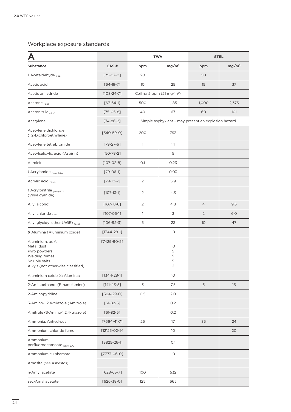#### Workplace exposure standards

| Д                                                                                                                     |                   |                 | <b>TWA</b>                                          | <b>STEL</b>    |                   |  |
|-----------------------------------------------------------------------------------------------------------------------|-------------------|-----------------|-----------------------------------------------------|----------------|-------------------|--|
| Substance                                                                                                             | CAS#              | ppm             | mg/m <sup>3</sup>                                   | ppm            | mg/m <sup>3</sup> |  |
| ‡ Acetaldehyde 67B                                                                                                    | $[75-07-0]$       | 20              |                                                     | 50             |                   |  |
| Acetic acid                                                                                                           | $[64-19-7]$       | 10 <sup>°</sup> | 25                                                  | 15             | 37                |  |
| Acetic anhydride                                                                                                      | $[108 - 24 - 7]$  |                 | Ceiling 5 ppm (21 mg/m <sup>3</sup> )               |                |                   |  |
| Acetone <sub>(bio)</sub>                                                                                              | $[67 - 64 - 1]$   | 500             | 1,185                                               | 1,000          | 2,375             |  |
| Acetonitrile (skin)                                                                                                   | $[75-05-8]$       | 40              | 67                                                  | 60             | 101               |  |
| Acetylene                                                                                                             | $[74 - 86 - 2]$   |                 | Simple asphyxiant - may present an explosion hazard |                |                   |  |
| Acetylene dichloride<br>(1,2-Dichloroethylene)                                                                        | $[540 - 59 - 0]$  | 200             | 793                                                 |                |                   |  |
| Acetylene tetrabromide                                                                                                | $[79-27-6]$       | $\mathbf{1}$    | 14                                                  |                |                   |  |
| Acetylsalicylic acid (Aspirin)                                                                                        | $[50 - 78 - 2]$   |                 | 5                                                   |                |                   |  |
| Acrolein                                                                                                              | $[107 - 02 - 8]$  | O.1             | 0.23                                                |                |                   |  |
| ‡ Acrylamide (skin) 6.7A                                                                                              | $[79 - 06 - 1]$   |                 | 0.03                                                |                |                   |  |
| Acrylic acid (skin)                                                                                                   | $[79-10-7]$       | 2               | 5.9                                                 |                |                   |  |
| ‡ Acrylonitrile (skin) 6.7A<br>(Vinyl cyanide)                                                                        | $[107 - 13 - 1]$  | $\overline{2}$  | 4.3                                                 |                |                   |  |
| Allyl alcohol                                                                                                         | $[107-18-6]$      | 2               | 4.8                                                 | $\overline{4}$ | 9.5               |  |
| Allyl chloride 67B                                                                                                    | $[107 - 05 - 1]$  | $\mathbf{1}$    | 3                                                   | $\overline{2}$ | 6.0               |  |
| Allyl glycidyl ether (AGE) (skin)                                                                                     | $[106 - 92 - 3]$  | 5               | 23                                                  | 10             | 47                |  |
| $\alpha$ Alumina (Aluminium oxide)                                                                                    | $[1344 - 28 - 1]$ |                 | 10 <sup>°</sup>                                     |                |                   |  |
| Aluminium, as Al<br>Metal dust<br>Pyro powders<br>Welding fumes<br>Soluble salts<br>Alkyls (not otherwise classified) | $[7429-90-5]$     |                 | 10<br>5<br>5<br>5<br>$\overline{2}$                 |                |                   |  |
| Aluminium oxide $(\alpha$ Alumina)                                                                                    | $[1344 - 28 - 1]$ |                 | 10                                                  |                |                   |  |
| 2-Aminoethanol (Ethanolamine)                                                                                         | $[141 - 43 - 5]$  | 3               | 7.5                                                 | 6              | 15                |  |
| 2-Aminopyridine                                                                                                       | $[504-29-0]$      | 0.5             | 2.0                                                 |                |                   |  |
| 3-Amino-1,2,4-triazole (Amitrole)                                                                                     | $[61-82-5]$       |                 | 0.2                                                 |                |                   |  |
| Amitrole (3-Amino-1,2,4-triazole)                                                                                     | $[61-82-5]$       |                 | 0.2                                                 |                |                   |  |
| Ammonia, Anhydrous                                                                                                    | $[7664 - 41 - 7]$ | 25              | 17                                                  | 35             | 24                |  |
| Ammonium chloride fume                                                                                                | $[12125-02-9]$    |                 | 10 <sup>°</sup>                                     |                | 20                |  |
| Ammonium<br>perfluorooctanoate (skin) 6.7B                                                                            | $[3825 - 26 - 1]$ |                 | O.1                                                 |                |                   |  |
| Ammonium sulphamate                                                                                                   | $[7773-06-0]$     |                 | 10 <sup>°</sup>                                     |                |                   |  |
| Amosite (see Asbestos)                                                                                                |                   |                 |                                                     |                |                   |  |
| n-Amyl acetate                                                                                                        | $[628-63-7]$      | 100             | 532                                                 |                |                   |  |
| sec-Amyl acetate                                                                                                      | $[626 - 38 - 0]$  | 125             | 665                                                 |                |                   |  |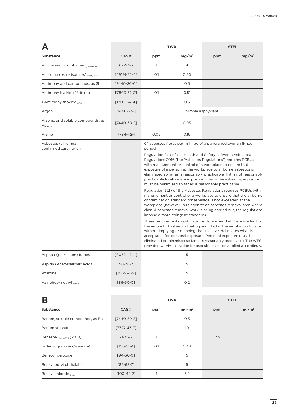|                                                   |                    |                   | <b>TWA</b>                                                                                                                                                                                                                                                                                                                                                                                                                                                                                                                                                                                                                                                                                                                                                                                                                                                                                                                                                                                                                                                                                                                                                                                                                                                                                                                                                   | <b>STEL</b> |                   |  |
|---------------------------------------------------|--------------------|-------------------|--------------------------------------------------------------------------------------------------------------------------------------------------------------------------------------------------------------------------------------------------------------------------------------------------------------------------------------------------------------------------------------------------------------------------------------------------------------------------------------------------------------------------------------------------------------------------------------------------------------------------------------------------------------------------------------------------------------------------------------------------------------------------------------------------------------------------------------------------------------------------------------------------------------------------------------------------------------------------------------------------------------------------------------------------------------------------------------------------------------------------------------------------------------------------------------------------------------------------------------------------------------------------------------------------------------------------------------------------------------|-------------|-------------------|--|
| <b>Substance</b>                                  | CAS#               | ppm               | mg/m <sup>3</sup>                                                                                                                                                                                                                                                                                                                                                                                                                                                                                                                                                                                                                                                                                                                                                                                                                                                                                                                                                                                                                                                                                                                                                                                                                                                                                                                                            | ppm         | mg/m <sup>3</sup> |  |
| Aniline and homologues (Skin) 6.7B                | $[62 - 53 - 3]$    | 1                 | 4                                                                                                                                                                                                                                                                                                                                                                                                                                                                                                                                                                                                                                                                                                                                                                                                                                                                                                                                                                                                                                                                                                                                                                                                                                                                                                                                                            |             |                   |  |
| Anisidine (o-, p- isomers) (skin) 6.7B            | $[29191 - 52 - 4]$ | O.1               | 0.50                                                                                                                                                                                                                                                                                                                                                                                                                                                                                                                                                                                                                                                                                                                                                                                                                                                                                                                                                                                                                                                                                                                                                                                                                                                                                                                                                         |             |                   |  |
| Antimony and compounds, as Sb                     | $[7440 - 36 - 0]$  |                   | 0.5                                                                                                                                                                                                                                                                                                                                                                                                                                                                                                                                                                                                                                                                                                                                                                                                                                                                                                                                                                                                                                                                                                                                                                                                                                                                                                                                                          |             |                   |  |
| Antimony hydride (Stibine)                        | $[7803 - 52 - 3]$  | O.1               | 0.51                                                                                                                                                                                                                                                                                                                                                                                                                                                                                                                                                                                                                                                                                                                                                                                                                                                                                                                                                                                                                                                                                                                                                                                                                                                                                                                                                         |             |                   |  |
| ‡ Antimony trioxide 67B                           | $[1309 - 64 - 4]$  |                   | 0.5                                                                                                                                                                                                                                                                                                                                                                                                                                                                                                                                                                                                                                                                                                                                                                                                                                                                                                                                                                                                                                                                                                                                                                                                                                                                                                                                                          |             |                   |  |
| Argon                                             | $[7440 - 37 - 1]$  | Simple asphyxiant |                                                                                                                                                                                                                                                                                                                                                                                                                                                                                                                                                                                                                                                                                                                                                                                                                                                                                                                                                                                                                                                                                                                                                                                                                                                                                                                                                              |             |                   |  |
| Arsenic and soluble compounds, as<br>As $_{6.7A}$ | [7440-38-2]        |                   | 0.05                                                                                                                                                                                                                                                                                                                                                                                                                                                                                                                                                                                                                                                                                                                                                                                                                                                                                                                                                                                                                                                                                                                                                                                                                                                                                                                                                         |             |                   |  |
| Arsine                                            | $[7784 - 42 - 1]$  | 0.05              | 0.16                                                                                                                                                                                                                                                                                                                                                                                                                                                                                                                                                                                                                                                                                                                                                                                                                                                                                                                                                                                                                                                                                                                                                                                                                                                                                                                                                         |             |                   |  |
| Asbestos (all forms)<br>confirmed carcinogen      |                    | period.           | 0.1 asbestos fibres per millilitre of air, averaged over an 8-hour<br>Regulation 9(1) of the Health and Safety at Work (Asbestos)<br>Regulations 2016 (the 'Asbestos Regulations') requires PCBUs<br>with management or control of a workplace to ensure that<br>exposure of a person at the workplace to airborne asbestos is<br>eliminated so far as is reasonably practicable. If it is not reasonably<br>practicable to eliminate exposure to airborne asbestos, exposure<br>must be minimised so far as is reasonably practicable.<br>Regulation 9(2) of the Asbestos Regulations requires PCBUs with<br>management or control of a workplace to ensure that the airborne<br>contamination standard for asbestos is not exceeded at the<br>workplace (however, in relation to an asbestos removal area where<br>class A asbestos removal work is being carried out, the regulations<br>impose a more stringent standard).<br>These requirements work together to ensure that there is a limit to<br>the amount of asbestos that is permitted in the air of a workplace,<br>without implying or meaning that the level delineates what is<br>acceptable for personal exposure. Personal exposure must be<br>eliminated or minimised so far as is reasonably practicable. The WES<br>provided within this guide for asbestos must be applied accordingly. |             |                   |  |

| Asphalt (petroleum) fumes      | [8052-42-4]       |     |  |
|--------------------------------|-------------------|-----|--|
| Aspirin (Acetylsalicylic acid) | $[50 - 78 - 2]$   |     |  |
| Atrazine                       | $[1912 - 24 - 9]$ |     |  |
| Azinphos-methyl (skin)         | $[86 - 50 - 0]$   | 0.2 |  |

| B                                |                   | <b>TWA</b> |                   | <b>STEL</b> |                   |
|----------------------------------|-------------------|------------|-------------------|-------------|-------------------|
| Substance                        | CAS#              | ppm        | mg/m <sup>3</sup> | ppm         | mg/m <sup>3</sup> |
| Barium, soluble compounds, as Ba | [7440-39-3]       |            | 0.5               |             |                   |
| Barium sulphate                  | $[7727 - 43 - 7]$ |            | 10                |             |                   |
| Benzene $_{(skin) 6.7A}$ (2010)  | $[71 - 43 - 2]$   |            |                   | 2.5         |                   |
| p-Benzoguinone (Quinone)         | $[106 - 51 - 4]$  | O.1        | 0.44              |             |                   |
| Benzoyl peroxide                 | $[94 - 36 - 0]$   |            | 5                 |             |                   |
| Benzyl butyl phthalate           | $[85-68-7]$       |            | 5                 |             |                   |
| Benzyl chloride 6.7A             | $[100-44-7]$      |            | 5.2               |             |                   |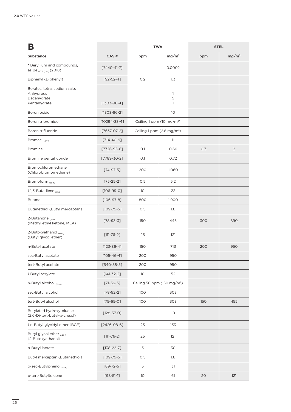| B                                                                        |                    | <b>TWA</b>                            |                                         | <b>STEL</b> |                   |
|--------------------------------------------------------------------------|--------------------|---------------------------------------|-----------------------------------------|-------------|-------------------|
| Substance                                                                | CAS#               | ppm                                   | mg/m <sup>3</sup>                       | ppm         | mg/m <sup>3</sup> |
| * Beryllium and compounds,<br>as Be <sub>6.7A (sen)</sub> (2018)         | $[7440 - 41 - 7]$  |                                       | 0.0002                                  |             |                   |
| Biphenyl (Diphenyl)                                                      | $[92 - 52 - 4]$    | O.2                                   | 1.3                                     |             |                   |
| Borates, tetra, sodium salts<br>Anhydrous<br>Decahydrate<br>Pentahydrate | $[1303 - 96 - 4]$  |                                       | 1<br>5<br>1                             |             |                   |
| Boron oxide                                                              | $[1303 - 86 - 2]$  |                                       | 10                                      |             |                   |
| Boron tribromide                                                         | $[10294 - 33 - 4]$ | Ceiling 1 ppm (10 mg/m <sup>3</sup> ) |                                         |             |                   |
| Boron trifluoride                                                        | $[7637-07-2]$      |                                       | Ceiling 1 ppm (2.8 mg/m <sup>3</sup> )  |             |                   |
| Bromacil <sub>6.7B</sub>                                                 | $[314 - 40 - 9]$   | 1                                     | 11                                      |             |                   |
| <b>Bromine</b>                                                           | $[7726 - 95 - 6]$  | O.1                                   | 0.66                                    | 0.3         | $\overline{2}$    |
| Bromine pentafluoride                                                    | $[7789 - 30 - 2]$  | O.1                                   | 0.72                                    |             |                   |
| Bromochloromethane<br>(Chlorobromomethane)                               | $[74-97-5]$        | 200                                   | 1,060                                   |             |                   |
| Bromoform (skin)                                                         | $[75 - 25 - 2]$    | 0.5                                   | 5.2                                     |             |                   |
| ‡1,3-Butadiene 6.7A                                                      | $[106-99-0]$       | 10                                    | 22                                      |             |                   |
| <b>Butane</b>                                                            | $[106-97-8]$       | 800                                   | 1,900                                   |             |                   |
| Butanethiol (Butyl mercaptan)                                            | $[109 - 79 - 5]$   | 0.5                                   | 1.8                                     |             |                   |
| 2-Butanone (bio)<br>(Methyl ethyl ketone, MEK)                           | $[78 - 93 - 3]$    | 150                                   | 445                                     | 300         | 890               |
| 2-Butoxyethanol (skin)<br>(Butyl glycol ether)                           | $[111 - 76 - 2]$   | 25                                    | 121                                     |             |                   |
| n-Butyl acetate                                                          | $[123 - 86 - 4]$   | 150                                   | 713                                     | 200         | 950               |
| sec-Butyl acetate                                                        | $[105 - 46 - 4]$   | 200                                   | 950                                     |             |                   |
| tert-Butyl acetate                                                       | $[540-88-5]$       | 200                                   | 950                                     |             |                   |
| ‡ Butyl acrylate                                                         | $[141-32-2]$       | 10                                    | 52                                      |             |                   |
| n-Butyl alcohol (skin)                                                   | $[71-36-3]$        |                                       | Ceiling 50 ppm (150 mg/m <sup>3</sup> ) |             |                   |
| sec-Butyl alcohol                                                        | $[78-92-2]$        | 100                                   | 303                                     |             |                   |
| tert-Butyl alcohol                                                       | $[75 - 65 - 0]$    | 100                                   | 303                                     | 150         | 455               |
| Butylated hydroxytoluene<br>(2,6-Di-tert-butyl-p-cresol)                 | $[128 - 37 - 0]$   |                                       | 10 <sup>°</sup>                         |             |                   |
| ‡ n-Butyl glycidyl ether (BGE)                                           | $[2426 - 08 - 6]$  | 25                                    | 133                                     |             |                   |
| Butyl glycol ether (skin)<br>(2-Butoxyethanol)                           | $[111 - 76 - 2]$   | 25                                    | 121                                     |             |                   |
| n-Butyl lactate                                                          | $[138 - 22 - 7]$   | 5                                     | 30                                      |             |                   |
| Butyl mercaptan (Butanethiol)                                            | $[109 - 79 - 5]$   | 0.5                                   | 1.8                                     |             |                   |
| o-sec-Butylphenol (skin)                                                 | $[89 - 72 - 5]$    | 5                                     | 31                                      |             |                   |
| p-tert-Butyltoluene                                                      | $[98 - 51 - 1]$    | 10 <sup>°</sup>                       | 61                                      | 20          | 121               |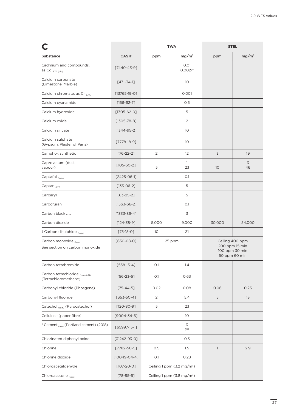|                                                          |                    |                | <b>TWA</b>                             | <b>STEL</b>                                                          |                   |
|----------------------------------------------------------|--------------------|----------------|----------------------------------------|----------------------------------------------------------------------|-------------------|
| Substance                                                | CAS#               | ppm            | mg/m <sup>3</sup>                      | ppm                                                                  | mg/m <sup>3</sup> |
| Cadmium and compounds,<br>as Cd $_{6.7A\,(bio)}$         | $[7440 - 43 - 9]$  |                | 0.01<br>0.002 <sup>(r)</sup>           |                                                                      |                   |
| Calcium carbonate<br>(Limestone, Marble)                 | $[471 - 34 - 1]$   |                | 10                                     |                                                                      |                   |
| Calcium chromate, as Cr 67A                              | $[13765-19-0]$     |                | 0.001                                  |                                                                      |                   |
| Calcium cyanamide                                        | $[156-62-7]$       |                | 0.5                                    |                                                                      |                   |
| Calcium hydroxide                                        | $[1305 - 62 - 0]$  |                | 5                                      |                                                                      |                   |
| Calcium oxide                                            | $[1305 - 78 - 8]$  |                | $\overline{2}$                         |                                                                      |                   |
| Calcium silicate                                         | $[1344-95-2]$      |                | 10                                     |                                                                      |                   |
| Calcium sulphate<br>(Gypsum, Plaster of Paris)           | $[7778-18-9]$      |                | 10                                     |                                                                      |                   |
| Camphor, synthetic                                       | $[76-22-2]$        | 2              | 12                                     | 3                                                                    | 19                |
| Caprolactam (dust<br>vapour)                             | $[105 - 60 - 2]$   | 5              | $\mathbf{1}$<br>23                     | 10                                                                   | 3<br>46           |
| Captafol $_{(skin)}$                                     | $[2425-06-1]$      |                | O.1                                    |                                                                      |                   |
| Captan $_{6.7B}$                                         | $[133-06-2]$       |                | 5                                      |                                                                      |                   |
| Carbaryl                                                 | $[63 - 25 - 2]$    |                | 5                                      |                                                                      |                   |
| Carbofuran                                               | $[1563 - 66 - 2]$  |                | O.1                                    |                                                                      |                   |
| Carbon black $_{6.7B}$                                   | $[1333 - 86 - 4]$  |                | 3                                      |                                                                      |                   |
| Carbon dioxide                                           | $[124 - 38 - 9]$   | 5,000          | 9,000                                  | 30,000                                                               | 54,000            |
| ‡ Carbon disulphide (skin)                               | $[75-15-0]$        | 10             | 31                                     |                                                                      |                   |
| Carbon monoxide (bio)<br>See section on carbon monoxide  | $[630-08-0]$       |                | 25 ppm                                 | Ceiling 400 ppm<br>200 ppm 15 min<br>100 ppm 30 min<br>50 ppm 60 min |                   |
| Carbon tetrabromide                                      | $[558-13-4]$       | O.1            | 1.4                                    |                                                                      |                   |
| Carbon tetrachloride (skin) 6.7B<br>(Tetrachloromethane) | $[56 - 23 - 5]$    | O.1            | 0.63                                   |                                                                      |                   |
| Carbonyl chloride (Phosgene)                             | $[75 - 44 - 5]$    | 0.02           | 0.08                                   | 0.06                                                                 | 0.25              |
| Carbonyl fluoride                                        | $[353 - 50 - 4]$   | $\overline{2}$ | 5.4                                    | 5                                                                    | 13                |
| Catechol (skin) (Pyrocatechol)                           | $[120-80-9]$       | 5              | 23                                     |                                                                      |                   |
| Cellulose (paper fibre)                                  | $[9004 - 34 - 6]$  |                | 10                                     |                                                                      |                   |
| * Cement (sen) (Portland cement) (2018)                  | $[65997-15-1]$     |                | 3<br>1 <sup>(r)</sup>                  |                                                                      |                   |
| Chlorinated diphenyl oxide                               | $[31242-93-0]$     |                | 0.5                                    |                                                                      |                   |
| Chlorine                                                 | $[7782 - 50 - 5]$  | 0.5            | 1.5                                    | $\mathbf{1}$                                                         | 2.9               |
| Chlorine dioxide                                         | $[10049 - 04 - 4]$ | O.1            | 0.28                                   |                                                                      |                   |
| Chloroacetaldehyde                                       | $[107 - 20 - 0]$   |                | Ceiling 1 ppm $(3.2 \text{ mg/m}^3)$   |                                                                      |                   |
| Chloroacetone (skin)                                     | $[78 - 95 - 5]$    |                | Ceiling 1 ppm (3.8 mg/m <sup>3</sup> ) |                                                                      |                   |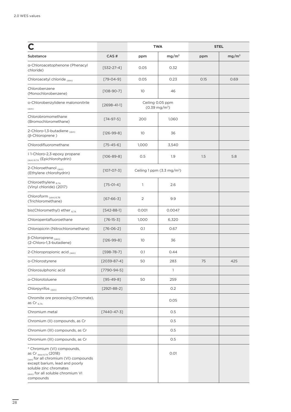|                                                                                                                                                                                                                          |                   | <b>TWA</b>      |                                             | <b>STEL</b> |                   |
|--------------------------------------------------------------------------------------------------------------------------------------------------------------------------------------------------------------------------|-------------------|-----------------|---------------------------------------------|-------------|-------------------|
| Substance                                                                                                                                                                                                                | CAS#              | ppm             | mg/m <sup>3</sup>                           | ppm         | mg/m <sup>3</sup> |
| a-Chloroacetophenone (Phenacyl<br>chloride)                                                                                                                                                                              | $[532-27-4]$      | 0.05            | 0.32                                        |             |                   |
| Chloroacetyl chloride (skin)                                                                                                                                                                                             | $[79 - 04 - 9]$   | 0.05            | 0.23                                        | 0.15        | 0.69              |
| Chlorobenzene<br>(Monochlorobenzene)                                                                                                                                                                                     | $[108 - 90 - 7]$  | 10              | 46                                          |             |                   |
| o-Chlorobenzylidene malononitrile<br>(skin)                                                                                                                                                                              | $[2698 - 41 - 1]$ |                 | Ceiling 0.05 ppm<br>$(0.39 \text{ mg/m}^3)$ |             |                   |
| Chlorobromomethane<br>(Bromochloromethane)                                                                                                                                                                               | $[74-97-5]$       | 200             | 1,060                                       |             |                   |
| 2-Chloro-1,3-butadiene (skin)<br>$(\beta$ -Chloroprene)                                                                                                                                                                  | $[126-99-8]$      | 10              | 36                                          |             |                   |
| Chlorodifluoromethane                                                                                                                                                                                                    | $[75 - 45 - 6]$   | 1,000           | 3,540                                       |             |                   |
| ‡1-Chloro-2,3-epoxy propane<br>(skin) 6.7A (Epichlorohydrin)                                                                                                                                                             | $[106 - 89 - 8]$  | 0.5             | 1.9                                         | 1.5         | 5.8               |
| 2-Chloroethanol (skin)<br>(Ethylene chlorohydrin)                                                                                                                                                                        | $[107 - 07 - 3]$  |                 | Ceiling 1 ppm $(3.3 \text{ mg/m}^3)$        |             |                   |
| Chloroethylene 6.7A<br>(Vinyl chloride) (2017)                                                                                                                                                                           | $[75-01-4]$       | 1               | 2.6                                         |             |                   |
| Chloroform $_{(skin) 6.7B}$<br>(Trichloromethane)                                                                                                                                                                        | $[67 - 66 - 3]$   | 2               | 9.9                                         |             |                   |
| bis(Chloromethyl) ether 6.7A                                                                                                                                                                                             | $[542 - 88 - 1]$  | 0.001           | 0.0047                                      |             |                   |
| Chloropentafluoroethane                                                                                                                                                                                                  | $[76-15-3]$       | 1,000           | 6,320                                       |             |                   |
| Chloropicrin (Nitrochloromethane)                                                                                                                                                                                        | $[76 - 06 - 2]$   | O.1             | 0.67                                        |             |                   |
| $\beta$ -Chloroprene <sub>(skin)</sub><br>(2-Chloro-1,3-butadiene)                                                                                                                                                       | $[126-99-8]$      | 10 <sup>°</sup> | 36                                          |             |                   |
| 2-Chloropropionic acid (skin)                                                                                                                                                                                            | $[598 - 78 - 7]$  | O.1             | 0.44                                        |             |                   |
| o-Chlorostyrene                                                                                                                                                                                                          | $[2039-87-4]$     | 50              | 283                                         | 75          | 425               |
| Chlorosulphonic acid                                                                                                                                                                                                     | $[7790-94-5]$     |                 | $\mathbf{1}$                                |             |                   |
| o-Chlorotoluene                                                                                                                                                                                                          | $[95 - 49 - 8]$   | 50              | 259                                         |             |                   |
| Chlorpyrifos (skin)                                                                                                                                                                                                      | $[2921-88-2]$     |                 | 0.2                                         |             |                   |
| Chromite ore processing (Chromate),<br>as Cr $_{6.7A}$                                                                                                                                                                   |                   |                 | 0.05                                        |             |                   |
| Chromium metal                                                                                                                                                                                                           | $[7440 - 47 - 3]$ |                 | 0.5                                         |             |                   |
| Chromium (II) compounds, as Cr                                                                                                                                                                                           |                   |                 | 0.5                                         |             |                   |
| Chromium (III) compounds, as Cr                                                                                                                                                                                          |                   |                 | 0.5                                         |             |                   |
| Chromium (III) compounds, as Cr                                                                                                                                                                                          |                   |                 | 0.5                                         |             |                   |
| * Chromium (VI) compounds,<br>as Cr (bio) 6.7A (2018)<br><sub>(sen)</sub> for all chromium (VI) compounds<br>except barium, lead and poorly<br>soluble zinc chromates<br>(skin) for all soluble chromium VI<br>compounds |                   |                 | 0.01                                        |             |                   |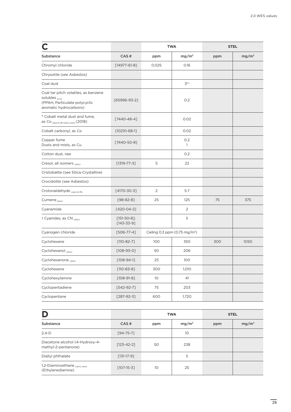|                                                                                                                       |                                   |                 | <b>TWA</b>                                | <b>STEL</b> |                   |
|-----------------------------------------------------------------------------------------------------------------------|-----------------------------------|-----------------|-------------------------------------------|-------------|-------------------|
| Substance                                                                                                             | CAS#                              | ppm             | mg/m <sup>3</sup>                         | ppm         | mg/m <sup>3</sup> |
| Chromyl chloride                                                                                                      | $[14977 - 61 - 8]$                | 0.025           | 0.16                                      |             |                   |
| Chrysotile (see Asbestos)                                                                                             |                                   |                 |                                           |             |                   |
| Coal dust                                                                                                             |                                   |                 | 3(r)                                      |             |                   |
| Coal tar pitch volatiles, as benzene<br>solubles $_{6.7A}$<br>(PPAH, Particulate polycyclic<br>aromatic hydrocarbons) | $[65996-93-2]$                    |                 | 0.2                                       |             |                   |
| * Cobalt metal dust and fume,<br>as Co (bio) 6.7B (skin) (sen) (2018)                                                 | $[7440 - 48 - 4]$                 |                 | 0.02                                      |             |                   |
| Cobalt carbonyl, as Co                                                                                                | $[10210 - 68 - 1]$                |                 | 0.02                                      |             |                   |
| Copper fume<br>Dusts and mists, as Cu                                                                                 | $[7440 - 50 - 8]$                 |                 | 0.2<br>$\mathbf{1}$                       |             |                   |
| Cotton dust, raw                                                                                                      |                                   |                 | 0.2                                       |             |                   |
| Cresol, all isomers (skin)                                                                                            | $[1319 - 77 - 3]$                 | 5               | 22                                        |             |                   |
| Cristobalite (see Silica-Crystalline)                                                                                 |                                   |                 |                                           |             |                   |
| Crocidolite (see Asbestos)                                                                                            |                                   |                 |                                           |             |                   |
| Crotonaldehyde (skin) 6.7B                                                                                            | $[4170 - 30 - 3]$                 | 2               | 5.7                                       |             |                   |
| Cumene (skin)                                                                                                         | $[98 - 82 - 8]$                   | 25              | 125                                       | 75          | 375               |
| Cyanamide                                                                                                             | $[420 - 04 - 2]$                  |                 | 2                                         |             |                   |
| ‡ Cyanides, as CN (skin)                                                                                              | $[151-50-8];$<br>$[143 - 33 - 9]$ |                 | 5                                         |             |                   |
| Cyanogen chloride                                                                                                     | $[506 - 77 - 4]$                  |                 | Ceiling 0.3 ppm (0.75 mg/m <sup>3</sup> ) |             |                   |
| Cyclohexane                                                                                                           | $[110-82-7]$                      | 100             | 350                                       | 300         | 1050              |
| Cyclohexanol (skin)                                                                                                   | $[108-93-0]$                      | 50              | 206                                       |             |                   |
| Cyclohexanone (skin)                                                                                                  | $[108 - 94 - 1]$                  | 25              | 100                                       |             |                   |
| Cyclohexene                                                                                                           | $[110 - 83 - 8]$                  | 300             | 1,010                                     |             |                   |
| Cyclohexylamine                                                                                                       | $[108-91-8]$                      | 10 <sup>°</sup> | 41                                        |             |                   |
| Cyclopentadiene                                                                                                       | $[542-92-7]$                      | 75              | 203                                       |             |                   |
| Cyclopentane                                                                                                          | $[287-92-3]$                      | 600             | 1,720                                     |             |                   |

| D                                                      |                  | <b>TWA</b> |                   | <b>STEL</b> |                   |
|--------------------------------------------------------|------------------|------------|-------------------|-------------|-------------------|
| Substance                                              | CAS#             | ppm        | mg/m <sup>3</sup> | ppm         | mg/m <sup>3</sup> |
| $2,4-D$                                                | $[94 - 75 - 7]$  |            | 10                |             |                   |
| Diacetone alcohol (4-Hydroxy-4-<br>methyl-2-pentanone) | $[123 - 42 - 2]$ | 50         | 238               |             |                   |
| Diallyl phthalate                                      | $[131-17-9]$     |            | 5                 |             |                   |
| 1,2-Diaminoethane (skin) (sen)<br>(Ethylenediamine)    | $[107 - 15 - 3]$ | 10         | 25                |             |                   |

 $\overline{29}$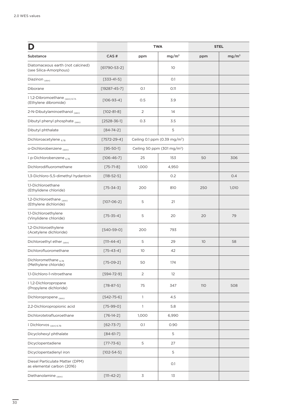|                                                               |                    | <b>TWA</b>     |                                           | <b>STEL</b>     |                   |
|---------------------------------------------------------------|--------------------|----------------|-------------------------------------------|-----------------|-------------------|
| Substance                                                     | CAS#               | ppm            | mg/m <sup>3</sup>                         | ppm             | mg/m <sup>3</sup> |
| Diatomaceous earth (not calcined)<br>(see Silica-Amorphous)   | $[61790 - 53 - 2]$ |                | 10                                        |                 |                   |
| Diazinon (skin)                                               | $[333-41-5]$       |                | 0.1                                       |                 |                   |
| Diborane                                                      | $[19287 - 45 - 7]$ | O.1            | 0.11                                      |                 |                   |
| #1,2-Dibromoethane (skin) 6.7A<br>(Ethylene dibromide)        | $[106 - 93 - 4]$   | 0.5            | 3.9                                       |                 |                   |
| 2-N-Dibutylaminoethanol (skin)                                | $[102 - 81 - 8]$   | 2              | 14                                        |                 |                   |
| Dibutyl phenyl phosphate (skin)                               | $[2528 - 36 - 1]$  | 0.3            | 3.5                                       |                 |                   |
| Dibutyl phthalate                                             | $[84 - 74 - 2]$    |                | 5                                         |                 |                   |
| Dichloroacetylene 67B                                         | $[7572-29-4]$      |                | Ceiling 0.1 ppm (0.39 mg/m <sup>3</sup> ) |                 |                   |
| o-Dichlorobenzene (skin)                                      | $[95 - 50 - 1]$    |                | Ceiling 50 ppm (301 mg/m <sup>3</sup> )   |                 |                   |
| ‡ p-Dichlorobenzene 67B                                       | $[106 - 46 - 7]$   | 25             | 153                                       | 50              | 306               |
| Dichlorodifluoromethane                                       | $[75 - 71 - 8]$    | 1,000          | 4,950                                     |                 |                   |
| 1,3-Dichloro-5,5-dimethyl hydantoin                           | $[118 - 52 - 5]$   |                | 0.2                                       |                 | 0.4               |
| 1,1-Dichloroethane<br>(Ethylidene chloride)                   | $[75 - 34 - 3]$    | 200            | 810                                       | 250             | 1,010             |
| 1,2-Dichloroethane (skin)<br>(Ethylene dichloride)            | $[107 - 06 - 2]$   | 5              | 21                                        |                 |                   |
| 1,1-Dichloroethylene<br>(Vinylidene chloride)                 | $[75 - 35 - 4]$    | 5              | 20                                        | 20              | 79                |
| 1,2-Dichloroethylene<br>(Acetylene dichloride)                | $[540-59-0]$       | 200            | 793                                       |                 |                   |
| Dichloroethyl ether (skin)                                    | $[111 - 44 - 4]$   | 5              | 29                                        | 10 <sup>°</sup> | 58                |
| Dichlorofluoromethane                                         | $[75 - 43 - 4]$    | 10             | 42                                        |                 |                   |
| Dichloromethane <sub>6.7B</sub><br>(Methylene chloride)       | $[75-09-2]$        | 50             | 174                                       |                 |                   |
| 1,1-Dichloro-1-nitroethane                                    | $[594 - 72 - 9]$   | $\overline{2}$ | 12                                        |                 |                   |
| ‡1,2-Dichloropropane<br>(Propylene dichloride)                | $[78-87-5]$        | 75             | 347                                       | <b>110</b>      | 508               |
| Dichloropropene (skin)                                        | $[542 - 75 - 6]$   | $\mathbf{1}$   | 4.5                                       |                 |                   |
| 2,2-Dichloropropionic acid                                    | $[75-99-0]$        | $\mathbf{1}$   | 5.8                                       |                 |                   |
| Dichlorotetrafluoroethane                                     | $[76-14-2]$        | 1,000          | 6,990                                     |                 |                   |
| ‡ Dichlorvos (skin) 6.7B                                      | $[62 - 73 - 7]$    | 0.1            | 0.90                                      |                 |                   |
| Dicyclohexyl phthalate                                        | $[84 - 61 - 7]$    |                | 5                                         |                 |                   |
| Dicyclopentadiene                                             | $[77 - 73 - 6]$    | 5              | 27                                        |                 |                   |
| Dicyclopentadienyl iron                                       | $[102 - 54 - 5]$   |                | 5                                         |                 |                   |
| Diesel Particulate Matter (DPM)<br>as elemental carbon (2016) |                    |                | O.1                                       |                 |                   |
| Diethanolamine (skin)                                         | $[111 - 42 - 2]$   | 3              | 13                                        |                 |                   |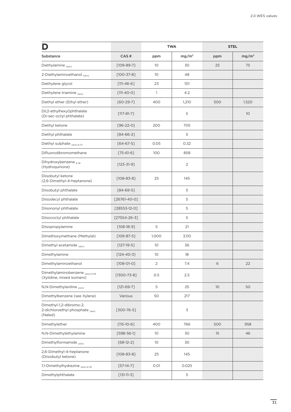|                                                                        |                    |                 | <b>TWA</b>        |     | <b>STEL</b>       |
|------------------------------------------------------------------------|--------------------|-----------------|-------------------|-----|-------------------|
| <b>Substance</b>                                                       | CAS#               | ppm             | mg/m <sup>3</sup> | ppm | mg/m <sup>3</sup> |
| Diethylamine (skin)                                                    | $[109-89-7]$       | 10              | 30                | 25  | 75                |
| 2-Diethylaminoethanol (skin)                                           | $[100 - 37 - 8]$   | 10              | 48                |     |                   |
| Diethylene glycol                                                      | $[111 - 46 - 6]$   | 23              | 101               |     |                   |
| Diethylene triamine (skin)                                             | $[111-40-0]$       | 1               | 4.2               |     |                   |
| Diethyl ether (Ethyl ether)                                            | $[60-29-7]$        | 400             | 1,210             | 500 | 1,520             |
| Di(2-ethylhexyl)phthalate<br>(Di-sec-octyl phthalate)                  | $[117 - 81 - 7]$   |                 | 5                 |     | 10                |
| Diethyl ketone                                                         | $[96-22-0]$        | 200             | 705               |     |                   |
| Diethyl phthalate                                                      | $[84 - 66 - 2]$    |                 | 5                 |     |                   |
| Diethyl sulphate (skin) 6.7A                                           | $[64 - 67 - 5]$    | 0.05            | 0.32              |     |                   |
| Difluorodibromomethane                                                 | $[75 - 61 - 6]$    | 100             | 858               |     |                   |
| Dihydroxybenzene 67B<br>(Hydroquinone)                                 | $[123 - 31 - 9]$   |                 | $\overline{2}$    |     |                   |
| Diisobutyl ketone<br>(2,6-Dimethyl-4-heptanone)                        | $[108 - 83 - 8]$   | 25              | 145               |     |                   |
| Diisobutyl phthalate                                                   | $[84 - 69 - 5]$    |                 | 5                 |     |                   |
| Diisodecyl phthalate                                                   | $[26761 - 40 - 0]$ |                 | 5                 |     |                   |
| Diisononyl phthalate                                                   | $[28553-12-0]$     |                 | 5                 |     |                   |
| Diisococtyl phthalate                                                  | $[27554 - 26 - 3]$ |                 | 5                 |     |                   |
| Diisopropylamine                                                       | $[108-18-9]$       | 5               | 21                |     |                   |
| Dimethoxymethane (Methylal)                                            | $[109 - 87 - 5]$   | 1,000           | 3,110             |     |                   |
| Dimethyl acetamide (skin)                                              | $[127-19-5]$       | 10              | 36                |     |                   |
| Dimethylamine                                                          | $[124 - 40 - 3]$   | 10 <sup>°</sup> | 18                |     |                   |
| Dimethylaminoethanol                                                   | $[108 - 01 - 0]$   | 2               | 7.4               | 6   | 22                |
| Dimethylaminobenzene (skin) 6.7B<br>(Xylidine, mixed isomers)          | $[1300 - 73 - 8]$  | 0.5             | 2.5               |     |                   |
| N,N-Dimethylaniline (skin)                                             | $[121-69-7]$       | 5               | 25                | 10  | 50                |
| Dimethylbenzene (see Xylene)                                           | Various            | 50              | 217               |     |                   |
| Dimethyl-1,2-dibromo-2,<br>2-dichloroethyl phosphate (skin)<br>(Naled) | $[300 - 76 - 5]$   |                 | 3                 |     |                   |
| Dimethylether                                                          | $[115 - 10 - 6]$   | 400             | 766               | 500 | 958               |
| N,N-Dimethylethylamine                                                 | $[598 - 56 - 1]$   | 10              | 30                | 15  | 46                |
| Dimethylformamide (skin)                                               | $[68-12-2]$        | 10 <sup>°</sup> | 30                |     |                   |
| 2,6-Dimethyl-4-heptanone<br>(Diisobutyl ketone)                        | $[108 - 83 - 8]$   | 25              | 145               |     |                   |
| 1,1-Dimethylhydrazine (skin) 6.7B                                      | $[57-14-7]$        | 0.01            | 0.025             |     |                   |
| Dimethylphthalate                                                      | $[131-11-3]$       |                 | 5                 |     |                   |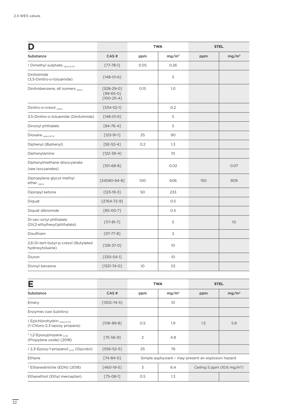|                                                          |                                             |                 | <b>TWA</b>        |     | <b>STEL</b>       |
|----------------------------------------------------------|---------------------------------------------|-----------------|-------------------|-----|-------------------|
| Substance                                                | CAS#                                        | ppm             | mg/m <sup>3</sup> | ppm | mg/m <sup>3</sup> |
| # Dimethyl sulphate (skin) 6.7A                          | $[77 - 78 - 1]$                             | 0.05            | 0.26              |     |                   |
| Dinitolmide<br>(3,5-Dinitro-o-toluamide)                 | $[148 - 01 - 6]$                            |                 | 5                 |     |                   |
| Dinitrobenzene, all isomers (skin)                       | $[528-29-0]$<br>$[99-65-0]$<br>$[100-25-4]$ | 0.15            | 1.0               |     |                   |
| Dinitro-o-cresol (skin)                                  | $[534 - 52 - 1]$                            |                 | 0.2               |     |                   |
| 3,5-Dinitro-o-toluamide (Dinitolmide)                    | $[148 - 01 - 6]$                            |                 | 5                 |     |                   |
| Dinonyl phthalate                                        | $[84 - 76 - 4]$                             |                 | 5                 |     |                   |
| Dioxane $_{(skin) 6.7A}$                                 | $[123 - 91 - 1]$                            | 25              | 90                |     |                   |
| Diphenyl (Biphenyl)                                      | $[92 - 52 - 4]$                             | 0.2             | 1.3               |     |                   |
| Diphenylamine                                            | $[122 - 39 - 4]$                            |                 | 10 <sup>°</sup>   |     |                   |
| Diphenylmethane diisocyanate<br>(see Isocyanates)        | $[101-68-8]$                                |                 | 0.02              |     | 0.07              |
| Dipropylene glycol methyl<br>ether $_{(skin)}$           | $[34590 - 94 - 8]$                          | 100             | 606               | 150 | 909               |
| Dipropyl ketone                                          | $[123-19-3]$                                | 50              | 233               |     |                   |
| Diquat                                                   | $[2764 - 72 - 9]$                           |                 | 0.5               |     |                   |
| Diquat dibromide                                         | $[85-00-7]$                                 |                 | 0.5               |     |                   |
| Di-sec-octyl phthalate<br>(Di(2-ethylhexyl)phthalate)    | $[117 - 81 - 7]$                            |                 | 5                 |     | 10                |
| Disulfiram                                               | $[97 - 77 - 8]$                             |                 | $\overline{2}$    |     |                   |
| 2,6-Di-tert-butyl-p-cresol (Butylated<br>hydroxytoluene) | $[128 - 37 - 0]$                            |                 | 10                |     |                   |
| Diuron                                                   | $[330 - 54 - 1]$                            |                 | 10 <sup>°</sup>   |     |                   |
| Divinyl benzene                                          | $[1321 - 74 - 0]$                           | 10 <sup>°</sup> | 53                |     |                   |

| E                                                             |                   |                                                     | <b>TWA</b>                                   | <b>STEL</b> |                   |  |
|---------------------------------------------------------------|-------------------|-----------------------------------------------------|----------------------------------------------|-------------|-------------------|--|
| Substance                                                     | CAS#              | ppm                                                 | mg/m <sup>3</sup>                            | ppm         | mg/m <sup>3</sup> |  |
| Emery                                                         | $[1302 - 74 - 5]$ |                                                     | 10 <sup>°</sup>                              |             |                   |  |
| Enzymes (see Subtilins)                                       |                   |                                                     |                                              |             |                   |  |
| ‡ Epichlorohydrin (skin) 6.7A<br>(1-Chloro-2,3-epoxy propane) | $[106 - 89 - 8]$  | O.5                                                 | 1.9                                          | 1.5         | 5.8               |  |
| $*$ 1,2-Epoxypropane $_{6.7B}$<br>(Propylene oxide) (2018)    | $[75 - 56 - 9]$   | 2                                                   | 4.8                                          |             |                   |  |
| $\ddagger$ 2,3-Epoxy-1-propanol $_{674}$ (Glycidol)           | $[556 - 52 - 5]$  | 25                                                  | 76                                           |             |                   |  |
| Ethane                                                        | $[74 - 84 - 0]$   | Simple asphyxiant - may present an explosion hazard |                                              |             |                   |  |
| * Ethanedinitrile (EDN) (2018)                                | $[460-19-5]$      | 3                                                   | 6.4<br>Ceiling 5 ppm $(10.6 \text{ mg/m}^3)$ |             |                   |  |
| Ethanethiol (Ethyl mercaptan)                                 | $[75-08-1]$       | O.5                                                 | 1.3                                          |             |                   |  |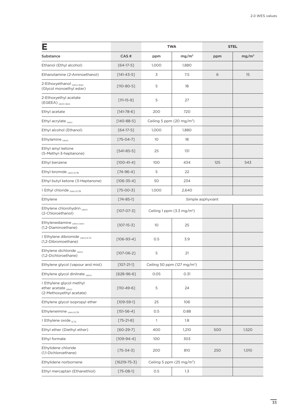|                                                                              |                    | <b>TWA</b>                              |                                       | <b>STEL</b>       |                   |
|------------------------------------------------------------------------------|--------------------|-----------------------------------------|---------------------------------------|-------------------|-------------------|
| Substance                                                                    | CAS#               | ppm                                     | mg/m <sup>3</sup>                     | ppm               | mg/m <sup>3</sup> |
| Ethanol (Ethyl alcohol)                                                      | $[64-17-5]$        | 1,000                                   | 1,880                                 |                   |                   |
| Ethanolamine (2-Aminoethanol)                                                | $[141 - 43 - 5]$   | 3                                       | 7.5                                   | 6                 | 15                |
| 2-Ethoxyethanol (skin) (bio)<br>(Glycol monoethyl ester)                     | $[110 - 80 - 5]$   | 5                                       | 18                                    |                   |                   |
| 2-Ethoxyethyl acetate<br>$(EGEEA)$ <sub>(skin)(bio)</sub>                    | $[111 - 15 - 9]$   | 5                                       | 27                                    |                   |                   |
| Ethyl acetate                                                                | $[141 - 78 - 6]$   | 200                                     | 720                                   |                   |                   |
| Ethyl acrylate $_{(sen)}$                                                    | $[140-88-5]$       | Ceiling 5 ppm (20 mg/m <sup>3</sup> )   |                                       |                   |                   |
| Ethyl alcohol (Ethanol)                                                      | $[64-17-5]$        | 1,000                                   | 1,880                                 |                   |                   |
| Ethylamine $_{(skin)}$                                                       | $[75-04-7]$        | 10                                      | 18                                    |                   |                   |
| Ethyl amyl ketone<br>(5-Methyl-3-heptanone)                                  | $[541-85-5]$       | 25                                      | 131                                   |                   |                   |
| Ethyl benzene                                                                | $[100-41-4]$       | 100                                     | 434                                   | 125               | 543               |
| Ethyl bromide $_{(skin) 6.7B}$                                               | $[74 - 96 - 4]$    | 5                                       | 22                                    |                   |                   |
| Ethyl butyl ketone (3-Heptanone)                                             | $[106 - 35 - 4]$   | 50                                      | 234                                   |                   |                   |
| ‡ Ethyl chloride (skin) 6.7B                                                 | $[75-00-3]$        | 1,000                                   | 2,640                                 |                   |                   |
| Ethylene                                                                     | $[74 - 85 - 1]$    |                                         |                                       | Simple asphyxiant |                   |
| Ethylene chlorohydrin (skin)<br>(2-Chloroethanol)                            | $[107 - 07 - 3]$   |                                         | Ceiling 1 ppm $(3.3 \text{ mg/m}^3)$  |                   |                   |
| Ethylenediamine (skin) (sen)<br>(1,2-Diaminoethane)                          | $[107 - 15 - 3]$   | 10                                      | 25                                    |                   |                   |
| ‡ Ethylene dibromide (skin) 6.7A<br>(1,2-Dibromoethane)                      | $[106 - 93 - 4]$   | 0.5                                     | 3.9                                   |                   |                   |
| Ethylene dichloride (skin)<br>(1,2-Dichloroethane)                           | $[107 - 06 - 2]$   | 5                                       | 21                                    |                   |                   |
| Ethylene glycol (vapour and mist)                                            | $[107 - 21 - 1]$   | Ceiling 50 ppm (127 mg/m <sup>3</sup> ) |                                       |                   |                   |
| Ethylene glycol dinitrate (skin)                                             | $[628-96-6]$       | 0.05                                    | 0.31                                  |                   |                   |
| ‡ Ethylene glycol methyl<br>ether acetate (skin)<br>(2-Methoxyethyl acetate) | $[110 - 49 - 6]$   | 5                                       | 24                                    |                   |                   |
| Ethylene glycol isopropyl ether                                              | $[109 - 59 - 1]$   | 25                                      | 106                                   |                   |                   |
| Ethyleneimine (skin) 6.7B                                                    | $[151 - 56 - 4]$   | 0.5                                     | 0.88                                  |                   |                   |
| ‡ Ethylene oxide 674                                                         | $[75-21-8]$        | $\mathbf{1}$                            | 1.8                                   |                   |                   |
| Ethyl ether (Diethyl ether)                                                  | $[60-29-7]$        | 400                                     | 1,210                                 | 500               | 1,520             |
| Ethyl formate                                                                | $[109 - 94 - 4]$   | 100                                     | 303                                   |                   |                   |
| Ethylidene chloride<br>(1,1-Dichloroethane)                                  | $[75 - 34 - 3]$    | 200                                     | 810                                   | 250               | 1,010             |
| Ethylidene norbornene                                                        | $[16219 - 75 - 3]$ |                                         | Ceiling 5 ppm (25 mg/m <sup>3</sup> ) |                   |                   |
| Ethyl mercaptan (Ethanethiol)                                                | $[75-08-1]$        | 0.5                                     | 1.3                                   |                   |                   |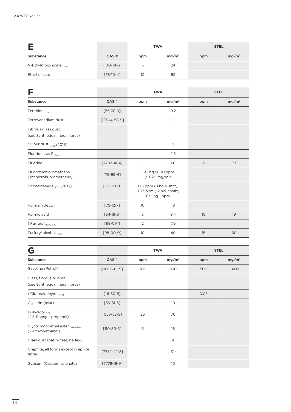|                          |                  | <b>TWA</b> |                   |     | <b>STEL</b>       |
|--------------------------|------------------|------------|-------------------|-----|-------------------|
| Substance                | CAS#             | ppm        | mg/m <sup>3</sup> | ppm | mg/m <sup>3</sup> |
| N-Ethylmorpholine (skin) | $[100 - 74 - 3]$ | 5          | 24                |     |                   |
| Ethyl silicate           | $[78-10-4]$      | 10         | 85                |     |                   |

|                                                      |                    |     | <b>TWA</b>                                                          | <b>STEL</b> |                   |
|------------------------------------------------------|--------------------|-----|---------------------------------------------------------------------|-------------|-------------------|
| Substance                                            | CAS#               | ppm | mg/m <sup>3</sup>                                                   | ppm         | mg/m <sup>3</sup> |
| Fenthion (skin)                                      | $[55 - 38 - 9]$    |     | O.2                                                                 |             |                   |
| Ferrovanadium dust                                   | $[12604 - 58 - 9]$ |     | 1                                                                   |             |                   |
| Fibrous glass dust<br>(see Synthetic mineral fibres) |                    |     |                                                                     |             |                   |
| * Flour dust (sen) (2018)                            |                    |     | 1                                                                   |             |                   |
| Fluorides, as $F_{(bio)}$                            |                    |     | 2.5                                                                 |             |                   |
| Fluorine                                             | $[7782 - 41 - 4]$  | 1   | 1.6                                                                 | 2           | 3.1               |
| Fluorotrichloromethane<br>(Trichlorofluoromethane)   | $[75-69-4]$        |     | Ceiling 1,000 ppm<br>$(5,620 \text{ mg/m}^3)$                       |             |                   |
| Formaldehyde $_{6.7A}$ (2013)                        | $[50-00-0]$        |     | 0.5 ppm (8 hour shift)<br>0.33 ppm (12 hour shift)<br>Ceiling 1 ppm |             |                   |
| Formamide (skin)                                     | $[75-12-7]$        | 10  | 18                                                                  |             |                   |
| Formic acid                                          | $[64-18-6]$        | 5   | 9.4                                                                 | 10          | 19                |
| ‡ Furfural <sub>(skin) 6.7B</sub>                    | $[98 - 01 - 1]$    | 2   | 7.9                                                                 |             |                   |
| Furfuryl alcohol (skin)                              | $[98 - 00 - 0]$    | 10  | 40                                                                  | 15          | 60                |

| G                                                        |                   |     | <b>TWA</b>          |      | <b>STEL</b>       |
|----------------------------------------------------------|-------------------|-----|---------------------|------|-------------------|
| Substance                                                | CAS#              | ppm | mg/m <sup>3</sup>   | ppm  | mg/m <sup>3</sup> |
| Gasoline (Petrol)                                        | $[8006 - 61 - 9]$ | 300 | 890                 | 500  | 1,480             |
| Glass, fibrous or dust<br>(see Synthetic mineral fibres) |                   |     |                     |      |                   |
| ‡ Glutaraldehyde (sen)                                   | $[111 - 30 - 8]$  |     |                     | 0.05 |                   |
| Glycerin (mist)                                          | $[56 - 81 - 5]$   |     | 10 <sup>°</sup>     |      |                   |
| ‡ Glycidol <sub>6.7A</sub><br>(2,3-Epoxy-1-propanol)     | $[556 - 52 - 5]$  | 25  | 76                  |      |                   |
| Glycol monoethyl ester (skin) (bio)<br>(2-Ethoxyethanol) | $[110 - 80 - 5]$  | 5   | 18                  |      |                   |
| Grain dust (oat, wheat, barley)                          |                   |     | $\overline{4}$      |      |                   |
| Graphite, all forms except graphite<br>fibres            | $[7782 - 42 - 5]$ |     | $\mathcal{Z}^{(r)}$ |      |                   |
| Gypsum (Calcium sulphate)                                | $[7778-18-9]$     |     | 10                  |      |                   |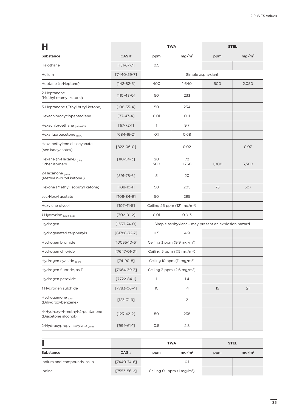|                                                       |                    |                 | <b>TWA</b>                              | <b>STEL</b>                                         |                   |
|-------------------------------------------------------|--------------------|-----------------|-----------------------------------------|-----------------------------------------------------|-------------------|
| Substance                                             | CAS#               | ppm             | mg/m <sup>3</sup>                       | ppm                                                 | mg/m <sup>3</sup> |
| Halothane                                             | $[151-67-7]$       | 0.5             |                                         |                                                     |                   |
| Helium                                                | $[7440 - 59 - 7]$  |                 |                                         | Simple asphyxiant                                   |                   |
| Heptane (n-Heptane)                                   | $[142 - 82 - 5]$   | 400             | 1,640                                   | 500                                                 | 2,050             |
| 2-Heptanone<br>(Methyl n-amyl ketone)                 | $[110 - 43 - 0]$   | 50              | 233                                     |                                                     |                   |
| 3-Heptanone (Ethyl butyl ketone)                      | $[106 - 35 - 4]$   | 50              | 234                                     |                                                     |                   |
| Hexachlorocyclopentadiene                             | $[77 - 47 - 4]$    | 0.01            | 0.11                                    |                                                     |                   |
| Hexachloroethane (Skin) 6.7B                          | $[67 - 72 - 1]$    | $\mathbb{1}$    | 9.7                                     |                                                     |                   |
| Hexafluoroacetone (skin)                              | $[684-16-2]$       | 0.1             | 0.68                                    |                                                     |                   |
| Hexamethylene diisocyanate<br>(see Isocyanates)       | $[822-06-0]$       |                 | 0.02                                    |                                                     | 0.07              |
| Hexane (n-Hexane) (bio)<br>Other isomers              | $[110 - 54 - 3]$   | 20<br>500       | 72<br>1,760                             | 1,000                                               | 3,500             |
| 2-Hexanone (skin)<br>(Methyl n-butyl ketone)          | $[591 - 78 - 6]$   | 5               | 20                                      |                                                     |                   |
| Hexone (Methyl isobutyl ketone)                       | $[108 - 10 - 1]$   | 50              | 205                                     | 75                                                  | 307               |
| sec-Hexyl acetate                                     | $[108 - 84 - 9]$   | 50              | 295                                     |                                                     |                   |
| Hexylene glycol                                       | $[107 - 41 - 5]$   |                 | Ceiling 25 ppm (121 mg/m <sup>3</sup> ) |                                                     |                   |
| ‡ Hydrazine <sub>(skin) 6.7В</sub>                    | $[302-01-2]$       | 0.01            | 0.013                                   |                                                     |                   |
| Hydrogen                                              | [1333-74-0]        |                 |                                         | Simple asphyxiant - may present an explosion hazard |                   |
| Hydrogenated terphenyls                               | $[61788 - 32 - 7]$ | 0.5             | 4.9                                     |                                                     |                   |
| Hydrogen bromide                                      | $[10035 - 10 - 6]$ |                 | Ceiling 3 ppm (9.9 mg/m <sup>3</sup> )  |                                                     |                   |
| Hydrogen chloride                                     | $[7647-01-0]$      |                 | Ceiling 5 ppm $(7.5 \text{ mg/m}^3)$    |                                                     |                   |
| Hydrogen cyanide <sub>(skin)</sub>                    | $[74 - 90 - 8]$    |                 | Ceiling 10 ppm $(11 \text{ mg/m}^3)$    |                                                     |                   |
| Hydrogen fluoride, as F                               | $[7664 - 39 - 3]$  |                 | Ceiling 3 ppm $(2.6 \text{ mg/m}^3)$    |                                                     |                   |
| Hydrogen peroxide                                     | $[7722 - 84 - 1]$  | $\mathbf{1}$    | 1.4                                     |                                                     |                   |
| ‡ Hydrogen sulphide                                   | $[7783 - 06 - 4]$  | 10 <sup>°</sup> | 14                                      | 15                                                  | 21                |
| Hydroquinone $_{6.7B}$<br>(Dihydroxybenzene)          | $[123 - 31 - 9]$   |                 | 2                                       |                                                     |                   |
| 4-Hydroxy-4-methyl-2-pentanone<br>(Diacetone alcohol) | $[123 - 42 - 2]$   | 50              | 238                                     |                                                     |                   |
| 2-Hydroxypropyl acrylate (skin)                       | $[999-61-1]$       | 0.5             | 2.8                                     |                                                     |                   |

|                             |                   | <b>TWA</b>                           |                   | <b>STEL</b> |          |
|-----------------------------|-------------------|--------------------------------------|-------------------|-------------|----------|
| Substance                   | CAS#              | ppm                                  | mg/m <sup>3</sup> | ppm         | $mg/m^3$ |
| Indium and compounds, as In | [7440-74-6]       |                                      | O.1               |             |          |
| lodine                      | $[7553 - 56 - 2]$ | Ceiling 0.1 ppm $(1 \text{ mg/m}^3)$ |                   |             |          |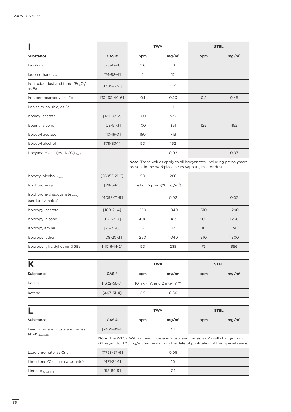|                                                                      |                    | <b>TWA</b> |                   | <b>STEL</b> |                   |
|----------------------------------------------------------------------|--------------------|------------|-------------------|-------------|-------------------|
| Substance                                                            | CAS#               | ppm        | mg/m <sup>3</sup> | ppm         | mg/m <sup>3</sup> |
| lodoform                                                             | $[75 - 47 - 8]$    | 0.6        | 10                |             |                   |
| Iodomethane (skin)                                                   | $[74-88-4]$        | 2          | 12                |             |                   |
| Iron oxide dust and fume (Fe <sub>2</sub> O <sub>3</sub> ),<br>as Fe | $[1309 - 37 - 1]$  |            | 5 <sup>(w)</sup>  |             |                   |
| Iron pentacarbonyl, as Fe                                            | $[13463 - 40 - 6]$ | O.1        | 0.23              | 0.2         | 0.45              |
| Iron salts, soluble, as Fe                                           |                    |            | 1                 |             |                   |
| Isoamyl acetate                                                      | $[123-92-2]$       | 100        | 532               |             |                   |
| Isoamyl alcohol                                                      | $[123 - 51 - 3]$   | 100        | 361               | 125         | 452               |
| Isobutyl acetate                                                     | $[110-19-0]$       | 150        | 713               |             |                   |
| Isobutyl alcohol                                                     | $[78 - 83 - 1]$    | 50         | 152               |             |                   |
| Isocyanates, all, (as -NCO) (sen)                                    |                    |            | 0.02              |             | 0.07              |
|                                                                      |                    |            |                   |             |                   |

Note: These values apply to all isocyanates, including prepolymers, present in the workplace air as vapours, mist or dust.

| Isooctyl alcohol (skin)                             | $[26952 - 21 - 6]$ | 50                                  | 266   |     |       |
|-----------------------------------------------------|--------------------|-------------------------------------|-------|-----|-------|
| Isophorone $_{6.7B}$                                | $[78-59-1]$        | Ceiling 5 ppm $(28 \text{ mg/m}^3)$ |       |     |       |
| Isophorone diisocyanate (skin)<br>(see Isocyanates) | [4098-71-9]        |                                     | 0.02  |     | 0.07  |
| Isopropyl acetate                                   | $[108-21-4]$       | 250                                 | 1,040 | 310 | 1,290 |
| Isopropyl alcohol                                   | $[67 - 63 - 0]$    | 400                                 | 983   | 500 | 1,230 |
| Isopropylamine                                      | $[75 - 31 - 0]$    | 5                                   | 12    | 10  | 24    |
| Isopropyl ether                                     | $[108 - 20 - 3]$   | 250                                 | 1,040 | 310 | 1,300 |
| Isopropyl glycidyl ether (IGE)                      | $[4016 - 14 - 2]$  | 50                                  | 238   | 75  | 356   |

| K         |                   | <b>TWA</b>                                         |                   |     | <b>STEL</b>       |
|-----------|-------------------|----------------------------------------------------|-------------------|-----|-------------------|
| Substance | CAS#              | ppm                                                | mg/m <sup>3</sup> | ppm | mg/m <sup>3</sup> |
| Kaolin    | $[1332 - 58 - 7]$ | 10 mg/m <sup>3</sup> ; and 2 mg/m <sup>3 (r)</sup> |                   |     |                   |
| Ketene    | $[463 - 51 - 4]$  | 0.5                                                | 0.86              |     |                   |

|                                  |                  | <b>TWA</b> | <b>STEL</b>                                                                                                                                                                                           |     |                   |
|----------------------------------|------------------|------------|-------------------------------------------------------------------------------------------------------------------------------------------------------------------------------------------------------|-----|-------------------|
| Substance                        | CAS#             | ppm        | mg/m <sup>3</sup>                                                                                                                                                                                     | ppm | mg/m <sup>3</sup> |
| Lead, inorganic dusts and fumes, | $[7439-92-1]$    |            | O.1                                                                                                                                                                                                   |     |                   |
| as Pb $_{\text{(bio) 6.7B}}$     |                  |            | <b>Note:</b> The WES-TWA for Lead, inorganic dusts and fumes, as Pb will change from<br>0.1 mg/m <sup>3</sup> to 0.05 mg/m <sup>3</sup> two years from the date of publication of this Special Guide. |     |                   |
| Lead chromate, as Cr $_{674}$    | [7758-97-6]      |            | 0.05                                                                                                                                                                                                  |     |                   |
| Limestone (Calcium carbonate)    | $[471 - 34 - 1]$ |            | 10                                                                                                                                                                                                    |     |                   |
| Lindane $_{(skin) 6.7B}$         | [58-89-9]        |            | O.1                                                                                                                                                                                                   |     |                   |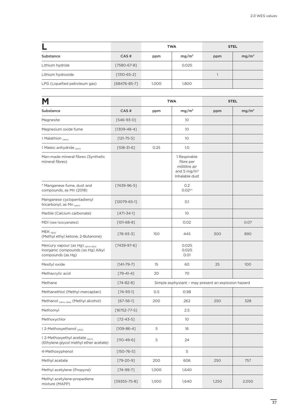|                               |                   | <b>TWA</b> |                   | <b>STEL</b> |                   |
|-------------------------------|-------------------|------------|-------------------|-------------|-------------------|
| Substance                     | CAS#              | ppm        | mg/m <sup>3</sup> | ppm         | mg/m <sup>3</sup> |
| Lithium hydride               | [7580-67-8]       |            | 0.025             |             |                   |
| Lithium hydroxide             | $[1310 - 65 - 2]$ |            |                   |             |                   |
| LPG (Liquefied petroleum gas) | [68476-85-7]      | 1,000      | 1,800             |             |                   |

| M                                                                                             |                    |       | <b>TWA</b><br><b>STEL</b>                                                                |                                                     |                   |
|-----------------------------------------------------------------------------------------------|--------------------|-------|------------------------------------------------------------------------------------------|-----------------------------------------------------|-------------------|
| Substance                                                                                     | CAS#               | ppm   | mg/m <sup>3</sup>                                                                        | ppm                                                 | mg/m <sup>3</sup> |
| Magnesite                                                                                     | $[546-93-0]$       |       | 10 <sup>°</sup>                                                                          |                                                     |                   |
| Magnesium oxide fume                                                                          | $[1309 - 48 - 4]$  |       | 10 <sup>°</sup>                                                                          |                                                     |                   |
| ‡ Malathion (skin)                                                                            | $[121 - 75 - 5]$   |       | 10 <sup>°</sup>                                                                          |                                                     |                   |
| ‡ Maleic anhydride (sen)                                                                      | $[108 - 31 - 6]$   | 0.25  | 1.0                                                                                      |                                                     |                   |
| Man-made mineral fibres (Synthetic<br>mineral fibres)                                         |                    |       | 1 Respirable<br>fibre per<br>millilitre air<br>and 5 mg/m <sup>3</sup><br>Inhalable dust |                                                     |                   |
| * Manganese fume, dust and<br>compounds, as Mn (2018)                                         | $[7439-96-5]$      |       | 0.2<br>0.02 <sup>(r)</sup>                                                               |                                                     |                   |
| Manganese cyclopentadienyl<br>tricarbonyl, as Mn (skin)                                       | $[12079 - 65 - 1]$ |       | O.1                                                                                      |                                                     |                   |
| Marble (Calcium carbonate)                                                                    | $[471 - 34 - 1]$   |       | 10 <sup>°</sup>                                                                          |                                                     |                   |
| MDI (see Isocyanates)                                                                         | $[101-68-8]$       |       | 0.02                                                                                     |                                                     | 0.07              |
| MEK <sub>(bio)</sub><br>(Methyl ethyl ketone, 2-Butanone)                                     | $[78 - 93 - 3]$    | 150   | 445                                                                                      | 300                                                 | 890               |
| Mercury vapour (as Hg) (skin) (bio)<br>Inorganic compounds (as Hg) Alkyl<br>compounds (as Hg) | $[7439-97-6]$      |       | 0.025<br>0.025<br>0.01                                                                   |                                                     |                   |
| Mesityl oxide                                                                                 | $[141 - 79 - 7]$   | 15    | 60                                                                                       | 25                                                  | 100               |
| Methacrylic acid                                                                              | $[79-41-4]$        | 20    | 70                                                                                       |                                                     |                   |
| Methane                                                                                       | $[74 - 82 - 8]$    |       |                                                                                          | Simple asphyxiant - may present an explosion hazard |                   |
| Methanethiol (Methyl mercaptan)                                                               | $[74 - 93 - 1]$    | 0.5   | 0.98                                                                                     |                                                     |                   |
| Methanol (skin), (bio) (Methyl alcohol)                                                       | $[67 - 56 - 1]$    | 200   | 262                                                                                      | 250                                                 | 328               |
| Methomyl                                                                                      | $[16752 - 77 - 5]$ |       | 2.5                                                                                      |                                                     |                   |
| Methoxychlor                                                                                  | $[72 - 43 - 5]$    |       | 10                                                                                       |                                                     |                   |
| ‡ 2-Methoxyethanol (skin)                                                                     | $[109 - 86 - 4]$   | 5     | 16                                                                                       |                                                     |                   |
| ‡ 2-Methoxyethyl acetate (skin)<br>(Ethylene glycol methyl ether acetate)                     | $[110-49-6]$       | 5     | 24                                                                                       |                                                     |                   |
| 4-Methoxyphenol                                                                               | $[150 - 76 - 5]$   |       | 5                                                                                        |                                                     |                   |
| Methyl acetate                                                                                | $[79-20-9]$        | 200   | 606                                                                                      | 250                                                 | 757               |
| Methyl acetylene (Propyne)                                                                    | $[74-99-7]$        | 1,000 | 1,640                                                                                    |                                                     |                   |
| Methyl acetylene-propadiene<br>mixture (MAPP)                                                 | $[59355 - 75 - 8]$ | 1,000 | 1,640                                                                                    | 1,250                                               | 2,050             |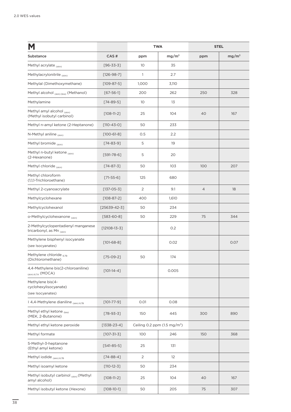|                                                                 |                   | <b>TWA</b>     |                                        | <b>STEL</b>    |                   |
|-----------------------------------------------------------------|-------------------|----------------|----------------------------------------|----------------|-------------------|
| Substance                                                       | CAS#              | ppm            | mg/m <sup>3</sup>                      | ppm            | mg/m <sup>3</sup> |
| Methyl acrylate (skin)                                          | $[96 - 33 - 3]$   | 10             | 35                                     |                |                   |
| Methylacrylonitrile (skin)                                      | $[126 - 98 - 7]$  | $\mathbf{1}$   | 2.7                                    |                |                   |
| Methylal (Dimethoxymethane)                                     | $[109 - 87 - 5]$  | 1,000          | 3,110                                  |                |                   |
| Methyl alcohol (skin) (bio) (Methanol)                          | $[67 - 56 - 1]$   | 200            | 262                                    | 250            | 328               |
| Methylamine                                                     | $[74-89-5]$       | 10             | 13                                     |                |                   |
| Methyl amyl alcohol (skin)<br>(Methyl isobutyl carbinol)        | $[108-11-2]$      | 25             | 104                                    | 40             | 167               |
| Methyl n-amyl ketone (2-Heptanone)                              | $[110 - 43 - 0]$  | 50             | 233                                    |                |                   |
| N-Methyl aniline $_{\text{cskin}}$                              | $[100-61-8]$      | 0.5            | 2.2                                    |                |                   |
| Methyl bromide (skin)                                           | $[74 - 83 - 9]$   | 5              | 19                                     |                |                   |
| Methyl n-butyl ketone (skin)<br>(2-Hexanone)                    | $[591 - 78 - 6]$  | 5              | 20                                     |                |                   |
| Methyl chloride (skin)                                          | $[74-87-3]$       | 50             | 103                                    | 100            | 207               |
| Methyl chloroform<br>(1,1,1-Trichloroethane)                    | $[71-55-6]$       | 125            | 680                                    |                |                   |
| Methyl 2-cyanoacrylate                                          | $[137 - 05 - 3]$  | $\overline{2}$ | 9.1                                    | $\overline{4}$ | 18                |
| Methylcyclohexane                                               | $[108 - 87 - 2]$  | 400            | 1,610                                  |                |                   |
| Methylcyclohexanol                                              | $[25639-42-3]$    | 50             | 234                                    |                |                   |
| o-Methylcyclohexanone (skin)                                    | $[583 - 60 - 8]$  | 50             | 229                                    | 75             | 344               |
| 2-Methylcyclopentadienyl manganese<br>tricarbonyl, as Mn (skin) | $[12108-13-3]$    |                | 0.2                                    |                |                   |
| Methylene bisphenyl isocyanate<br>(see Isocyanates)             | $[101-68-8]$      |                | 0.02                                   |                | 0.07              |
| Methylene chloride 67B<br>(Dichloromethane)                     | $[75-09-2]$       | 50             | 174                                    |                |                   |
| 4,4-Methylene bis(2-chloroaniline)<br>$_{(skin) 6.7A}$ (MOCA)   | $[101-14-4]$      |                | 0.005                                  |                |                   |
| Methylene bis(4-<br>cyclohexylisocyanate)<br>(see Isocyanates)  |                   |                |                                        |                |                   |
| #4,4-Methylene dianiline (skin) 6.7B                            | $[101 - 77 - 9]$  | 0.01           | 0.08                                   |                |                   |
| Methyl ethyl ketone (bio)<br>(MEK, 2-Butanone)                  | $[78 - 93 - 3]$   | 150            | 445                                    | 300            | 890               |
| Methyl ethyl ketone peroxide                                    | $[1338 - 23 - 4]$ |                | Ceiling 0.2 ppm $(1.5 \text{ mg/m}^3)$ |                |                   |
| Methyl formate                                                  | $[107 - 31 - 3]$  | 100            | 246                                    | 150            | 368               |
| 5-Methyl-3-heptanone<br>(Ethyl amyl ketone)                     | $[541-85-5]$      | 25             | 131                                    |                |                   |
| Methyl iodide $_{(skin)6.7B}$                                   | $[74 - 88 - 4]$   | 2              | 12                                     |                |                   |
| Methyl isoamyl ketone                                           | $[110-12-3]$      | 50             | 234                                    |                |                   |
| Methyl isobutyl carbinol (skin) (Methyl<br>amyl alcohol)        | $[108-11-2]$      | 25             | 104                                    | 40             | 167               |
| Methyl isobutyl ketone (Hexone)                                 | $[108-10-1]$      | 50             | 205                                    | 75             | 307               |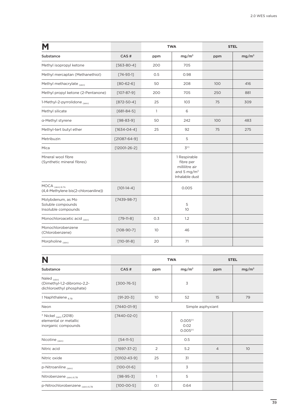|                                                               |                    | <b>TWA</b> |                                                                                 | <b>STEL</b> |                   |
|---------------------------------------------------------------|--------------------|------------|---------------------------------------------------------------------------------|-------------|-------------------|
| Substance                                                     | CAS#               | ppm        | mg/m <sup>3</sup>                                                               | ppm         | mg/m <sup>3</sup> |
| Methyl isopropyl ketone                                       | $[563 - 80 - 4]$   | 200        | 705                                                                             |             |                   |
| Methyl mercaptan (Methanethiol)                               | $[74-93-1]$        | 0.5        | 0.98                                                                            |             |                   |
| Methyl methacrylate (skin)                                    | $[80 - 62 - 6]$    | 50         | 208                                                                             | 100         | 416               |
| Methyl propyl ketone (2-Pentanone)                            | $[107 - 87 - 9]$   | 200        | 705                                                                             | 250         | 881               |
| 1-Methyl-2-pyrrolidone (skin)                                 | $[872 - 50 - 4]$   | 25         | 103                                                                             | 75          | 309               |
| Methyl silicate                                               | $[681 - 84 - 5]$   | 1          | 6                                                                               |             |                   |
| a-Methyl styrene                                              | $[98 - 83 - 9]$    | 50         | 242                                                                             | 100         | 483               |
| Methyl-tert butyl ether                                       | $[1634 - 04 - 4]$  | 25         | 92                                                                              | 75          | 275               |
| Metribuzin                                                    | $[21087 - 64 - 9]$ |            | 5                                                                               |             |                   |
| Mica                                                          | $[12001 - 26 - 2]$ |            | $\mathcal{Z}^{(r)}$                                                             |             |                   |
| Mineral wool fibre<br>(Synthetic mineral fibres)              |                    |            | 1 Respirable<br>fibre per<br>millilitre air<br>and 5 mg/ $m3$<br>Inhalable dust |             |                   |
| MOCA (skin) 6.7A<br>(4,4-Methylene bis(2-chloroaniline))      | $[101-14-4]$       |            | 0.005                                                                           |             |                   |
| Molybdenum, as Mo<br>Soluble compounds<br>Insoluble compounds | $[7439-98-7]$      |            | 5<br>10 <sup>°</sup>                                                            |             |                   |
| Monochloroacetic acid (skin)                                  | $[79-11-8]$        | 0.3        | 1.2                                                                             |             |                   |
| Monochlorobenzene<br>(Chlorobenzene)                          | $[108 - 90 - 7]$   | 10         | 46                                                                              |             |                   |
| Morpholine (skin)                                             | $[110-91-8]$       | 20         | 71                                                                              |             |                   |

| N                                                                                |                    |                | <b>TWA</b>                                           |                   | <b>STEL</b>       |
|----------------------------------------------------------------------------------|--------------------|----------------|------------------------------------------------------|-------------------|-------------------|
| Substance                                                                        | CAS#               | ppm            | mg/m <sup>3</sup>                                    | ppm               | mg/m <sup>3</sup> |
| Naled $_{(skin)}$<br>(Dimethyl-1,2-dibromo-2,2-<br>dichloroethyl phosphate)      | $[300 - 76 - 5]$   |                | 3                                                    |                   |                   |
| $\ddagger$ Naphthalene $_{6.7B}$                                                 | $[91-20-3]$        | 10             | 52                                                   | 15                | 79                |
| Neon                                                                             | [7440-01-9]        |                |                                                      | Simple asphyxiant |                   |
| * Nickel <sub>(sen)</sub> (2018)<br>elemental or metallic<br>inorganic compounds | [7440-02-0]        |                | 0.005 <sup>(r)</sup><br>0.02<br>0.005 <sup>(r)</sup> |                   |                   |
| Nicotine (skin)                                                                  | $[54-11-5]$        |                | 0.5                                                  |                   |                   |
| Nitric acid                                                                      | $[7697 - 37 - 2]$  | $\overline{2}$ | 5.2                                                  | $\overline{4}$    | 10                |
| Nitric oxide                                                                     | $[10102 - 43 - 9]$ | 25             | 31                                                   |                   |                   |
| p-Nitroaniline (skin)                                                            | $[100-01-6]$       |                | 3                                                    |                   |                   |
| Nitrobenzene (skin) 6.7B                                                         | $[98-95-3]$        | 1              | 5                                                    |                   |                   |
| p-Nitrochlorobenzene (skin) 6.7B                                                 | $[100 - 00 - 5]$   | O.1            | 0.64                                                 |                   |                   |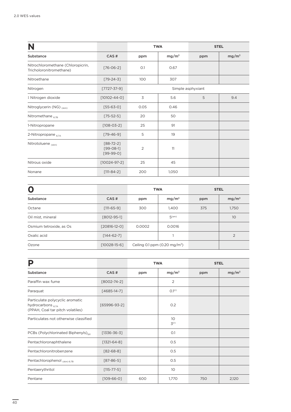| N                                                            |                                               | <b>TWA</b><br><b>STEL</b> |                   |                   |                   |
|--------------------------------------------------------------|-----------------------------------------------|---------------------------|-------------------|-------------------|-------------------|
| Substance                                                    | CAS#                                          | ppm                       | mg/m <sup>3</sup> | ppm               | mg/m <sup>3</sup> |
| Nitrochloromethane (Chloropicrin,<br>Tricholoronitromethane) | $[76 - 06 - 2]$                               | O.1                       | 0.67              |                   |                   |
| Nitroethane                                                  | $[79-24-3]$                                   | 100                       | 307               |                   |                   |
| Nitrogen                                                     | $[7727 - 37 - 9]$                             |                           |                   | Simple asphyxiant |                   |
| ‡ Nitrogen dioxide                                           | $[10102 - 44 - 0]$                            | 3                         | 5.6               | 5                 | 9.4               |
| Nitroglycerin (NG) (skin)                                    | $[55-63-0]$                                   | 0.05                      | 0.46              |                   |                   |
| Nitromethane $_{6.7B}$                                       | $[75 - 52 - 5]$                               | 20                        | 50                |                   |                   |
| 1-Nitropropane                                               | $[108 - 03 - 2]$                              | 25                        | 91                |                   |                   |
| 2-Nitropropane 6.7A                                          | $[79-46-9]$                                   | 5                         | 19                |                   |                   |
| Nitrotoluene (skin)                                          | $[88 - 72 - 2]$<br>$[99-08-1]$<br>$[99-99-0]$ | 2                         | 11                |                   |                   |
| Nitrous oxide                                                | $[10024 - 97 - 2]$                            | 25                        | 45                |                   |                   |
| Nonane                                                       | $[111 - 84 - 2]$                              | 200                       | 1,050             |                   |                   |

| O                       |                    | <b>TWA</b> |                                           | <b>STEL</b> |                   |
|-------------------------|--------------------|------------|-------------------------------------------|-------------|-------------------|
| Substance               | CAS#               | ppm        | mg/m <sup>3</sup>                         | ppm         | mg/m <sup>3</sup> |
| Octane                  | $[111 - 65 - 9]$   | 300        | 1,400                                     | 375         | 1,750             |
| Oil mist, mineral       | [8012-95-1]        |            | 5 <sup>(om)</sup>                         |             | 10                |
| Osmium tetroxide, as Os | $[20816 - 12 - 0]$ | 0.0002     | 0.0016                                    |             |                   |
| Oxalic acid             | $[144-62-7]$       |            |                                           |             | 2                 |
| Ozone                   | $[10028-15-6]$     |            | Ceiling 0.1 ppm (0.20 mg/m <sup>3</sup> ) |             |                   |

| Р                                                                                        |                   | <b>TWA</b> |                                     | <b>STEL</b> |                   |
|------------------------------------------------------------------------------------------|-------------------|------------|-------------------------------------|-------------|-------------------|
| Substance                                                                                | CAS#              | ppm        | mg/m <sup>3</sup>                   | ppm         | mg/m <sup>3</sup> |
| Paraffin wax fume                                                                        | $[8002 - 74 - 2]$ |            | $\overline{2}$                      |             |                   |
| Paraquat                                                                                 | $[4685 - 14 - 7]$ |            | O.1 <sup>(r)</sup>                  |             |                   |
| Particulate polycyclic aromatic<br>hydrocarbons 6.7A<br>(PPAH, Coal tar pitch volatiles) | [65996-93-2]      |            | 0.2                                 |             |                   |
| Particulates not otherwise classified                                                    |                   |            | 10 <sup>°</sup><br>3 <sup>(r)</sup> |             |                   |
| PCBs (Polychlorinated Biphenyls) <sub>(p)</sub>                                          | $[1336 - 36 - 3]$ |            | O.1                                 |             |                   |
| Pentachloronaphthalene                                                                   | $[1321 - 64 - 8]$ |            | 0.5                                 |             |                   |
| Pentachloronitrobenzene                                                                  | $[82 - 68 - 8]$   |            | 0.5                                 |             |                   |
| Pentachlorophenol (skin) 6.7B                                                            | $[87 - 86 - 5]$   |            | 0.5                                 |             |                   |
| Pentaerythritol                                                                          | $[115 - 77 - 5]$  |            | 10 <sup>°</sup>                     |             |                   |
| Pentane                                                                                  | $[109-66-0]$      | 600        | 1,770                               | 750         | 2,120             |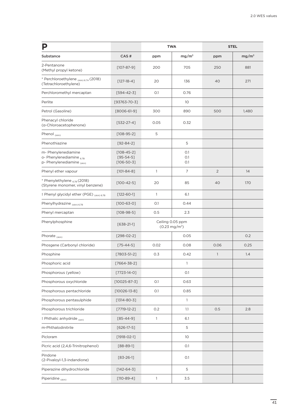| Р                                                                            |                                                         |      | <b>TWA</b>                                  | <b>STEL</b>    |                   |
|------------------------------------------------------------------------------|---------------------------------------------------------|------|---------------------------------------------|----------------|-------------------|
| Substance                                                                    | CAS#                                                    | ppm  | mg/m <sup>3</sup>                           | ppm            | mg/m <sup>3</sup> |
| 2-Pentanone<br>(Methyl propyl ketone)                                        | $[107 - 87 - 9]$                                        | 200  | 705                                         | 250            | 881               |
| * Perchloroethylene (skin) 6.7A (2018)<br>(Tetrachloroethylene)              | $[127-18-4]$                                            | 20   | 136                                         | 40             | 271               |
| Perchloromethyl mercaptan                                                    | $[594 - 42 - 3]$                                        | O.1  | 0.76                                        |                |                   |
| Perlite                                                                      | $[93763 - 70 - 3]$                                      |      | 10                                          |                |                   |
| Petrol (Gasoline)                                                            | $[8006-61-9]$                                           | 300  | 890                                         | 500            | 1,480             |
| Phenacyl chloride<br>(a-Chloroacetophenone)                                  | $[532-27-4]$                                            | 0.05 | 0.32                                        |                |                   |
| Phenol $_{(skin)}$                                                           | $[108 - 95 - 2]$                                        | 5    |                                             |                |                   |
| Phenothiazine                                                                | $[92 - 84 - 2]$                                         |      | 5                                           |                |                   |
| m- Phenylenediamine<br>o- Phenylenediamine 67B<br>p- Phenylenediamine (skin) | $[108 - 45 - 2]$<br>$[95 - 54 - 5]$<br>$[106 - 50 - 3]$ |      | O.1<br>O.1<br>O.1                           |                |                   |
| Phenyl ether vapour                                                          | $[101-84-8]$                                            | 1    | 7                                           | $\overline{2}$ | 14                |
| * Phenylethylene 6.7B (2018)<br>(Styrene monomer, vinyl benzene)             | $[100 - 42 - 5]$                                        | 20   | 85                                          | 40             | 170               |
| # Phenyl glycidyl ether (PGE) (Skin) 6.7B                                    | $[122 - 60 - 1]$                                        | 1    | 6.1                                         |                |                   |
| Phenylhydrazine (skin) 6.7B                                                  | $[100 - 63 - 0]$                                        | O.1  | 0.44                                        |                |                   |
| Phenyl mercaptan                                                             | $[108-98-5]$                                            | 0.5  | 2.3                                         |                |                   |
| Phenylphosphine                                                              | $[638-21-1]$                                            |      | Ceiling 0.05 ppm<br>$(0.23 \text{ mg/m}^3)$ |                |                   |
| Phorate $_{(skin)}$                                                          | $[298-02-2]$                                            |      | 0.05                                        |                | 0.2               |
| Phosgene (Carbonyl chloride)                                                 | $[75 - 44 - 5]$                                         | 0.02 | 0.08                                        | 0.06           | 0.25              |
| Phosphine                                                                    | $[7803 - 51 - 2]$                                       | 0.3  | 0.42                                        | $\mathbb{1}$   | 1.4               |
| Phosphoric acid                                                              | $[7664 - 38 - 2]$                                       |      | $\mathbf{1}$                                |                |                   |
| Phosphorous (yellow)                                                         | $[7723-14-0]$                                           |      | O.1                                         |                |                   |
| Phosphorous oxychloride                                                      | $[10025 - 87 - 3]$                                      | O.1  | 0.63                                        |                |                   |
| Phosphorous pentachloride                                                    | $[10026 - 13 - 8]$                                      | O.1  | 0.85                                        |                |                   |
| Phosphorous pentasulphide                                                    | $[1314 - 80 - 3]$                                       |      | $\mathbf{1}$                                |                |                   |
| Phosphorous trichloride                                                      | $[7719-12-2]$                                           | 0.2  | $1.1\,$                                     | 0.5            | 2.8               |
| ‡ Phthalic anhydride (sen)                                                   | $[85 - 44 - 9]$                                         | 1    | 6.1                                         |                |                   |
| m-Phthalodinitrile                                                           | $[626-17-5]$                                            |      | 5                                           |                |                   |
| Picloram                                                                     | $[1918 - 02 - 1]$                                       |      | 10                                          |                |                   |
| Picric acid (2,4,6-Trinitrophenol)                                           | $[88-89-1]$                                             |      | O.1                                         |                |                   |
| Pindone<br>(2-Pivaloyl-1,3-indandione)                                       | $[83 - 26 - 1]$                                         |      | O.1                                         |                |                   |
| Piperazine dihydrochloride                                                   | $[142 - 64 - 3]$                                        |      | 5                                           |                |                   |
| Piperidine (skin)                                                            | $[110-89-4]$                                            | 1    | 3.5                                         |                |                   |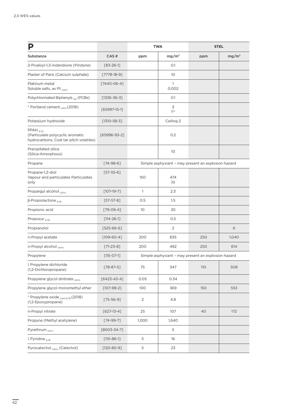|                                                                                              |                   |                | <b>TWA</b>            | <b>STEL</b>                                         |                   |
|----------------------------------------------------------------------------------------------|-------------------|----------------|-----------------------|-----------------------------------------------------|-------------------|
| Substance                                                                                    | CAS#              | ppm            | mg/m <sup>3</sup>     | ppm                                                 | mg/m <sup>3</sup> |
| 2-Pivaloyl-1,3-indandione (Pindone)                                                          | $[83 - 26 - 1]$   |                | O.1                   |                                                     |                   |
| Plaster of Paris (Calcium sulphate)                                                          | $[7778-18-9]$     |                | 10 <sup>°</sup>       |                                                     |                   |
| Platinum metal<br>Soluble salts, as Pt (sen)                                                 | $[7440-06-4]$     |                | 1<br>0.002            |                                                     |                   |
| Polychlorinated Biphenyls (p) (PCBs)                                                         | $[1336 - 36 - 3]$ |                | O.1                   |                                                     |                   |
| * Portland cement <sub>(sen)</sub> (2018)                                                    | $[65997-15-1]$    |                | 3<br>1 <sup>(r)</sup> |                                                     |                   |
| Potassium hydroxide                                                                          | $[1310 - 58 - 3]$ |                | Ceiling 2             |                                                     |                   |
| $PPAH_{6,7A}$<br>(Particulate polycyclic aromatic<br>hydrocarbons, Coal tar pitch volatiles) | $[65996-93-2]$    |                | 0.2                   |                                                     |                   |
| Precipitated silica<br>(Silica-Amorphous)                                                    |                   |                | 10                    |                                                     |                   |
| Propane                                                                                      | $[74-98-6]$       |                |                       | Simple asphyxiant - may present an explosion hazard |                   |
| Propane-1,2-diol<br>Vapour and particulates Particulates<br>only                             | $[57-55-6]$       | 150            | 474<br>10             |                                                     |                   |
| Propargyl alcohol (skin)                                                                     | $[107-19-7]$      | $\mathbf{1}$   | 2.3                   |                                                     |                   |
| $β$ -Propiolactone <sub>6.7B</sub>                                                           | $[57-57-8]$       | 0.5            | 1.5                   |                                                     |                   |
| Propionic acid                                                                               | $[79-09-4]$       | 10             | 30                    |                                                     |                   |
| Propoxur $_{6.7B}$                                                                           | $[114 - 26 - 1]$  |                | 0.5                   |                                                     |                   |
| Propranolol                                                                                  | $[525-66-6]$      |                | $\overline{2}$        |                                                     | 6                 |
| n-Propyl acetate                                                                             | $[109-60-4]$      | 200            | 835                   | 250                                                 | 1,040             |
| n-Propyl alcohol (skin)                                                                      | $[71-23-8]$       | 200            | 492                   | 250                                                 | 614               |
| Propylene                                                                                    | $[115 - 07 - 1]$  |                |                       | Simple asphyxiant - may present an explosion hazard |                   |
| ‡ Propylene dichloride<br>(1,2-Dichloropropane)                                              | $[78 - 87 - 5]$   | 75             | 347                   | <b>110</b>                                          | 508               |
| Propylene glycol dinitrate (skin)                                                            | $[6423 - 43 - 4]$ | 0.05           | 0.34                  |                                                     |                   |
| Propylene glycol monomethyl ether                                                            | $[107 - 98 - 2]$  | 100            | 369                   | 150                                                 | 553               |
| * Propylene oxide (sen) 6.7B (2018)<br>(1,2-Epoxypropane)                                    | $[75 - 56 - 9]$   | $\overline{2}$ | 4.8                   |                                                     |                   |
| n-Propyl nitrate                                                                             | $[627-13-4]$      | 25             | 107                   | 40                                                  | 172               |
| Propyne (Methyl acetylene)                                                                   | $[74-99-7]$       | 1,000          | 1,640                 |                                                     |                   |
| Pyrethrum $_{(sen)}$                                                                         | $[8003 - 34 - 7]$ |                | 5                     |                                                     |                   |
| ‡ Pyridine <sub>6.7B</sub>                                                                   | $[110 - 86 - 1]$  | 5              | 16                    |                                                     |                   |
| Pyrocatechol <sub>(skin)</sub> (Catechol)                                                    | $[120-80-9]$      | 5              | 23                    |                                                     |                   |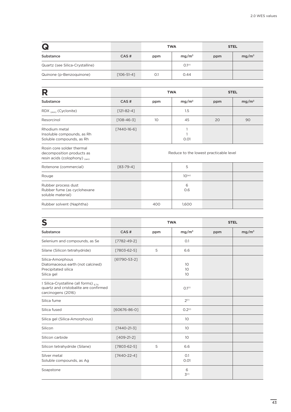| Q                               |                  | <b>TWA</b> |                    |     | <b>STEL</b>       |
|---------------------------------|------------------|------------|--------------------|-----|-------------------|
| Substance                       | CAS#             | ppm        | mg/m <sup>3</sup>  | ppm | mg/m <sup>3</sup> |
| Quartz (see Silica-Crystalline) |                  |            | O.1 <sup>(r)</sup> |     |                   |
| Quinone (p-Benzoquinone)        | $[106 - 51 - 4]$ | O.1        | 0.44               |     |                   |

| R                                                                                       |                   | <b>TWA</b><br><b>STEL</b> |                                        |     |                   |  |  |
|-----------------------------------------------------------------------------------------|-------------------|---------------------------|----------------------------------------|-----|-------------------|--|--|
| Substance                                                                               | CAS#              | ppm                       | mg/m <sup>3</sup>                      | ppm | mg/m <sup>3</sup> |  |  |
| RDX (skin) (Cyclonite)                                                                  | $[121-82-4]$      |                           | 1.5                                    |     |                   |  |  |
| Resorcinol                                                                              | $[108 - 46 - 3]$  | 10                        | 45                                     | 20  | 90                |  |  |
| Rhodium metal<br>Insoluble compounds, as Rh<br>Soluble compounds, as Rh                 | $[7440 - 16 - 6]$ |                           | 0.01                                   |     |                   |  |  |
| Rosin core solder thermal<br>decomposition products as<br>resin acids (colophony) (sen) |                   |                           | Reduce to the lowest practicable level |     |                   |  |  |
| Rotenone (commercial)                                                                   | $[83 - 79 - 4]$   |                           | 5                                      |     |                   |  |  |
| Rouge                                                                                   |                   |                           | $10^{(w)}$                             |     |                   |  |  |
| Rubber process dust<br>Rubber fume (as cyclohexane<br>soluble material)                 |                   |                           | 6<br>0.6                               |     |                   |  |  |
| Rubber solvent (Naphtha)                                                                |                   | 400                       | 1,600                                  |     |                   |  |  |

| S                                                                                                   |                   |     | <b>TWA</b>            |     | <b>STEL</b> |
|-----------------------------------------------------------------------------------------------------|-------------------|-----|-----------------------|-----|-------------|
| Substance                                                                                           | CAS#              | ppm | $mg/m^3$              | ppm | $mg/m^3$    |
| Selenium and compounds, as Se                                                                       | $[7782 - 49 - 2]$ |     | O.1                   |     |             |
| Silane (Silicon tetrahydride)                                                                       | $[7803 - 62 - 5]$ | 5   | 6.6                   |     |             |
| Silica-Amorphous<br>Diatomaceous earth (not calcined)<br>Precipitated silica<br>Silica gel          | [61790-53-2]      |     | 10<br>10<br>10        |     |             |
| ‡ Silica-Crystalline (all forms) 67A<br>quartz and cristobalite are confirmed<br>carcinogens (2016) |                   |     | $O.1^{(r)}$           |     |             |
| Silica fume                                                                                         |                   |     | 2(r)                  |     |             |
| Silica fused                                                                                        | [60676-86-0]      |     | 0.2 <sup>(r)</sup>    |     |             |
| Silica gel (Silica-Amorphous)                                                                       |                   |     | 10                    |     |             |
| Silicon                                                                                             | $[7440 - 21 - 3]$ |     | 10                    |     |             |
| Silicon carbide                                                                                     | $[409-21-2]$      |     | 10                    |     |             |
| Silicon tetrahydride (Silane)                                                                       | [7803-62-5]       | 5   | 6.6                   |     |             |
| Silver metal<br>Soluble compounds, as Ag                                                            | $[7440-22-4]$     |     | O.1<br>0.01           |     |             |
| Soapstone                                                                                           |                   |     | 6<br>3 <sup>(r)</sup> |     |             |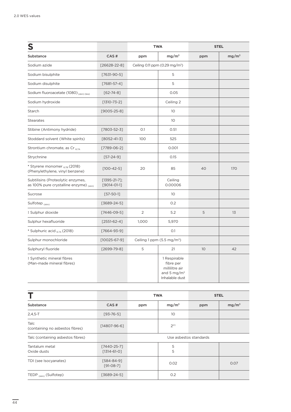| S                                                                            |                                         |                | <b>TWA</b>                                                                               |     | <b>STEL</b>       |
|------------------------------------------------------------------------------|-----------------------------------------|----------------|------------------------------------------------------------------------------------------|-----|-------------------|
| Substance                                                                    | CAS#                                    | ppm            | mg/m <sup>3</sup>                                                                        | ppm | mg/m <sup>3</sup> |
| Sodium azide                                                                 | $[26628 - 22 - 8]$                      |                | Ceiling 0.11 ppm (0.29 mg/m <sup>3</sup> )                                               |     |                   |
| Sodium bisulphite                                                            | $[7631-90-5]$                           |                | 5                                                                                        |     |                   |
| Sodium disulphite                                                            | $[7681 - 57 - 4]$                       |                | 5                                                                                        |     |                   |
| Sodium fluoroacetate (1080) (Skin) (bio)                                     | $[62 - 74 - 8]$                         |                | 0.05                                                                                     |     |                   |
| Sodium hydroxide                                                             | $[1310 - 73 - 2]$                       |                | Ceiling 2                                                                                |     |                   |
| Starch                                                                       | $[9005 - 25 - 8]$                       |                | 10 <sup>°</sup>                                                                          |     |                   |
| <b>Stearates</b>                                                             |                                         |                | 10 <sup>°</sup>                                                                          |     |                   |
| Stibine (Antimony hydride)                                                   | $[7803 - 52 - 3]$                       | O.1            | 0.51                                                                                     |     |                   |
| Stoddard solvent (White spirits)                                             | $[8052 - 41 - 3]$                       | 100            | 525                                                                                      |     |                   |
| Strontium chromate, as Cr 67A                                                | $[7789-06-2]$                           |                | 0.001                                                                                    |     |                   |
| Strychnine                                                                   | $[57-24-9]$                             |                | 0.15                                                                                     |     |                   |
| * Styrene monomer 67B (2018)<br>(Phenylethylene, vinyl benzene)              | $[100-42-5]$                            | 20             | 85                                                                                       | 40  | 170               |
| Subtilisins (Proteolytic enzymes,<br>as 100% pure crystalline enzyme) (skin) | $[1395 - 21 - 7];$<br>$[9014 - 01 - 1]$ |                | Ceiling<br>0.00006                                                                       |     |                   |
| Sucrose                                                                      | $[57-50-1]$                             |                | 10 <sup>°</sup>                                                                          |     |                   |
| Sulfotep (skin)                                                              | $[3689-24-5]$                           |                | 0.2                                                                                      |     |                   |
| ‡ Sulphur dioxide                                                            | $[7446-09-5]$                           | $\overline{2}$ | 5.2                                                                                      | 5   | 13                |
| Sulphur hexafluoride                                                         | $[2551-62-4]$                           | 1,000          | 5,970                                                                                    |     |                   |
| * Sulphuric acid <sub>6.7A</sub> (2018)                                      | $[7664-93-9]$                           |                | O.1                                                                                      |     |                   |
| Sulphur monochloride                                                         | $[10025 - 67 - 9]$                      |                | Ceiling 1 ppm $(5.5 \text{ mg/m}^3)$                                                     |     |                   |
| Sulphuryl fluoride                                                           | $[2699 - 79 - 8]$                       | 5              | 21                                                                                       | 10  | 42                |
| ‡ Synthetic mineral fibres<br>(Man-made mineral fibres)                      |                                         |                | 1 Respirable<br>fibre per<br>millilitre air<br>and 5 mg/m <sup>3</sup><br>Inhalable dust |     |                   |

|                                         |                                  |                        | <b>TWA</b>        |     | <b>STEL</b>       |
|-----------------------------------------|----------------------------------|------------------------|-------------------|-----|-------------------|
| Substance                               | CAS#                             | ppm                    | mg/m <sup>3</sup> | ppm | mg/m <sup>3</sup> |
| $2,4,5-T$                               | $[93 - 76 - 5]$                  |                        | 10 <sup>°</sup>   |     |                   |
| Talc<br>(containing no asbestos fibres) | $[14807 - 96 - 6]$               |                        | 2 <sup>(r)</sup>  |     |                   |
| Talc (containing asbestos fibres)       |                                  | Use asbestos standards |                   |     |                   |
| Tantalum metal<br>Oxide dusts           | [7440-25-7]<br>$[1314 - 61 - 0]$ |                        | 5<br>5            |     |                   |
| TDI (see Isocyanates)                   | $[584 - 84 - 9]$<br>$[91-08-7]$  |                        | 0.02              |     | 0.07              |
| TEDP (skin) (Sulfotep)                  | $[3689-24-5]$                    |                        | O.2               |     |                   |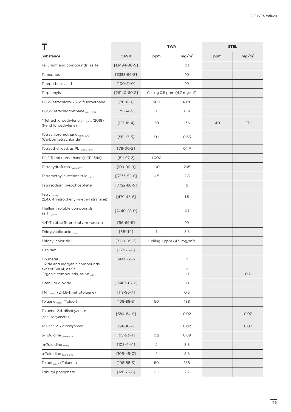|                                                                 |                    | <b>TWA</b>     |                                        | <b>STEL</b> |                   |
|-----------------------------------------------------------------|--------------------|----------------|----------------------------------------|-------------|-------------------|
| Substance                                                       | CAS#               | ppm            | mg/m <sup>3</sup>                      | ppm         | mg/m <sup>3</sup> |
| Tellurium and compounds, as Te                                  | $[13494 - 80 - 9]$ |                | O.1                                    |             |                   |
| Temephos                                                        | $[3383-96-8]$      |                | 10                                     |             |                   |
| Terephthalic acid                                               | $[100-21-0]$       |                | 10                                     |             |                   |
| Terphenyls                                                      | $[26140 - 60 - 3]$ |                | Ceiling 0.5 ppm $(4.7 \text{ mg/m}^3)$ |             |                   |
| 1,1,1,2-Tetrachloro-2,2-difluoroethane                          | $[76-11-9]$        | 500            | 4,170                                  |             |                   |
| 1,1,2,2-Tetrachloroethane (skin) 6.7B                           | $[79 - 34 - 5]$    | 1              | 6.9                                    |             |                   |
| * Tetrachloroethylene 6.7A (skin) (2018)<br>(Perchloroethylene) | $[127-18-4]$       | 20             | 136                                    | 40          | 271               |
| Tetrachloromethane (skin) 6.7B<br>(Carbon tetrachloride)        | $[56 - 23 - 5]$    | 0.1            | 0.63                                   |             |                   |
| Tetraethyl lead, as Pb (skin), (bio)                            | $[78 - 00 - 2]$    |                | 0.1 <sup>(b)</sup>                     |             |                   |
| 1,1,1,2-Tetrafluoroethane (HCF 134a)                            | $[811-97-2]$       | 1,000          |                                        |             |                   |
| Tetrahydrofuran (skin) 6.7B                                     | $[109-99-9]$       | 100            | 295                                    |             |                   |
| Tetramethyl succinonitrile (skin)                               | $[3333-52-6]$      | 0.5            | 2.8                                    |             |                   |
| Tetrasodium pyrophosphate                                       | $[7722 - 88 - 5]$  |                | 5                                      |             |                   |
| Tetryl (sen)<br>(2,4,6-Trinitrophenyl-methylnitramine)          | $[479 - 45 - 8]$   |                | 1.5                                    |             |                   |
| Thallium soluble compounds,<br>as TI (skin)                     | $[7440-28-0]$      |                | O.1                                    |             |                   |
| 4,4'-Thiobis(6-tert-butyl-m-cresol)                             | $[96 - 69 - 5]$    |                | 10                                     |             |                   |
| Thioglycolic acid (skin)                                        | $[68-11-1]$        | 1              | 3.8                                    |             |                   |
| Thionyl chloride                                                | $[7719 - 09 - 7]$  |                | Ceiling 1 ppm (4.9 mg/m <sup>3</sup> ) |             |                   |
| ‡ Thiram                                                        | $[137 - 26 - 8]$   |                | 1                                      |             |                   |
| Tin metal<br>Oxide and inorganic compounds,                     | $[7440 - 31 - 5]$  |                | $\overline{2}$                         |             |                   |
| except SnH4, as Sn<br>Organic compounds, as Sn (skin)           |                    |                | $\overline{2}$<br>O.1                  |             | 0.2               |
| Titanium dioxide                                                | $[13463 - 67 - 7]$ |                | 10                                     |             |                   |
| TNT <sub>(skin)</sub> (2,4,6-Trinitrotoluene)                   | $[118 - 96 - 7]$   |                | 0.5                                    |             |                   |
| Toluene <sub>(skin)</sub> (Toluol)                              | $[108 - 88 - 3]$   | 50             | 188                                    |             |                   |
| Toluene-2,4-diisocyanate<br>(see Isocyanates)                   | $[584 - 84 - 9]$   |                | 0.02                                   |             | 0.07              |
| Toluene-2,6-diisocyanate                                        | $[91-08-7]$        |                | 0.02                                   |             | 0.07              |
| o-Toluidine (skin) 6.7B                                         | $[95 - 53 - 4]$    | 0.2            | 0.89                                   |             |                   |
| m-Toluidine (skin)                                              | $[108 - 44 - 1]$   | 2              | 8.8                                    |             |                   |
| p-Toluidine (skin) 6.7B                                         | $[106 - 49 - 0]$   | $\overline{2}$ | 8.8                                    |             |                   |
| Toluol <sub>(skin)</sub> (Toluene)                              | $[108 - 88 - 3]$   | 50             | 188                                    |             |                   |
| Tributyl phosphate                                              | $[126 - 73 - 8]$   | 0.2            | 2.2                                    |             |                   |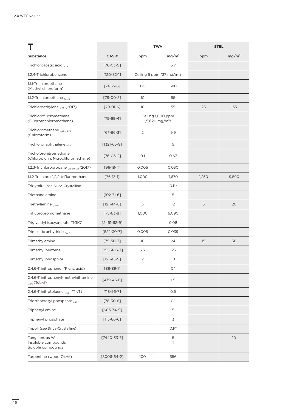|                                                                   |                   |                 | <b>TWA</b>                                    |       | <b>STEL</b>       |
|-------------------------------------------------------------------|-------------------|-----------------|-----------------------------------------------|-------|-------------------|
| Substance                                                         | CAS#              | ppm             | mg/m <sup>3</sup>                             | ppm   | mg/m <sup>3</sup> |
| Trichloroacetic acid 6.7B                                         | $[76 - 03 - 9]$   | 1               | 6.7                                           |       |                   |
| 1,2,4-Trichlorobenzene                                            | $[120-82-1]$      |                 | Ceiling 5 ppm $(37 \text{ mg/m}^3)$           |       |                   |
| 1,1,1-Trichloroethane<br>(Methyl chloroform)                      | $[71-55-6]$       | 125             | 680                                           |       |                   |
| 1,1,2-Trichloroethane (skin)                                      | $[79 - 00 - 5]$   | 10 <sup>°</sup> | 55                                            |       |                   |
| Trichloroethylene $_{6.7A}$ (2017)                                | $[79-01-6]$       | 10 <sup>°</sup> | 55                                            | 25    | 135               |
| Trichlorofluoromethane<br>(Fluorotrichloromethane)                | $[75-69-4]$       |                 | Ceiling 1,000 ppm<br>$(5,620 \text{ mg/m}^3)$ |       |                   |
| Trichloromethane (Skin) 6.7B<br>(Chloroform)                      | $[67 - 66 - 3]$   | 2               | 9.9                                           |       |                   |
| Trichloronaphthalene (skin)                                       | $[1321 - 65 - 9]$ |                 | 5                                             |       |                   |
| Tricholoronitromethane<br>(Chloropicrin, Nitrochloromethane)      | $[76 - 06 - 2]$   | O.1             | 0.67                                          |       |                   |
| 1,2,3-Trichloropropane (Skin) 6.7B (2017)                         | $[96-18-4]$       | 0.005           | 0.030                                         |       |                   |
| 1,1,2-Trichloro-1,2,2-trifluoroethane                             | $[76-13-1]$       | 1,000           | 7,670                                         | 1,250 | 9,590             |
| Tridymite (see Silica-Crystalline)                                |                   |                 | O.1 <sup>(r)</sup>                            |       |                   |
| Triethanolamine                                                   | $[102 - 71 - 6]$  |                 | 5                                             |       |                   |
| Triethylamine (skin)                                              | $[121 - 44 - 8]$  | 3               | 12                                            | 5     | 20                |
| Trifluorobromomethane                                             | $[75-63-8]$       | 1,000           | 6,090                                         |       |                   |
| Triglycidyl isocyanurate (TGIC)                                   | $[2451-62-9]$     |                 | 0.08                                          |       |                   |
| Trimellitic anhydride (sen)                                       | $[522 - 30 - 7]$  | 0.005           | 0.039                                         |       |                   |
| Trimethylamine                                                    | $[75 - 50 - 3]$   | 10              | 24                                            | 15    | 36                |
| Trimethyl benzene                                                 | $[25551-13-7]$    | 25              | 123                                           |       |                   |
| Trimethyl phosphite                                               | $[121 - 45 - 9]$  | 2               | 10                                            |       |                   |
| 2,4,6-Trinitrophenol (Picric acid)                                | $[88 - 89 - 1]$   |                 | O.1                                           |       |                   |
| 2,4,6-Trinitrophenyl-methylnitramine<br><sub>(sen)</sub> (Tetryl) | $[479 - 45 - 8]$  |                 | 1.5                                           |       |                   |
| 2,4,6-Trinitrotoluene (skin) (TNT)                                | $[118 - 96 - 7]$  |                 | 0.5                                           |       |                   |
| Triorthocresyl phosphate (skin)                                   | $[78 - 30 - 8]$   |                 | O.1                                           |       |                   |
| Triphenyl amine                                                   | $[603 - 34 - 9]$  |                 | 5                                             |       |                   |
| Triphenyl phosphate                                               | $[115 - 86 - 6]$  |                 | 3                                             |       |                   |
| Tripoli (see Silica-Crystalline)                                  |                   |                 | $O.1^{(r)}$                                   |       |                   |
| Tungsten, as W<br>Insoluble compounds<br>Soluble compounds        | $[7440 - 33 - 7]$ |                 | 5<br>1                                        |       | 10                |
| Turpentine (wood C <sub>10</sub> H <sub>16</sub> )                | $[8006-64-2]$     | 100             | 556                                           |       |                   |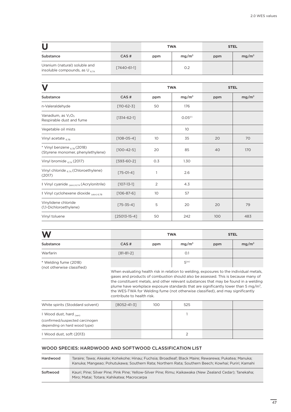|                                                                    |             |     | <b>TWA</b>        |     | <b>STEL</b>       |
|--------------------------------------------------------------------|-------------|-----|-------------------|-----|-------------------|
| Substance                                                          | CAS#        | ppm | mg/m <sup>3</sup> | ppm | mg/m <sup>3</sup> |
| Uranium (natural) soluble and<br>insoluble compounds, as $U_{674}$ | [7440-61-1] |     | O.2               |     |                   |

|                                                                        |                    | <b>TWA</b> |                     | <b>STEL</b> |                   |
|------------------------------------------------------------------------|--------------------|------------|---------------------|-------------|-------------------|
| Substance                                                              | CAS#               | ppm        | mg/m <sup>3</sup>   | ppm         | mg/m <sup>3</sup> |
| n-Valeraldehyde                                                        | $[110-62-3]$       | 50         | 176                 |             |                   |
| Vanadium, as V <sub>2</sub> O <sub>5</sub><br>Respirable dust and fume | $[1314 - 62 - 1]$  |            | 0.05 <sup>(r)</sup> |             |                   |
| Vegetable oil mists                                                    |                    |            | 10 <sup>°</sup>     |             |                   |
| Vinyl acetate 6.7B                                                     | $[108-05-4]$       | 10         | 35                  | 20          | 70                |
| * Vinyl benzene $_{6.78}$ (2018)<br>(Styrene monomer, phenylethylene)  | $[100-42-5]$       | 20         | 85                  | 40          | 170               |
| Vinyl bromide $_{6.7A}$ (2017)                                         | $[593-60-2]$       | 0.3        | 1.30                |             |                   |
| Vinyl chloride $_{6.7A}$ (Chloroethylene)<br>(2017)                    | $[75-01-4]$        |            | 2.6                 |             |                   |
| # Vinyl cyanide <sub>(skin) 6.7A</sub> (Acrylonitrile)                 | $[107 - 13 - 1]$   | 2          | 4.3                 |             |                   |
| # Vinyl cyclohexene dioxide (skin) 6.7B                                | $[106 - 87 - 6]$   | 10         | 57                  |             |                   |
| Vinylidene chloride<br>(1,1-Dichloroethylene)                          | $[75 - 35 - 4]$    | 5          | 20                  | 20          | 79                |
| Vinyl toluene                                                          | $[25013 - 15 - 4]$ | 50         | 242                 | 100         | 483               |

| W                                                   |             | <b>TWA</b> |                   | <b>STEL</b> |                   |
|-----------------------------------------------------|-------------|------------|-------------------|-------------|-------------------|
| Substance                                           | CAS#        | ppm        | mg/m <sup>3</sup> | ppm         | mg/m <sup>3</sup> |
| Warfarin                                            | $[81-81-2]$ |            | O.1               |             |                   |
| * Welding fume (2018)<br>(not otherwise classified) |             |            | 5 <sup>(w)</sup>  |             |                   |

When evaluating health risk in relation to welding, exposures to the individual metals, gases and products of combustion should also be assessed. This is because many of the constituent metals, and other relevant substances that may be found in a welding plume have workplace exposure standards that are significantly lower than 5 mg/m<sup>3</sup>, the WES-TWA for Welding fume (not otherwise classified), and may significantly contribute to health risk.

| White spirits (Stoddard solvent)                                 | F8052-41-31 | 100 | 525 |  |
|------------------------------------------------------------------|-------------|-----|-----|--|
| # Wood dust, hard <sub>(sen)</sub>                               |             |     |     |  |
| (confirmed/suspected carcinogen)<br>depending on hard wood type) |             |     |     |  |
| # Wood dust, soft (2013)                                         |             |     |     |  |

#### WOOD SPECIES: HARDWOOD AND SOFTWOOD CLASSIFICATION LIST

| Hardwood | Taraire; Tawa; Akeake; Kohekohe; Hinau; Fuchsia; Broadleaf; Black Maire; Rewarewa; Pukatea; Manuka;<br>Kanuka; Mangeao; Pohutukawa; Southern Rata; Northern Rata; Southern Beech; Kowhai; Puriri; Kamahi |
|----------|----------------------------------------------------------------------------------------------------------------------------------------------------------------------------------------------------------|
| Softwood | Kauri; Pine; Silver Pine; Pink Pine; Yellow-Silver Pine; Rimu; Kaikawaka (New Zealand Cedar); Tanekaha;<br>Miro; Matai; Totara; Kahikatea; Macrocarpa                                                    |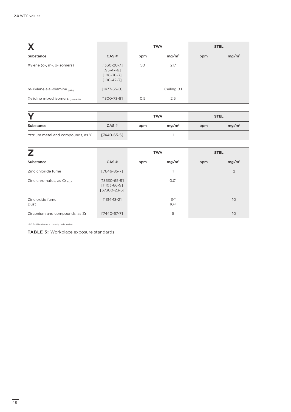|                                    |                                                                          | <b>TWA</b> |                   | <b>STEL</b> |                   |
|------------------------------------|--------------------------------------------------------------------------|------------|-------------------|-------------|-------------------|
| Substance                          | CAS#                                                                     | ppm        | mg/m <sup>3</sup> | ppm         | mg/m <sup>3</sup> |
| Xylene (o-, m-, p-isomers)         | $[1330-20-7]$<br>$[95 - 47 - 6]$<br>$[108 - 38 - 3]$<br>$[106 - 42 - 3]$ | 50         | 217               |             |                   |
| m-Xylene a,a'-diamine (skin)       | $[1477 - 55 - 0]$                                                        |            | Ceiling 0.1       |             |                   |
| Xylidine mixed isomers (skin) 6.7B | $[1300 - 73 - 8]$                                                        | 0.5        | 2.5               |             |                   |

|                                   |             | <b>TWA</b> |                   | <b>STEL</b> |          |
|-----------------------------------|-------------|------------|-------------------|-------------|----------|
| Substance                         | CAS#        | ppm        | mg/m <sup>3</sup> | ppm         | $mg/m^3$ |
| Yttrium metal and compounds, as Y | [7440-65-5] |            |                   |             |          |

|                                 |                                                      | <b>TWA</b> |                                       | <b>STEL</b> |                   |
|---------------------------------|------------------------------------------------------|------------|---------------------------------------|-------------|-------------------|
| Substance                       | CAS#                                                 | ppm        | mg/m <sup>3</sup>                     | ppm         | mg/m <sup>3</sup> |
| Zinc chloride fume              | [7646-85-7]                                          |            |                                       |             | 2                 |
| Zinc chromates, as Cr $_{6.7A}$ | $[13530-65-9]$<br>$[11103 - 86 - 9]$<br>[37300-23-5] |            | 0.01                                  |             |                   |
| Zinc oxide fume<br>Dust         | $[1314 - 13 - 2]$                                    |            | 3 <sup>(r)</sup><br>10 <sup>(r)</sup> |             | 10                |
| Zirconium and compounds, as Zr  | [7440-67-7]                                          |            | 5                                     |             | 10                |

‡ BEI for this substance currently under review

**TABLE 5:** Workplace exposure standards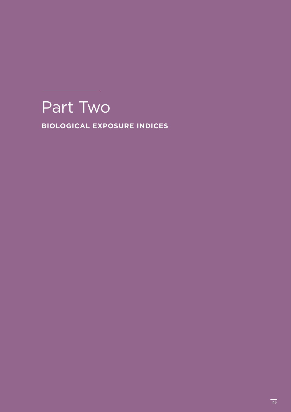## Part Two

**BIOLOGICAL EXPOSURE INDICES**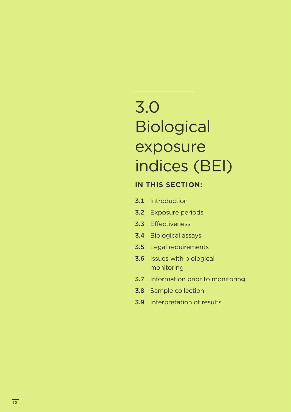## 3.0 **Biological** exposure indices (BEI)

### **IN THIS SECTION:**

- 3.1 Introduction
- 3.2 Exposure periods
- 3.3 Effectiveness
- 3.4 Biological assays
- 3.5 Legal requirements
- 3.6 Issues with biological monitoring
- 3.7 Information prior to monitoring
- 3.8 Sample collection
- 3.9 Interpretation of results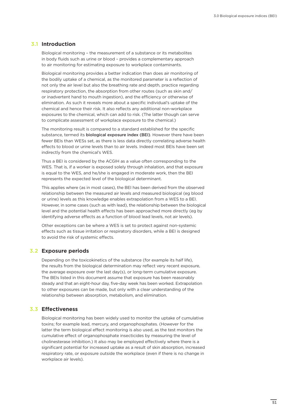#### **Introduction 3.1**

Biological monitoring – the measurement of a substance or its metabolites in body fluids such as urine or blood – provides a complementary approach to air monitoring for estimating exposure to workplace contaminants.

Biological monitoring provides a better indication than does air monitoring of the bodily uptake of a chemical, as the monitored parameter is a reflection of not only the air level but also the breathing rate and depth, practice regarding respiratory protection, the absorption from other routes (such as skin and/ or inadvertent hand to mouth ingestion), and the efficiency or otherwise of elimination. As such it reveals more about a specific individual's uptake of the chemical and hence their risk. It also reflects any additional non-workplace exposures to the chemical, which can add to risk. (The latter though can serve to complicate assessment of workplace exposure to the chemical.)

The monitoring result is compared to a standard established for the specific substance, termed its **biological exposure index (BEI)**. However there have been fewer BEIs than WESs set, as there is less data directly correlating adverse health effects to blood or urine levels than to air levels. Indeed most BEIs have been set indirectly from the chemical's WES.

Thus a BEI is considered by the ACGIH as a value often corresponding to the WES. That is, if a worker is exposed solely through inhalation, and that exposure is equal to the WES, and he/she is engaged in moderate work, then the BEI represents the expected level of the biological determinant.

This applies where (as in most cases), the BEI has been derived from the observed relationship between the measured air levels and measured biological (eg blood or urine) levels as this knowledge enables extrapolation from a WES to a BEI. However, in some cases (such as with lead), the relationship between the biological level and the potential health effects has been approached more directly (eg by identifying adverse effects as a function of blood lead levels, not air levels).

Other exceptions can be where a WES is set to protect against non-systemic effects such as tissue irritation or respiratory disorders, while a BEI is designed to avoid the risk of systemic effects.

#### **Exposure periods 3.2**

Depending on the toxicokinetics of the substance (for example its half life), the results from the biological determination may reflect very recent exposure, the average exposure over the last day(s), or long-term cumulative exposure. The BEIs listed in this document assume that exposure has been reasonably steady and that an eight-hour day, five-day week has been worked. Extrapolation to other exposures can be made, but only with a clear understanding of the relationship between absorption, metabolism, and elimination.

#### **Effectiveness 3.3**

Biological monitoring has been widely used to monitor the uptake of cumulative toxins; for example lead, mercury, and organophosphates. (However for the latter the term biological effect monitoring is also used, as the test monitors the cumulative effect of organophosphate insecticides by measuring the level of cholinesterase inhibition.) It also may be employed effectively where there is a significant potential for increased uptake as a result of skin absorption, increased respiratory rate, or exposure outside the workplace (even if there is no change in workplace air levels).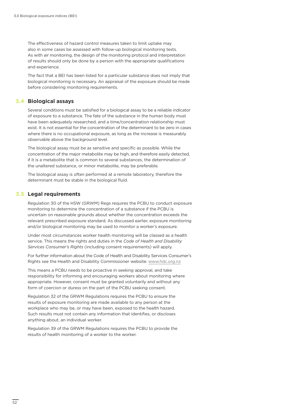The effectiveness of hazard control measures taken to limit uptake may also in some cases be assessed with follow-up biological monitoring tests. As with air monitoring, the design of the monitoring protocol and interpretation of results should only be done by a person with the appropriate qualifications and experience.

The fact that a BEI has been listed for a particular substance does not imply that biological monitoring is necessary. An appraisal of the exposure should be made before considering monitoring requirements.

#### **Biological assays 3.4**

Several conditions must be satisfied for a biological assay to be a reliable indicator of exposure to a substance. The fate of the substance in the human body must have been adequately researched, and a time/concentration relationship must exist. It is not essential for the concentration of the determinant to be zero in cases where there is no occupational exposure, as long as the increase is measurably observable above the background level.

The biological assay must be as sensitive and specific as possible. While the concentration of the major metabolite may be high, and therefore easily detected, if it is a metabolite that is common to several substances, the determination of the unaltered substance, or minor metabolite, may be preferable.

The biological assay is often performed at a remote laboratory, therefore the determinant must be stable in the biological fluid.

#### **Legal requirements 3.5**

Regulation 30 of the HSW (GRWM) Regs requires the PCBU to conduct exposure monitoring to determine the concentration of a substance if the PCBU is uncertain on reasonable grounds about whether the concentration exceeds the relevant prescribed exposure standard. As discussed earlier, exposure monitoring and/or biological monitoring may be used to monitor a worker's exposure.

Under most circumstances worker health monitoring will be classed as a health service. This means the rights and duties in the *Code of Health and Disability Services Consumer's Rights* (including consent requirements) will apply.

For further information about the Code of Health and Disability Services Consumer's Rights see the Health and Disability Commissioner website: www.hdc.org.nz

This means a PCBU needs to be proactive in seeking approval, and take responsibility for informing and encouraging workers about monitoring where appropriate. However, consent must be granted voluntarily and without any form of coercion or duress on the part of the PCBU seeking consent.

Regulation 32 of the GRWM Regulations requires the PCBU to ensure the results of exposure monitoring are made available to any person at the workplace who may be, or may have been, exposed to the health hazard. Such results must not contain any information that identifies, or discloses anything about, an individual worker.

Regulation 39 of the GRWM Regulations requires the PCBU to provide the results of health monitoring of a worker to the worker.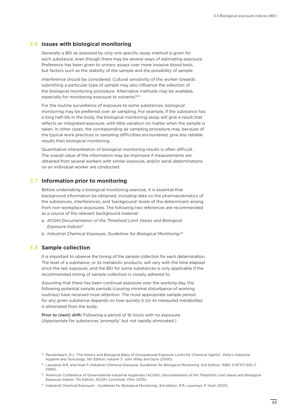#### **Issues with biological monitoring 3.6**

Generally a BEI as assessed by only one specific assay method is given for each substance, even though there may be several ways of estimating exposure. Preference has been given to urinary assays over more invasive blood tests, but factors such as the stability of the sample and the possibility of sample

interference should be considered. Cultural sensitivity of the worker towards submitting a particular type of sample may also influence the selection of the biological monitoring procedure. Alternative methods may be available, especially for monitoring exposure to solvents.<sup>13,14</sup>

For the routine surveillance of exposure to some substances, biological monitoring may be preferred over air sampling. For example, if the substance has a long half-life in the body, the biological monitoring assay will give a result that reflects an integrated exposure, with little variation no matter when the sample is taken. In other cases, the corresponding air sampling procedure may, because of the typical work practices or sampling difficulties encountered, give less reliable results than biological monitoring.

Quantitative interpretation of biological monitoring results is often difficult. The overall value of the information may be improved if measurements are obtained from several workers with similar exposure, and/or serial determinations on an individual worker are conducted.

#### **Information prior to monitoring 3.7**

Before undertaking a biological monitoring exercise, it is essential that background information be obtained, including data on the pharmacokinetics of the substances, interferences, and 'background' levels of the determinant arising from non-workplace exposures. The following two references are recommended as a source of the relevant background material:

- a. *ACGIH Documentation of the Threshold Limit Values and Biological Exposure Indices*<sup>15</sup>
- b. *Industrial Chemical Exposure, Guidelines for Biological Monitoring.*<sup>16</sup>

#### **Sample collection 3.8**

It is important to observe the timing of the sample collection for each determination. The level of a substance, or its metabolic products, will vary with the time elapsed since the last exposure, and the BEI for some substances is only applicable if the recommended timing of sample collection is closely adhered to.

Assuming that there has been continual exposure over the working day, the following potential sample periods (causing minimal disturbance of working routines) have received most attention. The most appropriate sample period for any given substance depends on how quickly it (or its measured metabolite) is eliminated from the body:

Prior to (next) shift: Following a period of 16 hours with no exposure. (Appropriate for substances 'promptly' but not rapidly eliminated.)

<sup>13</sup> Paustenbach, D.J. 'The History and Biological Basis of Occupational Exposure Limits for Chemical Agents', *Patty's Industrial Hygiene and Toxicology*, 5th Edition, volume 3. John Wiley and Sons (2000).

<sup>&</sup>lt;sup>14</sup> Lauwerys R.R. and Hoet P. *Industrial Chemical Exposure, Guidelines for Biological Monitoring*. 2nd Edition. ISBN: 0-87371-650-7,  $(1993)$ 

<sup>&</sup>lt;sup>15</sup> American Conference of Governmental Industrial Hygienists (ACGIH). *Documentation of the Threshold Limit Values and Biological Exposure Indices*. 7th Edition, ACGIH, Cincinnati, Ohio (2015).

<sup>16</sup> Industrial Chemical Exposure - Guidelines for Biological Monitoring, 3rd edition, R.R. Lauwreys, P. Hoet (2001).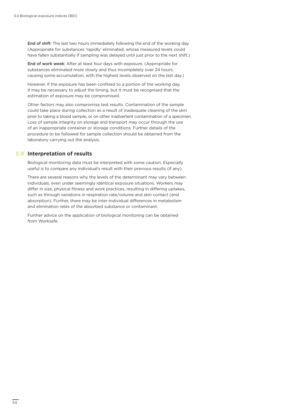End of shift: The last two hours immediately following the end of the working day. (Appropriate for substances 'rapidly' eliminated, whose measured levels could have fallen substantially if sampling was delayed until just prior to the next shift.)

End of work week: After at least four days with exposure. (Appropriate for substances eliminated more slowly and thus incompletely over 24 hours, causing some accumulation, with the highest levels observed on the last day.)

However, if the exposure has been confined to a portion of the working day, it may be necessary to adjust the timing, but it must be recognised that the estimation of exposure may be compromised.

Other factors may also compromise test results. Contamination of the sample could take place during collection as a result of inadequate cleaning of the skin prior to taking a blood sample, or on other inadvertent contamination of a specimen. Loss of sample integrity on storage and transport may occur through the use of an inappropriate container or storage conditions. Further details of the procedure to be followed for sample collection should be obtained from the laboratory carrying out the analysis.

#### **Interpretation of results 3.9**

Biological monitoring data must be interpreted with some caution. Especially useful is to compare any individual's result with their previous results (if any).

There are several reasons why the levels of the determinant may vary between individuals, even under seemingly identical exposure situations. Workers may differ in size, physical fitness and work practices, resulting in differing uptakes, such as through variations in respiration rate/volume and skin contact (and absorption). Further, there may be inter-individual differences in metabolism and elimination rates of the absorbed substance or contaminant.

Further advice on the application of biological monitoring can be obtained from Worksafe.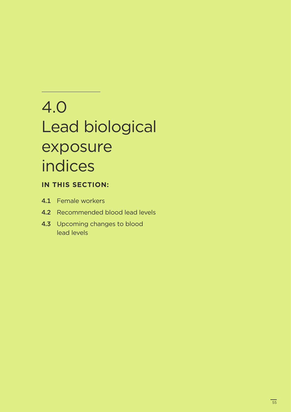## 4.0 Lead biological exposure indices

### **IN THIS SECTION:**

- 4.1 Female workers
- 4.2 Recommended blood lead levels
- 4.3 Upcoming changes to blood lead levels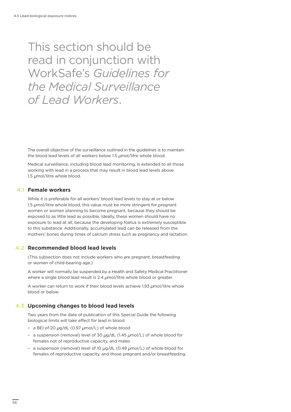## This section should be read in conjunction with WorkSafe's *Guidelines for the Medical Surveillance of Lead Workers*.

The overall objective of the surveillance outlined in the guidelines is to maintain the blood lead levels of all workers below 1.5  $\mu$ mol/litre whole blood.

Medical surveillance, including blood lead monitoring, is extended to all those working with lead in a process that may result in blood lead levels above 1.5  $\mu$ mol/litre whole blood.

#### **Female workers 4.1**

While it is preferable for all workers' blood lead levels to stay at or below 1.5  $\mu$ mol/litre whole blood, this value must be more stringent for pregnant women or women planning to become pregnant, because they should be exposed to as little lead as possible. Ideally, these women should have no exposure to lead at all, because the developing foetus is extremely susceptible to this substance. Additionally, accumulated lead can be released from the mothers' bones during times of calcium stress such as pregnancy and lactation.

#### **Recommended blood lead levels 4.2**

(This subsection does not include workers who are pregnant, breastfeeding or women of child-bearing age.)

A worker will normally be suspended by a Health and Safety Medical Practitioner where a single blood lead result is 2.4  $\mu$ mol/litre whole blood or greater.

A worker can return to work if their blood levels achieve 1.93  $\mu$ mol/litre whole blood or below.

#### **Upcoming changes to blood lead levels 4.3**

Two years from the date of publication of this Special Guide the following biological limits will take effect for lead in blood:

- a BEI of 20  $\mu$ g/dL (0.97  $\mu$ mol/L) of whole blood
- a suspension (removal) level of 30  $\mu$ g/dL (1.45  $\mu$ mol/L) of whole blood for females not of reproductive capacity, and males
- a suspension (removal) level of 10  $\mu$ g/dL (0.48  $\mu$ mol/L) of whole blood for females of reproductive capacity, and those pregnant and/or breastfeeding.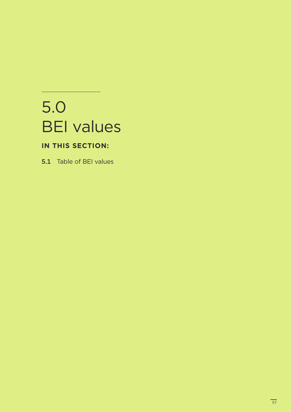## 5.0 BEI values

### **IN THIS SECTION:**

5.1 Table of BEI values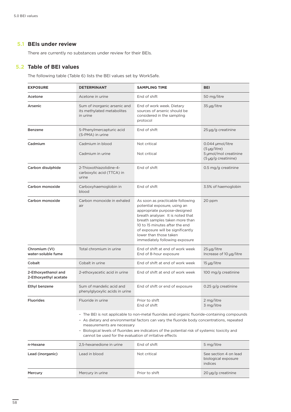#### **BEIs under review 5.1**

There are currently no substances under review for their BEIs.

#### **Table of BEI values 5.2**

The following table (Table 6) lists the BEI values set by WorkSafe.

| <b>EXPOSURE</b>                              | <b>DETERMINANT</b>                                                                    | <b>SAMPLING TIME</b>                                                                                                                                                                                                                                                                                       | <b>BEI</b>                                                                                 |
|----------------------------------------------|---------------------------------------------------------------------------------------|------------------------------------------------------------------------------------------------------------------------------------------------------------------------------------------------------------------------------------------------------------------------------------------------------------|--------------------------------------------------------------------------------------------|
| Acetone                                      | Acetone in urine                                                                      | End of shift                                                                                                                                                                                                                                                                                               | 50 mg/litre                                                                                |
| Arsenic                                      | Sum of inorganic arsenic and<br>its methylated metabolites<br>in urine                | End of work week. Dietary<br>sources of arsenic should be<br>considered in the sampling<br>protocol                                                                                                                                                                                                        | 35 µg/litre                                                                                |
| Benzene                                      | S-Phenylmercapturic acid<br>(S-PMA) in urine                                          | End of shift                                                                                                                                                                                                                                                                                               | 25 µg/g creatinine                                                                         |
| Cadmium                                      | Cadmium in blood<br>Cadmium in urine                                                  | Not critical<br>Not critical                                                                                                                                                                                                                                                                               | 0.044 µmol/litre<br>$(5 \text{ µq/litre})$<br>5 µmol/mol creatinine<br>(5 µg/g creatinine) |
| Carbon disulphide                            | 2-Thioxothiazolidine-4-<br>carboxylic acid (TTCA) in<br>urine                         | End of shift                                                                                                                                                                                                                                                                                               | 0.5 mg/g creatinine                                                                        |
| Carbon monoxide                              | Carboxyhaemoglobin in<br>blood                                                        | End of shift                                                                                                                                                                                                                                                                                               | 3.5% of haemoglobin                                                                        |
| Carbon monoxide                              | Carbon monoxide in exhaled<br>air                                                     | As soon as practicable following<br>potential exposure, using an<br>appropriate purpose-designed<br>breath analyser. It is noted that<br>breath samples taken more than<br>10 to 15 minutes after the end<br>of exposure will be significantly<br>lower than those taken<br>immediately following exposure | 20 ppm                                                                                     |
| Chromium (VI)<br>water-soluble fume          | Total chromium in urine                                                               | End of shift at end of work week<br>End of 8-hour exposure                                                                                                                                                                                                                                                 | 25 µg/litre<br>Increase of 10 µg/litre                                                     |
| Cobalt                                       | Cobalt in urine                                                                       | End of shift at end of work week                                                                                                                                                                                                                                                                           | 15 µg/litre                                                                                |
| 2-Ethoxyethanol and<br>2-Ethoxyethyl acetate | 2-ethoxyacetic acid in urine                                                          | End of shift at end of work week                                                                                                                                                                                                                                                                           | 100 mg/g creatinine                                                                        |
| Ethyl benzene                                | Sum of mandelic acid and<br>phenylglyoxylic acids in urine                            | End of shift or end of exposure                                                                                                                                                                                                                                                                            | 0.25 g/g creatinine                                                                        |
| <b>Fluorides</b>                             | Fluoride in urine                                                                     | Prior to shift<br>End of shift                                                                                                                                                                                                                                                                             | 2 mg/litre<br>3 mg/litre                                                                   |
|                                              | measurements are necessary<br>cannot be used for the evaluation of irritative effects | - The BEI is not applicable to non-metal fluorides and organic fluoride-containing compounds<br>- As dietary and environmental factors can vary the fluoride body concentrations, repeated<br>- Biological levels of fluorides are indicators of the potential risk of systemic toxicity and               |                                                                                            |
| n-Hexane                                     | 2.5-hexanedione in urine                                                              | End of shift                                                                                                                                                                                                                                                                                               | 5 mg/litre                                                                                 |
| Lead (inorganic)                             | Lead in blood                                                                         | Not critical                                                                                                                                                                                                                                                                                               | See section 4 on lead<br>biological exposure<br>indices                                    |
| Mercury                                      | Mercury in urine                                                                      | Prior to shift                                                                                                                                                                                                                                                                                             | 20 µg/g creatinine                                                                         |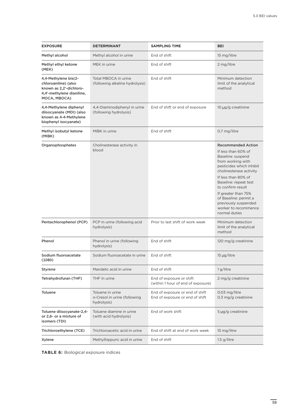| <b>EXPOSURE</b>                                                                                                      | <b>DETERMINANT</b>                                              | <b>SAMPLING TIME</b>                                               | <b>BEI</b>                                                                                                                                                                                                                                                                                                                              |
|----------------------------------------------------------------------------------------------------------------------|-----------------------------------------------------------------|--------------------------------------------------------------------|-----------------------------------------------------------------------------------------------------------------------------------------------------------------------------------------------------------------------------------------------------------------------------------------------------------------------------------------|
| Methyl alcohol                                                                                                       | Methyl alcohol in urine                                         | End of shift                                                       | 15 mg/litre                                                                                                                                                                                                                                                                                                                             |
| Methyl ethyl ketone<br>(MEK)                                                                                         | MEK in urine                                                    | End of shift                                                       | 2 mg/litre                                                                                                                                                                                                                                                                                                                              |
| 4,4-Methylene bis(2-<br>chloroaniline) (also<br>known as 2,2'-dichloro-<br>4,4'-methylene dianiline,<br>MOCA, MBOCA) | Total MBOCA in urine<br>(following alkaline hydrolysis)         | End of shift                                                       | Minimum detection<br>limit of the analytical<br>method                                                                                                                                                                                                                                                                                  |
| 4,4-Methylene diphenyl<br>diisocyanate (MDI) (also<br>known as 4-4-Methylene<br>bisphenyl isocyanate)                | 4,4-Diaminodiphenyl in urine<br>(following hydrolysis)          | End of shift or end of exposure                                    | 10 µg/g creatinine                                                                                                                                                                                                                                                                                                                      |
| Methyl isobutyl ketone<br>(MIBK)                                                                                     | MIBK in urine                                                   | End of shift                                                       | 0.7 mg/litre                                                                                                                                                                                                                                                                                                                            |
| Organophosphates                                                                                                     | Cholinesterase activity in<br>blood                             |                                                                    | <b>Recommended Action</b><br>If less than 60% of<br>Baseline: suspend<br>from working with<br>pesticides which inhibit<br>cholinesterase activity<br>If less than 80% of<br>Baseline: repeat test<br>to confirm result<br>If greater than 75%<br>of Baseline: permit a<br>previously suspended<br>worker to recommence<br>normal duties |
| Pentachlorophenol (PCP)                                                                                              | PCP in urine (following acid<br>hydrolysis)                     | Prior to last shift of work week                                   | Minimum detection<br>limit of the analytical<br>method                                                                                                                                                                                                                                                                                  |
| Phenol                                                                                                               | Phenol in urine (following<br>hydrolysis)                       | End of shift                                                       | 120 mg/g creatinine                                                                                                                                                                                                                                                                                                                     |
| Sodium fluoroacetate<br>(1080)                                                                                       | Sodium fluoroacetate in urine                                   | End of shift                                                       | 15 µg/litre                                                                                                                                                                                                                                                                                                                             |
| Styrene                                                                                                              | Mandelic acid in urine                                          | End of shift                                                       | 1 g/litre                                                                                                                                                                                                                                                                                                                               |
| Tetrahydrofuran (THF)                                                                                                | THF in urine                                                    | End of exposure or shift<br>(within 1 hour of end of exposure)     | 2 mg/g creatinine                                                                                                                                                                                                                                                                                                                       |
| Toluene                                                                                                              | Toluene in urine<br>o-Cresol in urine (following<br>hydrolysis) | End of exposure or end of shift<br>End of exposure or end of shift | 0.03 mg/litre<br>0.3 mg/g creatinine                                                                                                                                                                                                                                                                                                    |
| Toluene diisocyanate-2,4-<br>or 2,6- or a mixture of<br>isomers (TDI)                                                | Toluene diamine in urine<br>(with acid hydrolysis)              | End of work shift                                                  | 5 µg/g creatinine                                                                                                                                                                                                                                                                                                                       |
| Trichloroethylene (TCE)                                                                                              | Trichloroacetic acid in urine                                   | End of shift at end of work week                                   | 15 mg/litre                                                                                                                                                                                                                                                                                                                             |
| Xylene                                                                                                               | Methylhippuric acid in urine                                    | End of shift                                                       | $1.5$ g/litre                                                                                                                                                                                                                                                                                                                           |

**TABLE 6:** Biological exposure indices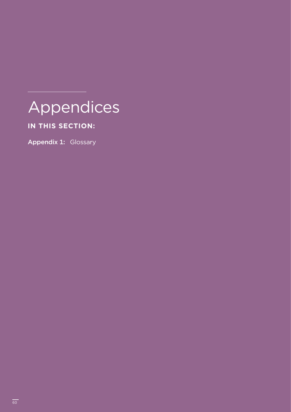## Appendices

### **IN THIS SECTION:**

Appendix 1: Glossary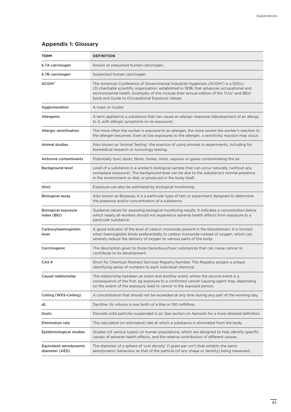#### **Appendix 1: Glossary**

| TERM                                      | <b>DEFINITION</b>                                                                                                                                                                                                                                                                                                                  |
|-------------------------------------------|------------------------------------------------------------------------------------------------------------------------------------------------------------------------------------------------------------------------------------------------------------------------------------------------------------------------------------|
| 6.7A carcinogen                           | Known or presumed human carcinogen.                                                                                                                                                                                                                                                                                                |
| 6.7B carcinogen                           | Suspected human carcinogen.                                                                                                                                                                                                                                                                                                        |
| <b>ACGIH®</b>                             | The American Conference of Governmental Industrial Hygienists (ACGIH®) is a 501(c)<br>(3) charitable scientific organization, established in 1938, that advances occupational and<br>environmental health. Examples of this include their annual edition of the TLVs® and BEIs®<br>book and Guide to Occupational Exposure Values. |
| Agglomeration                             | A mass or cluster.                                                                                                                                                                                                                                                                                                                 |
| Allergenic                                | A term applied to a substance that can cause an allergic response (development of an allergy<br>to it, with allergic symptoms on re-exposure).                                                                                                                                                                                     |
| Allergic sensitisation                    | The more often the worker is exposed to an allergen, the more severe the worker's reaction to<br>the allergen becomes. Even at low exposures to the allergen, a sensitivity reaction may occur.                                                                                                                                    |
| Animal studies                            | Also known as 'Animal Testing': the practice of using animals in experiments, including for<br>biomedical research or toxicology testing.                                                                                                                                                                                          |
| Airborne contaminants                     | Potentially toxic dusts, fibres, fumes, mists, vapours or gases contaminating the air.                                                                                                                                                                                                                                             |
| <b>Background level</b>                   | Level of a substance in a worker's biological sample that can occur naturally (without any<br>workplace exposure). The background level can be due to the substance's normal presence<br>in the environment or diet, or produced in the body itself.                                                                               |
| (bio)                                     | Exposure can also be estimated by biological monitoring.                                                                                                                                                                                                                                                                           |
| <b>Biological assay</b>                   | Also known as Bioassay, it is a particular type of test or experiment designed to determine<br>the presence and/or concentration of a substance.                                                                                                                                                                                   |
| <b>Biological exposure</b><br>index (BEI) | Guidance values for assessing biological monitoring results. It indicates a concentration below<br>which nearly all workers should not experience adverse health effects from exposure to a<br>particular substance.                                                                                                               |
| Carboxyhaemoglobin<br>level               | A good indicator of the level of carbon monoxide present in the bloodstream. It is formed<br>when haemoglobin binds preferentially to carbon monoxide instead of oxygen, which can<br>severely reduce the delivery of oxygen to various parts of the body.                                                                         |
| Carcinogenic                              | The description given to those hazardous/toxic substances that can cause cancer or<br>contribute to its development.                                                                                                                                                                                                               |
| CAS #                                     | Short for Chemical Abstract Services Registry Number. This Registry assigns a unique<br>identifying series of numbers to each individual chemical.                                                                                                                                                                                 |
| Causal relationship                       | The relationship between an event and another event, where the second event is a<br>consequence of the first, eg exposure to a confirmed cancer-causing agent may, depending<br>on the extent of the exposure, lead to cancer in the exposed person.                                                                               |
| Ceiling (WES-Ceiling)                     | A concentration that should not be exceeded at any time during any part of the working day.                                                                                                                                                                                                                                        |
| dL                                        | Decilitre. Its volume is one tenth of a litre or 100 millilitres.                                                                                                                                                                                                                                                                  |
| Dusts                                     | Discrete solid particles suspended in air. See section on Aerosols for a more detailed definition.                                                                                                                                                                                                                                 |
| <b>Elimination rate</b>                   | The calculated (or estimated) rate at which a substance is eliminated from the body.                                                                                                                                                                                                                                               |
| Epidemiological studies                   | Studies (of various types) on human populations, which are designed to help identify specific<br>causes of adverse health effects, and the relative contribution of different causes.                                                                                                                                              |
| Equivalent aerodynamic<br>diameter (AED)  | The diameter of a sphere of 'unit density' (1 gram per cm <sup>3</sup> ) that exhibits the same<br>aerodynamic behaviour as that of the particle (of any shape or density) being measured.                                                                                                                                         |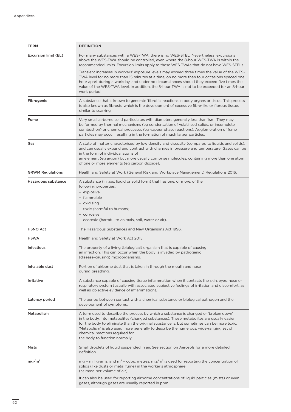| <b>TERM</b>             | <b>DEFINITION</b>                                                                                                                                                                                                                                                                                                                                                                                                                             |  |
|-------------------------|-----------------------------------------------------------------------------------------------------------------------------------------------------------------------------------------------------------------------------------------------------------------------------------------------------------------------------------------------------------------------------------------------------------------------------------------------|--|
| Excursion limit (EL)    | For many substances with a WES-TWA, there is no WES-STEL. Nevertheless, excursions<br>above the WES-TWA should be controlled, even where the 8-hour WES-TWA is within the<br>recommended limits. Excursion limits apply to those WES-TWAs that do not have WES-STELs.                                                                                                                                                                         |  |
|                         | Transient increases in workers' exposure levels may exceed three times the value of the WES-<br>TWA level for no more than 15 minutes at a time, on no more than four occasions spaced one<br>hour apart during a workday, and under no circumstances should they exceed five times the<br>value of the WES-TWA level. In addition, the 8-hour TWA is not to be exceeded for an 8-hour<br>work period.                                        |  |
| Fibrogenic              | A substance that is known to generate 'fibrotic' reactions in body organs or tissue. This process<br>is also known as fibrosis, which is the development of excessive fibre-like or fibrous tissue,<br>similar to scarring.                                                                                                                                                                                                                   |  |
| Fume                    | Very small airborne solid particulates with diameters generally less than $1\mu$ m. They may<br>be formed by thermal mechanisms (eg condensation of volatilised solids, or incomplete<br>combustion) or chemical processes (eg vapour phase reactions). Agglomeration of fume<br>particles may occur, resulting in the formation of much larger particles.                                                                                    |  |
| Gas                     | A state of matter characterised by low density and viscosity (compared to liquids and solids),<br>and can usually expand and contract with changes in pressure and temperature. Gases can be<br>in the form of individual atoms of<br>an element (eg argon) but more usually comprise molecules, containing more than one atom<br>of one or more elements (eg carbon dioxide).                                                                |  |
| <b>GRWM Regulations</b> | Health and Safety at Work (General Risk and Workplace Management) Regulations 2016.                                                                                                                                                                                                                                                                                                                                                           |  |
| Hazardous substance     | A substance (in gas, liquid or solid form) that has one, or more, of the<br>following properties:<br>- explosive<br>- flammable<br>- oxidising<br>- toxic (harmful to humans)<br>- corrosive<br>- ecotoxic (harmful to animals, soil, water or air).                                                                                                                                                                                          |  |
| <b>HSNO Act</b>         | The Hazardous Substances and New Organisms Act 1996.                                                                                                                                                                                                                                                                                                                                                                                          |  |
| <b>HSWA</b>             | Health and Safety at Work Act 2015.                                                                                                                                                                                                                                                                                                                                                                                                           |  |
| <b>Infectious</b>       | The property of a living (biological) organism that is capable of causing<br>an infection. This can occur when the body is invaded by pathogenic<br>(disease-causing) microorganisms.                                                                                                                                                                                                                                                         |  |
| Inhalable dust          | Portion of airborne dust that is taken in through the mouth and nose<br>during breathing.                                                                                                                                                                                                                                                                                                                                                     |  |
| Irritative              | A substance capable of causing tissue inflammation when it contacts the skin, eyes, nose or<br>respiratory system (usually with associated subjective feelings of irritation and discomfort, as<br>well as objective evidence of inflammation).                                                                                                                                                                                               |  |
| Latency period          | The period between contact with a chemical substance or biological pathogen and the<br>development of symptoms.                                                                                                                                                                                                                                                                                                                               |  |
| Metabolism              | A term used to describe the process by which a substance is changed or 'broken down'<br>in the body, into metabolites (changed substances). These metabolites are usually easier<br>for the body to eliminate than the original substance is, but sometimes can be more toxic.<br>'Metabolism' is also used more generally to describe the numerous, wide-ranging set of<br>chemical reactions required for<br>the body to function normally. |  |
| Mists                   | Small droplets of liquid suspended in air. See section on Aerosols for a more detailed<br>definition.                                                                                                                                                                                                                                                                                                                                         |  |
| mg/m <sup>3</sup>       | mg = milligrams, and $m^3$ = cubic metres. mg/m <sup>3</sup> is used for reporting the concentration of<br>solids (like dusts or metal fume) in the worker's atmosphere<br>(as mass per volume of air).<br>It can also be used for reporting airborne concentrations of liquid particles (mists) or even<br>gases, although gases are usually reported in ppm.                                                                                |  |
|                         |                                                                                                                                                                                                                                                                                                                                                                                                                                               |  |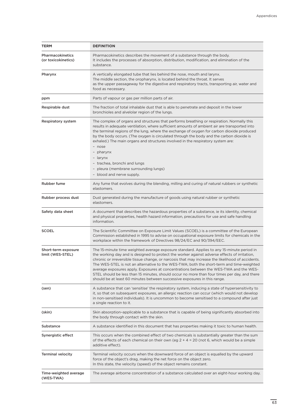| <b>TERM</b>                             | <b>DEFINITION</b>                                                                                                                                                                                                                                                                                                                                                                                                                                                                                                                                                                                                                                                |
|-----------------------------------------|------------------------------------------------------------------------------------------------------------------------------------------------------------------------------------------------------------------------------------------------------------------------------------------------------------------------------------------------------------------------------------------------------------------------------------------------------------------------------------------------------------------------------------------------------------------------------------------------------------------------------------------------------------------|
| Pharmacokinetics<br>(or toxicokinetics) | Pharmacokinetics describes the movement of a substance through the body.<br>It includes the processes of absorption, distribution, modification, and elimination of the<br>substance.                                                                                                                                                                                                                                                                                                                                                                                                                                                                            |
| Pharynx                                 | A vertically elongated tube that lies behind the nose, mouth and larynx.<br>The middle section, the oropharynx, is located behind the throat. It serves<br>as the upper passageway for the digestive and respiratory tracts, transporting air, water and<br>food as necessary.                                                                                                                                                                                                                                                                                                                                                                                   |
| ppm                                     | Parts of vapour or gas per million parts of air.                                                                                                                                                                                                                                                                                                                                                                                                                                                                                                                                                                                                                 |
| Respirable dust                         | The fraction of total inhalable dust that is able to penetrate and deposit in the lower<br>bronchioles and alvelolar region of the lungs.                                                                                                                                                                                                                                                                                                                                                                                                                                                                                                                        |
| Respiratory system                      | The complex of organs and structures that performs breathing or respiration. Normally this<br>results in adequate ventilation, where sufficient amounts of ambient air are transported into<br>the terminal regions of the lung, where the exchange of oxygen for carbon dioxide produced<br>by the body occurs. (The oxygen is circulated through the body and the carbon dioxide is<br>exhaled.) The main organs and structures involved in the respiratory system are:<br>- nose<br>- pharynx<br>- larynx<br>- trachea, bronchi and lungs<br>- pleura (membrane surrounding lungs)<br>- blood and nerve supply.                                               |
| Rubber fume                             | Any fume that evolves during the blending, milling and curing of natural rubbers or synthetic<br>elastomers.                                                                                                                                                                                                                                                                                                                                                                                                                                                                                                                                                     |
| Rubber process dust                     | Dust generated during the manufacture of goods using natural rubber or synthetic<br>elastomers.                                                                                                                                                                                                                                                                                                                                                                                                                                                                                                                                                                  |
| Safety data sheet                       | A document that describes the hazardous properties of a substance, ie its identity, chemical<br>and physical properties, health hazard information, precautions for use and safe handling<br>information.                                                                                                                                                                                                                                                                                                                                                                                                                                                        |
| <b>SCOEL</b>                            | The Scientific Committee on Exposure Limit Values (SCOEL) is a committee of the European<br>Commission established in 1995 to advise on occupational exposure limits for chemicals in the<br>workplace within the framework of Directives 98/24/EC and 90/394/EEC.                                                                                                                                                                                                                                                                                                                                                                                               |
| Short-term exposure<br>limit (WES-STEL) | The 15-minute time weighted average exposure standard. Applies to any 15-minute period in<br>the working day and is designed to protect the worker against adverse effects of irritation,<br>chronic or irreversible tissue change, or narcosis that may increase the likelihood of accidents.<br>The WES-STEL is not an alternative to the WES-TWA; both the short-term and time-weighted<br>average exposures apply. Exposures at concentrations between the WES-TWA and the WES-<br>STEL should be less than 15 minutes, should occur no more than four times per day, and there<br>should be at least 60 minutes between successive exposures in this range. |
| (sen)                                   | A substance that can 'sensitise' the respiratory system, inducing a state of hypersensitivity to<br>it, so that on subsequent exposures, an allergic reaction can occur (which would not develop<br>in non-sensitised individuals). It is uncommon to become sensitised to a compound after just<br>a single reaction to it.                                                                                                                                                                                                                                                                                                                                     |
| (skin)                                  | Skin absorption-applicable to a substance that is capable of being significantly absorbed into<br>the body through contact with the skin.                                                                                                                                                                                                                                                                                                                                                                                                                                                                                                                        |
| Substance                               | A substance identified in this document that has properties making it toxic to human health.                                                                                                                                                                                                                                                                                                                                                                                                                                                                                                                                                                     |
| Synergistic effect                      | This occurs when the combined effect of two chemicals is substantially greater than the sum<br>of the effects of each chemical on their own (eg $2 + 4 = 20$ (not 6, which would be a simple<br>additive effect).                                                                                                                                                                                                                                                                                                                                                                                                                                                |
| <b>Terminal velocity</b>                | Terminal velocity occurs when the downward force of an object is equalled by the upward<br>force of the object's drag, making the net force on the object zero.<br>In this state, the velocity (speed) of the object remains constant.                                                                                                                                                                                                                                                                                                                                                                                                                           |
| Time-weighted average<br>(WES-TWA)      | The average airborne concentration of a substance calculated over an eight-hour working day.                                                                                                                                                                                                                                                                                                                                                                                                                                                                                                                                                                     |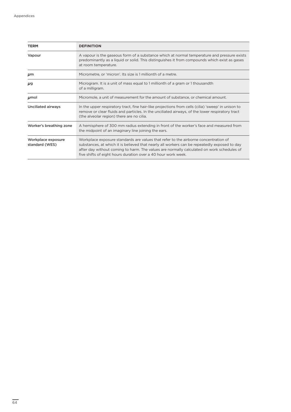| <b>TERM</b>                          | <b>DEFINITION</b>                                                                                                                                                                                                                                                                                                                                 |  |
|--------------------------------------|---------------------------------------------------------------------------------------------------------------------------------------------------------------------------------------------------------------------------------------------------------------------------------------------------------------------------------------------------|--|
| Vapour                               | A vapour is the gaseous form of a substance which at normal temperature and pressure exists<br>predominantly as a liquid or solid. This distinguishes it from compounds which exist as gases<br>at room temperature.                                                                                                                              |  |
| $\mu$ m                              | Micrometre, or 'micron'. Its size is 1 millionth of a metre.                                                                                                                                                                                                                                                                                      |  |
| μg                                   | Microgram. It is a unit of mass equal to 1 millionth of a gram or 1 thousandth<br>of a milligram.                                                                                                                                                                                                                                                 |  |
| $\mu$ mol                            | Micromole, a unit of measurement for the amount of substance, or chemical amount.                                                                                                                                                                                                                                                                 |  |
| Unciliated airways                   | In the upper respiratory tract, fine hair-like projections from cells (cilia) 'sweep' in unison to<br>remove or clear fluids and particles. In the unciliated airways, of the lower respiratory tract<br>(the alveolar region) there are no cilia.                                                                                                |  |
| Worker's breathing zone              | A hemisphere of 300 mm radius extending in front of the worker's face and measured from<br>the midpoint of an imaginary line joining the ears.                                                                                                                                                                                                    |  |
| Workplace exposure<br>standard (WES) | Workplace exposure standards are values that refer to the airborne concentration of<br>substances, at which it is believed that nearly all workers can be repeatedly exposed to day<br>after day without coming to harm. The values are normally calculated on work schedules of<br>five shifts of eight hours duration over a 40 hour work week. |  |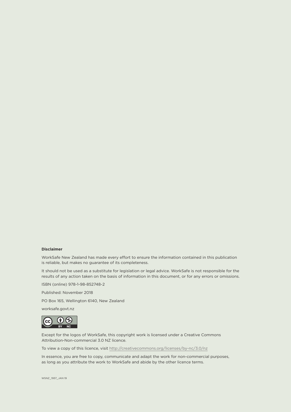#### **Disclaimer**

WorkSafe New Zealand has made every effort to ensure the information contained in this publication is reliable, but makes no guarantee of its completeness.

It should not be used as a substitute for legislation or legal advice. WorkSafe is not responsible for the results of any action taken on the basis of information in this document, or for any errors or omissions.

ISBN (online) 978-1-98-852748-2

Published: November 2018

PO Box 165, Wellington 6140, New Zealand

worksafe.govt.nz



Except for the logos of WorkSafe, this copyright work is licensed under a Creative Commons Attribution-Non-commercial 3.0 NZ licence.

To view a copy of this licence, visit <http://creativecommons.org/licenses/by-nc/3.0/nz>

In essence, you are free to copy, communicate and adapt the work for non-commercial purposes, as long as you attribute the work to WorkSafe and abide by the other licence terms.